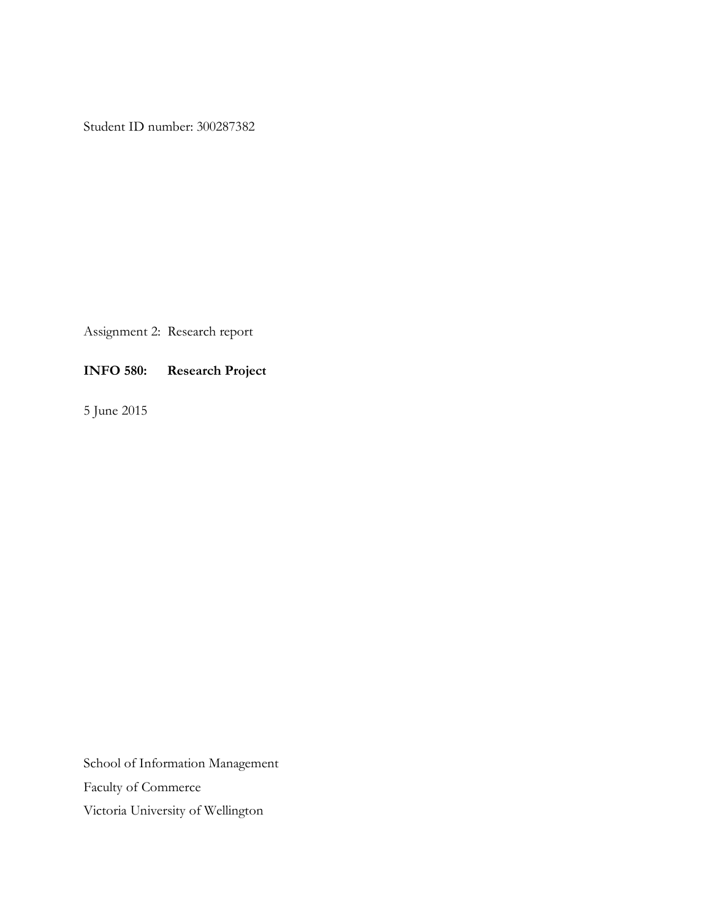Student ID number: 300287382

Assignment 2: Research report

## **INFO 580: Research Project**

5 June 2015

School of Information Management Faculty of Commerce Victoria University of Wellington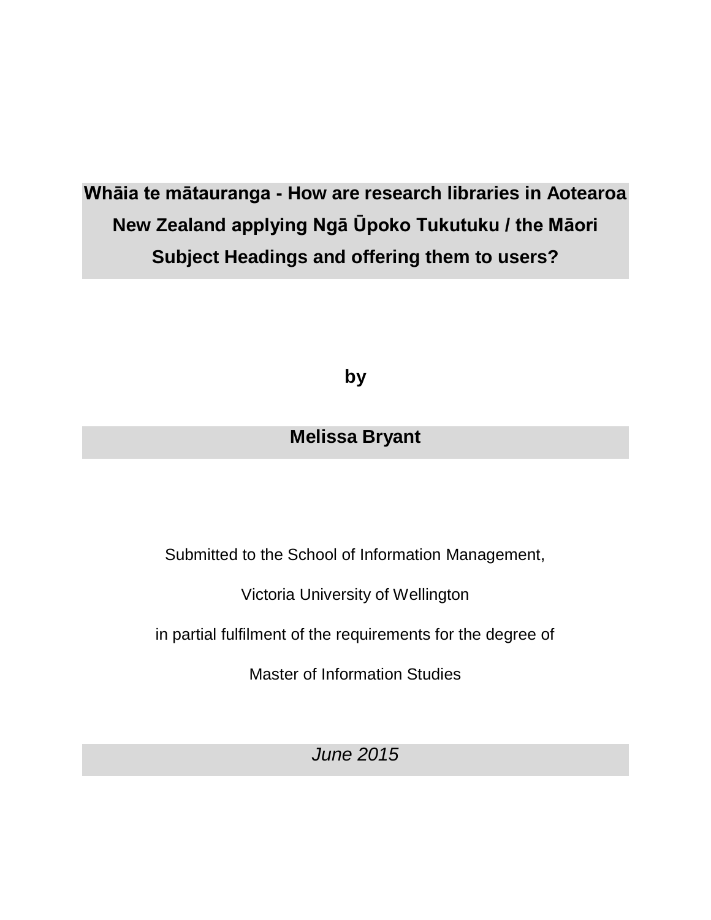# **Whāia te mātauranga - How are research libraries in Aotearoa New Zealand applying Ngā Ūpoko Tukutuku / the Māori Subject Headings and offering them to users?**

**by**

# **Melissa Bryant**

Submitted to the School of Information Management,

Victoria University of Wellington

in partial fulfilment of the requirements for the degree of

Master of Information Studies

*June 2015*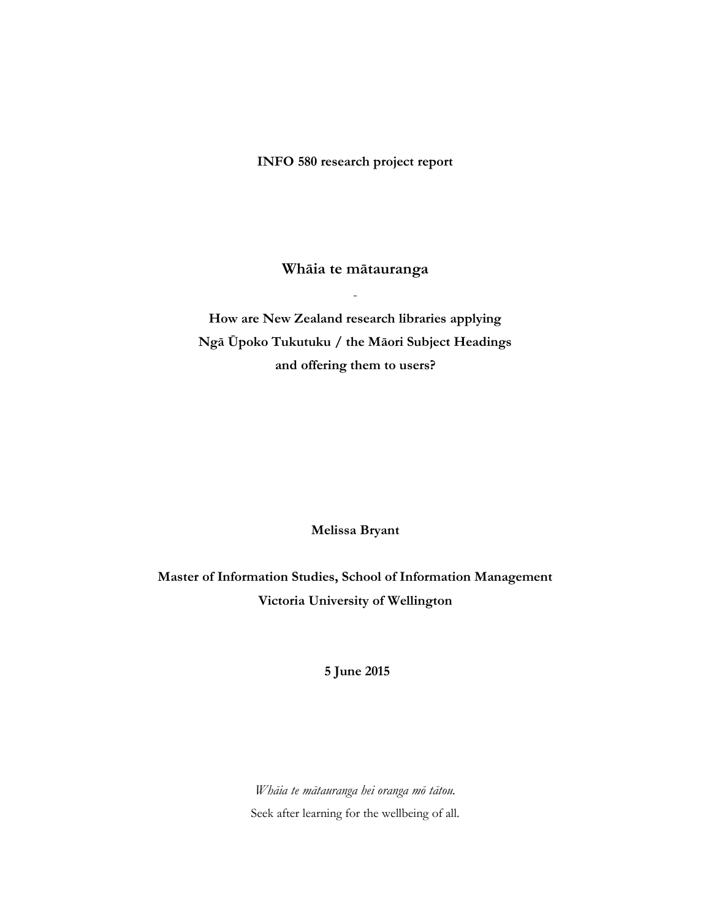**INFO 580 research project report**

**Whāia te mātauranga** 

-

**How are New Zealand research libraries applying Ngā Ūpoko Tukutuku / the Māori Subject Headings and offering them to users?**

**Melissa Bryant**

**Master of Information Studies, School of Information Management Victoria University of Wellington**

**5 June 2015**

*Whāia te mātauranga hei oranga mō tātou.* Seek after learning for the wellbeing of all.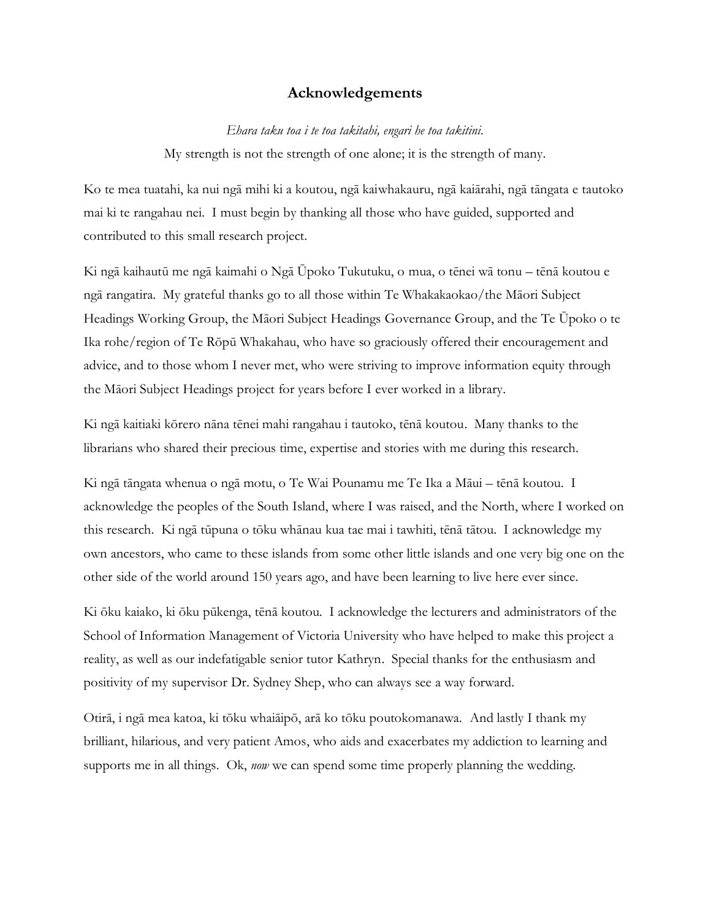### **Acknowledgements**

### *Ehara taku toa i te toa takitahi, engari he toa takitini.*

My strength is not the strength of one alone; it is the strength of many.

Ko te mea tuatahi, ka nui ngā mihi ki a koutou, ngā kaiwhakauru, ngā kaiārahi, ngā tāngata e tautoko mai ki te rangahau nei. I must begin by thanking all those who have guided, supported and contributed to this small research project.

Ki ngā kaihautū me ngā kaimahi o Ngā Ūpoko Tukutuku, o mua, o tēnei wā tonu – tēnā koutou e ngā rangatira. My grateful thanks go to all those within Te Whakakaokao/the Māori Subject Headings Working Group, the Māori Subject Headings Governance Group, and the Te Ūpoko o te Ika rohe/region of Te Rōpū Whakahau, who have so graciously offered their encouragement and advice, and to those whom I never met, who were striving to improve information equity through the Māori Subject Headings project for years before I ever worked in a library.

Ki ngā kaitiaki kōrero nāna tēnei mahi rangahau i tautoko, tēnā koutou. Many thanks to the librarians who shared their precious time, expertise and stories with me during this research.

Ki ngā tāngata whenua o ngā motu, o Te Wai Pounamu me Te Ika a Māui – tēnā koutou. I acknowledge the peoples of the South Island, where I was raised, and the North, where I worked on this research. Ki ngā tūpuna o tōku whānau kua tae mai i tawhiti, tēnā tātou. I acknowledge my own ancestors, who came to these islands from some other little islands and one very big one on the other side of the world around 150 years ago, and have been learning to live here ever since.

Ki ōku kaiako, ki ōku pūkenga, tēnā koutou. I acknowledge the lecturers and administrators of the School of Information Management of Victoria University who have helped to make this project a reality, as well as our indefatigable senior tutor Kathryn. Special thanks for the enthusiasm and positivity of my supervisor Dr. Sydney Shep, who can always see a way forward.

Otirā, i ngā mea katoa, ki tōku whaiāipō, arā ko tōku poutokomanawa. And lastly I thank my brilliant, hilarious, and very patient Amos, who aids and exacerbates my addiction to learning and supports me in all things. Ok, *now* we can spend some time properly planning the wedding.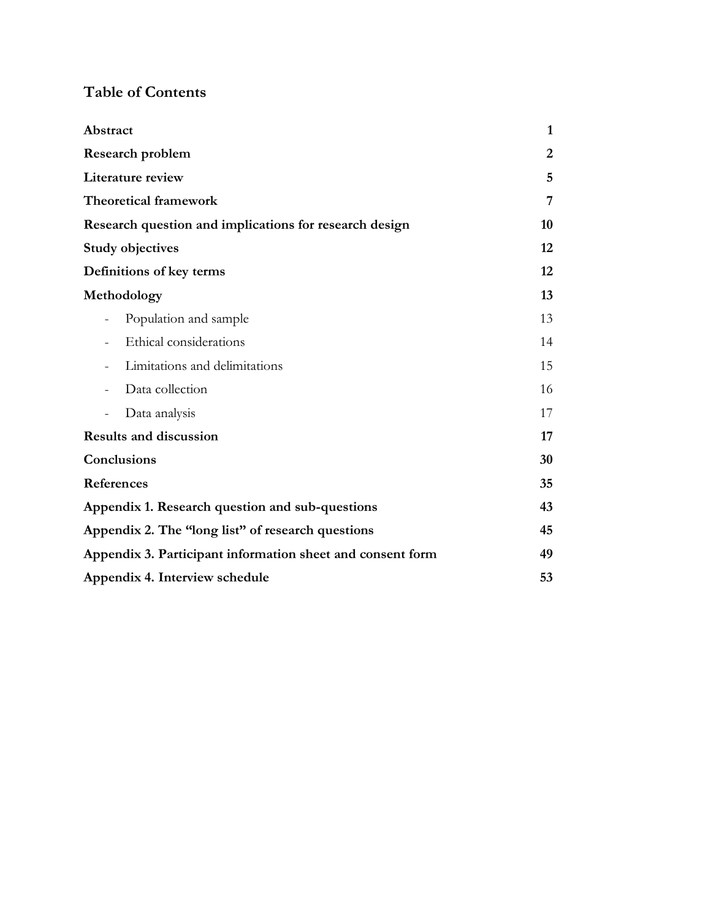## **Table of Contents**

| Abstract                                                   | $\mathbf{1}$ |
|------------------------------------------------------------|--------------|
| <b>Research problem</b>                                    |              |
| Literature review                                          |              |
| <b>Theoretical framework</b>                               | 7            |
| Research question and implications for research design     | 10           |
| <b>Study objectives</b>                                    | 12           |
| Definitions of key terms                                   | 12           |
| Methodology                                                | 13           |
| Population and sample                                      | 13           |
| Ethical considerations                                     | 14           |
| Limitations and delimitations                              | 15           |
| Data collection                                            | 16           |
| Data analysis                                              | 17           |
| <b>Results and discussion</b>                              |              |
| Conclusions                                                | 30           |
| References                                                 | 35           |
| Appendix 1. Research question and sub-questions            |              |
| Appendix 2. The "long list" of research questions          | 45           |
| Appendix 3. Participant information sheet and consent form |              |
| Appendix 4. Interview schedule                             |              |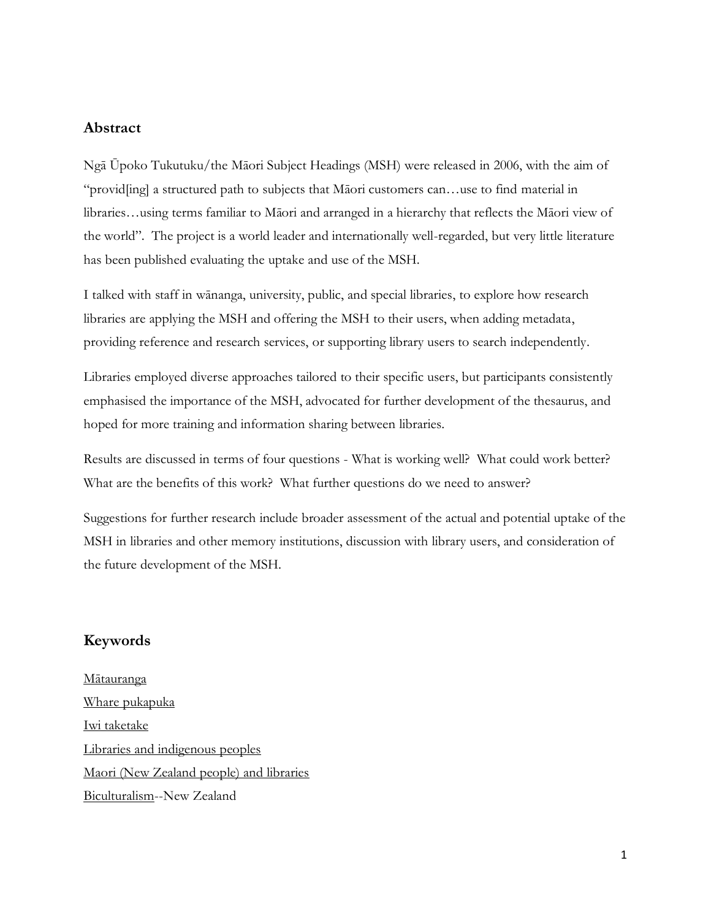## **Abstract**

Ngā Ūpoko Tukutuku/the Māori Subject Headings (MSH) were released in 2006, with the aim of "provid[ing] a structured path to subjects that Māori customers can…use to find material in libraries…using terms familiar to Māori and arranged in a hierarchy that reflects the Māori view of the world". The project is a world leader and internationally well-regarded, but very little literature has been published evaluating the uptake and use of the MSH.

I talked with staff in wānanga, university, public, and special libraries, to explore how research libraries are applying the MSH and offering the MSH to their users, when adding metadata, providing reference and research services, or supporting library users to search independently.

Libraries employed diverse approaches tailored to their specific users, but participants consistently emphasised the importance of the MSH, advocated for further development of the thesaurus, and hoped for more training and information sharing between libraries.

Results are discussed in terms of four questions - What is working well? What could work better? What are the benefits of this work? What further questions do we need to answer?

Suggestions for further research include broader assessment of the actual and potential uptake of the MSH in libraries and other memory institutions, discussion with library users, and consideration of the future development of the MSH.

## **Keywords**

[Mātauranga](http://mshupoko.natlib.govt.nz/mshupoko/tr807.htm) [Whare pukapuka](http://mshupoko.natlib.govt.nz/mshupoko/tr3589.htm) [Iwi taketake](http://mshupoko.natlib.govt.nz/mshupoko/tr3414.htm) [Libraries and indigenous peoples](http://lccn.loc.gov/sh2014001583) [Maori \(New Zealand people\) and libraries](http://id.loc.gov/authorities/subjects/sh95010034) [Biculturalism-](http://id.loc.gov/authorities/subjects/sh85013889)-New Zealand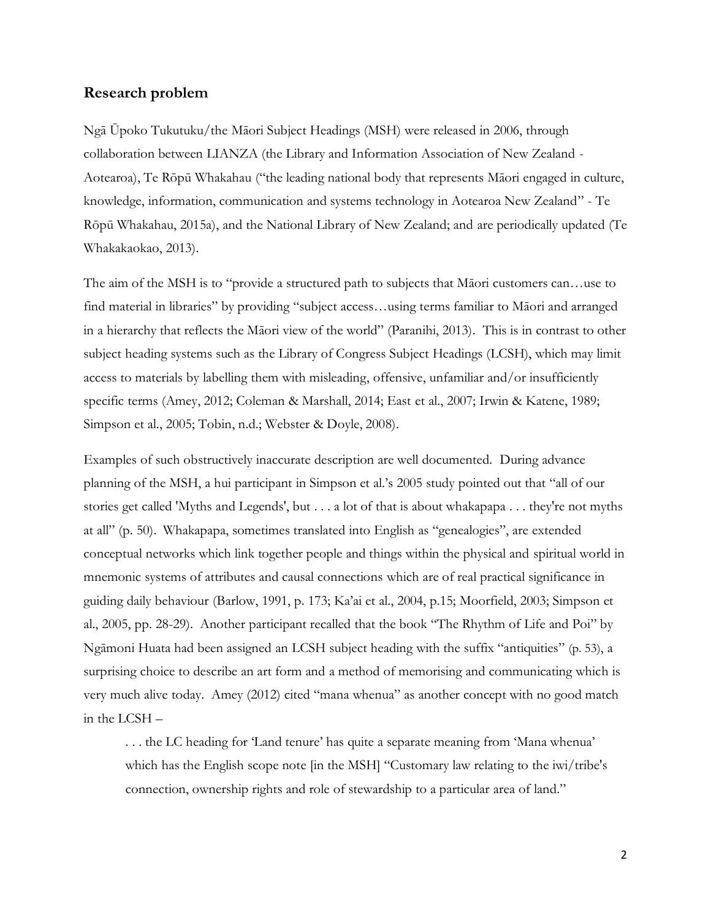### **Research problem**

Ngā Ūpoko Tukutuku/the Māori Subject Headings (MSH) were released in 2006, through collaboration between LIANZA (the Library and Information Association of New Zealand - Aotearoa), Te Rōpū Whakahau ("the leading national body that represents Māori engaged in culture, knowledge, information, communication and systems technology in Aotearoa New Zealand" - Te Rōpū Whakahau, 2015a), and the National Library of New Zealand; and are periodically updated (Te Whakakaokao, 2013).

The aim of the MSH is to "provide a structured path to subjects that Māori customers can…use to find material in libraries" by providing "subject access…using terms familiar to Māori and arranged in a hierarchy that reflects the Māori view of the world" (Paranihi, 2013). This is in contrast to other subject heading systems such as the Library of Congress Subject Headings (LCSH), which may limit access to materials by labelling them with misleading, offensive, unfamiliar and/or insufficiently specific terms (Amey, 2012; Coleman & Marshall, 2014; East et al., 2007; Irwin & Katene, 1989; Simpson et al., 2005; Tobin, n.d.; Webster & Doyle, 2008).

Examples of such obstructively inaccurate description are well documented. During advance planning of the MSH, a hui participant in Simpson et al.'s 2005 study pointed out that "all of our stories get called 'Myths and Legends', but . . . a lot of that is about whakapapa . . . they're not myths at all" (p. 50). Whakapapa, sometimes translated into English as "genealogies", are extended conceptual networks which link together people and things within the physical and spiritual world in mnemonic systems of attributes and causal connections which are of real practical significance in guiding daily behaviour (Barlow, 1991, p. 173; Ka'ai et al., 2004, p.15; Moorfield, 2003; Simpson et al., 2005, pp. 28-29). Another participant recalled that the book "The Rhythm of Life and Poi" by Ngāmoni Huata had been assigned an LCSH subject heading with the suffix "antiquities" (p. 53), a surprising choice to describe an art form and a method of memorising and communicating which is very much alive today. Amey (2012) cited "mana whenua" as another concept with no good match in the LCSH –

. . . the LC heading for 'Land tenure' has quite a separate meaning from 'Mana whenua' which has the English scope note [in the MSH] "Customary law relating to the iwi/tribe's connection, ownership rights and role of stewardship to a particular area of land."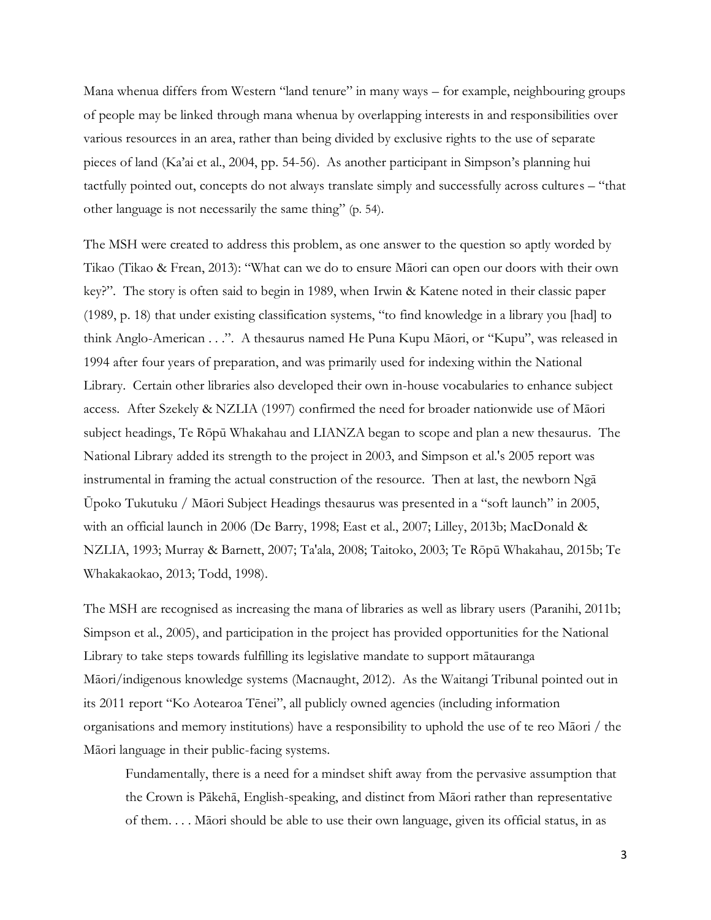Mana whenua differs from Western "land tenure" in many ways – for example, neighbouring groups of people may be linked through mana whenua by overlapping interests in and responsibilities over various resources in an area, rather than being divided by exclusive rights to the use of separate pieces of land (Ka'ai et al., 2004, pp. 54-56). As another participant in Simpson's planning hui tactfully pointed out, concepts do not always translate simply and successfully across cultures – "that other language is not necessarily the same thing" (p. 54).

The MSH were created to address this problem, as one answer to the question so aptly worded by Tikao (Tikao & Frean, 2013): "What can we do to ensure Māori can open our doors with their own key?". The story is often said to begin in 1989, when Irwin & Katene noted in their classic paper (1989, p. 18) that under existing classification systems, "to find knowledge in a library you [had] to think Anglo-American . . .". A thesaurus named He Puna Kupu Māori, or "Kupu", was released in 1994 after four years of preparation, and was primarily used for indexing within the National Library. Certain other libraries also developed their own in-house vocabularies to enhance subject access. After Szekely & NZLIA (1997) confirmed the need for broader nationwide use of Māori subject headings, Te Rōpū Whakahau and LIANZA began to scope and plan a new thesaurus. The National Library added its strength to the project in 2003, and Simpson et al.'s 2005 report was instrumental in framing the actual construction of the resource. Then at last, the newborn Ngā Ūpoko Tukutuku / Māori Subject Headings thesaurus was presented in a "soft launch" in 2005, with an official launch in 2006 (De Barry, 1998; East et al., 2007; Lilley, 2013b; MacDonald & NZLIA, 1993; Murray & Barnett, 2007; Ta'ala, 2008; Taitoko, 2003; Te Rōpū Whakahau, 2015b; Te Whakakaokao, 2013; Todd, 1998).

The MSH are recognised as increasing the mana of libraries as well as library users (Paranihi, 2011b; Simpson et al., 2005), and participation in the project has provided opportunities for the National Library to take steps towards fulfilling its legislative mandate to support mātauranga Māori/indigenous knowledge systems (Macnaught, 2012). As the Waitangi Tribunal pointed out in its 2011 report "Ko Aotearoa Tēnei", all publicly owned agencies (including information organisations and memory institutions) have a responsibility to uphold the use of te reo Māori / the Māori language in their public-facing systems.

Fundamentally, there is a need for a mindset shift away from the pervasive assumption that the Crown is Pākehā, English-speaking, and distinct from Māori rather than representative of them. . . . Māori should be able to use their own language, given its official status, in as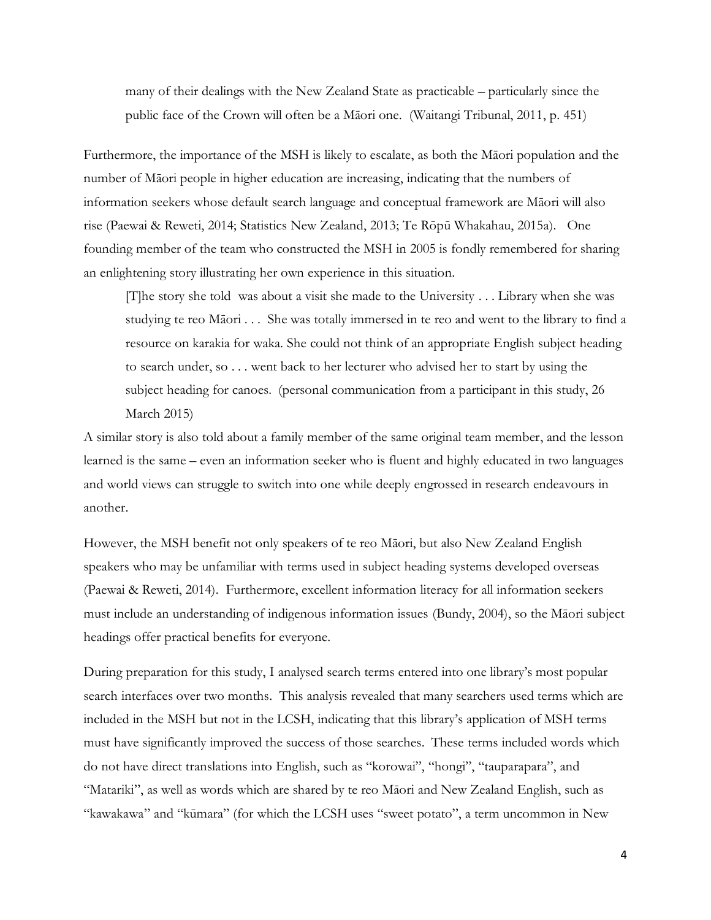many of their dealings with the New Zealand State as practicable – particularly since the public face of the Crown will often be a Māori one. (Waitangi Tribunal, 2011, p. 451)

Furthermore, the importance of the MSH is likely to escalate, as both the Māori population and the number of Māori people in higher education are increasing, indicating that the numbers of information seekers whose default search language and conceptual framework are Māori will also rise (Paewai & Reweti, 2014; Statistics New Zealand, 2013; Te Rōpū Whakahau, 2015a). One founding member of the team who constructed the MSH in 2005 is fondly remembered for sharing an enlightening story illustrating her own experience in this situation.

[T]he story she told was about a visit she made to the University . . . Library when she was studying te reo Māori . . . She was totally immersed in te reo and went to the library to find a resource on karakia for waka. She could not think of an appropriate English subject heading to search under, so . . . went back to her lecturer who advised her to start by using the subject heading for canoes*.* (personal communication from a participant in this study, 26 March 2015)

A similar story is also told about a family member of the same original team member, and the lesson learned is the same – even an information seeker who is fluent and highly educated in two languages and world views can struggle to switch into one while deeply engrossed in research endeavours in another.

However, the MSH benefit not only speakers of te reo Māori, but also New Zealand English speakers who may be unfamiliar with terms used in subject heading systems developed overseas (Paewai & Reweti, 2014). Furthermore, excellent information literacy for all information seekers must include an understanding of indigenous information issues (Bundy, 2004), so the Māori subject headings offer practical benefits for everyone.

During preparation for this study, I analysed search terms entered into one library's most popular search interfaces over two months. This analysis revealed that many searchers used terms which are included in the MSH but not in the LCSH, indicating that this library's application of MSH terms must have significantly improved the success of those searches. These terms included words which do not have direct translations into English, such as "korowai", "hongi", "tauparapara", and "Matariki", as well as words which are shared by te reo Māori and New Zealand English, such as "kawakawa" and "kūmara" (for which the LCSH uses "sweet potato", a term uncommon in New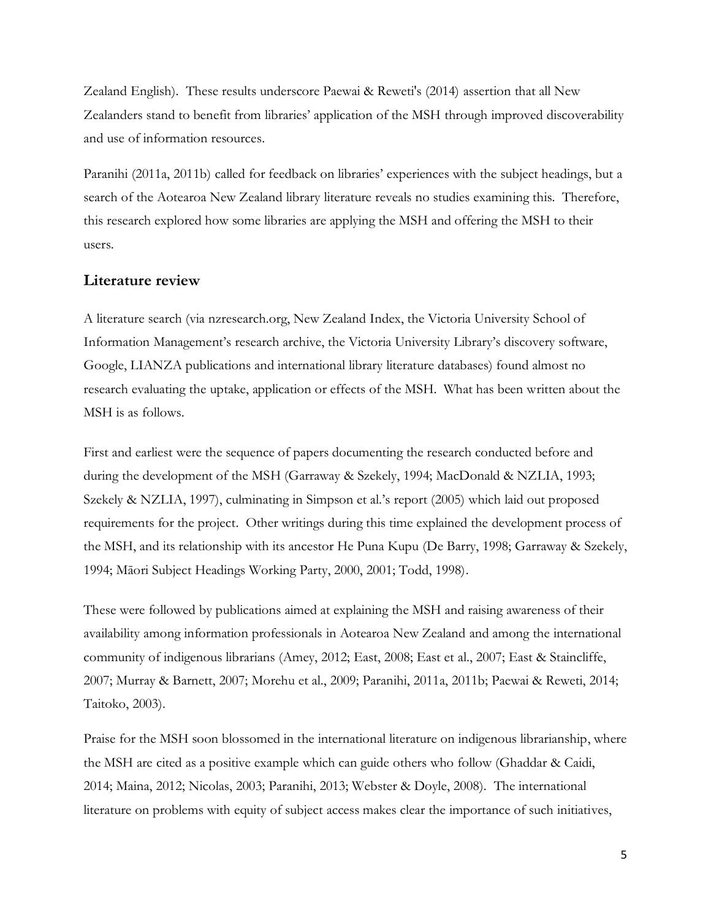Zealand English). These results underscore Paewai & Reweti's (2014) assertion that all New Zealanders stand to benefit from libraries' application of the MSH through improved discoverability and use of information resources.

Paranihi (2011a, 2011b) called for feedback on libraries' experiences with the subject headings, but a search of the Aotearoa New Zealand library literature reveals no studies examining this. Therefore, this research explored how some libraries are applying the MSH and offering the MSH to their users.

## **Literature review**

A literature search (via nzresearch.org, New Zealand Index, the Victoria University School of Information Management's research archive, the Victoria University Library's discovery software, Google, LIANZA publications and international library literature databases) found almost no research evaluating the uptake, application or effects of the MSH. What has been written about the MSH is as follows.

First and earliest were the sequence of papers documenting the research conducted before and during the development of the MSH (Garraway & Szekely, 1994; MacDonald & NZLIA, 1993; Szekely & NZLIA, 1997), culminating in Simpson et al.'s report (2005) which laid out proposed requirements for the project. Other writings during this time explained the development process of the MSH, and its relationship with its ancestor He Puna Kupu (De Barry, 1998; Garraway & Szekely, 1994; Māori Subject Headings Working Party, 2000, 2001; Todd, 1998).

These were followed by publications aimed at explaining the MSH and raising awareness of their availability among information professionals in Aotearoa New Zealand and among the international community of indigenous librarians (Amey, 2012; East, 2008; East et al., 2007; East & Staincliffe, 2007; Murray & Barnett, 2007; Morehu et al., 2009; Paranihi, 2011a, 2011b; Paewai & Reweti, 2014; Taitoko, 2003).

Praise for the MSH soon blossomed in the international literature on indigenous librarianship, where the MSH are cited as a positive example which can guide others who follow (Ghaddar & Caidi, 2014; Maina, 2012; Nicolas, 2003; Paranihi, 2013; Webster & Doyle, 2008). The international literature on problems with equity of subject access makes clear the importance of such initiatives,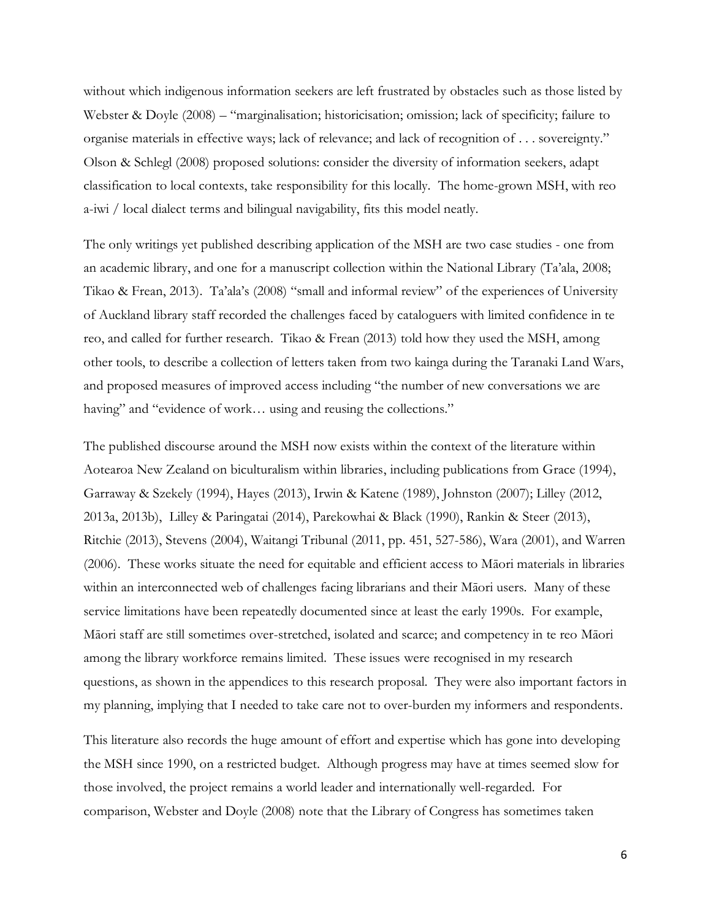without which indigenous information seekers are left frustrated by obstacles such as those listed by Webster & Doyle (2008) – "marginalisation; historicisation; omission; lack of specificity; failure to organise materials in effective ways; lack of relevance; and lack of recognition of . . . sovereignty." Olson & Schlegl (2008) proposed solutions: consider the diversity of information seekers, adapt classification to local contexts, take responsibility for this locally. The home-grown MSH, with reo a-iwi / local dialect terms and bilingual navigability, fits this model neatly.

The only writings yet published describing application of the MSH are two case studies - one from an academic library, and one for a manuscript collection within the National Library (Ta'ala, 2008; Tikao & Frean, 2013). Ta'ala's (2008) "small and informal review" of the experiences of University of Auckland library staff recorded the challenges faced by cataloguers with limited confidence in te reo, and called for further research. Tikao & Frean (2013) told how they used the MSH, among other tools, to describe a collection of letters taken from two kainga during the Taranaki Land Wars, and proposed measures of improved access including "the number of new conversations we are having" and "evidence of work... using and reusing the collections."

The published discourse around the MSH now exists within the context of the literature within Aotearoa New Zealand on biculturalism within libraries, including publications from Grace (1994), Garraway & Szekely (1994), Hayes (2013), Irwin & Katene (1989), Johnston (2007); Lilley (2012, 2013a, 2013b), Lilley & Paringatai (2014), Parekowhai & Black (1990), Rankin & Steer (2013), Ritchie (2013), Stevens (2004), Waitangi Tribunal (2011, pp. 451, 527-586), Wara (2001), and Warren (2006). These works situate the need for equitable and efficient access to Māori materials in libraries within an interconnected web of challenges facing librarians and their Māori users. Many of these service limitations have been repeatedly documented since at least the early 1990s. For example, Māori staff are still sometimes over-stretched, isolated and scarce; and competency in te reo Māori among the library workforce remains limited. These issues were recognised in my research questions, as shown in the appendices to this research proposal. They were also important factors in my planning, implying that I needed to take care not to over-burden my informers and respondents.

This literature also records the huge amount of effort and expertise which has gone into developing the MSH since 1990, on a restricted budget. Although progress may have at times seemed slow for those involved, the project remains a world leader and internationally well-regarded. For comparison, Webster and Doyle (2008) note that the Library of Congress has sometimes taken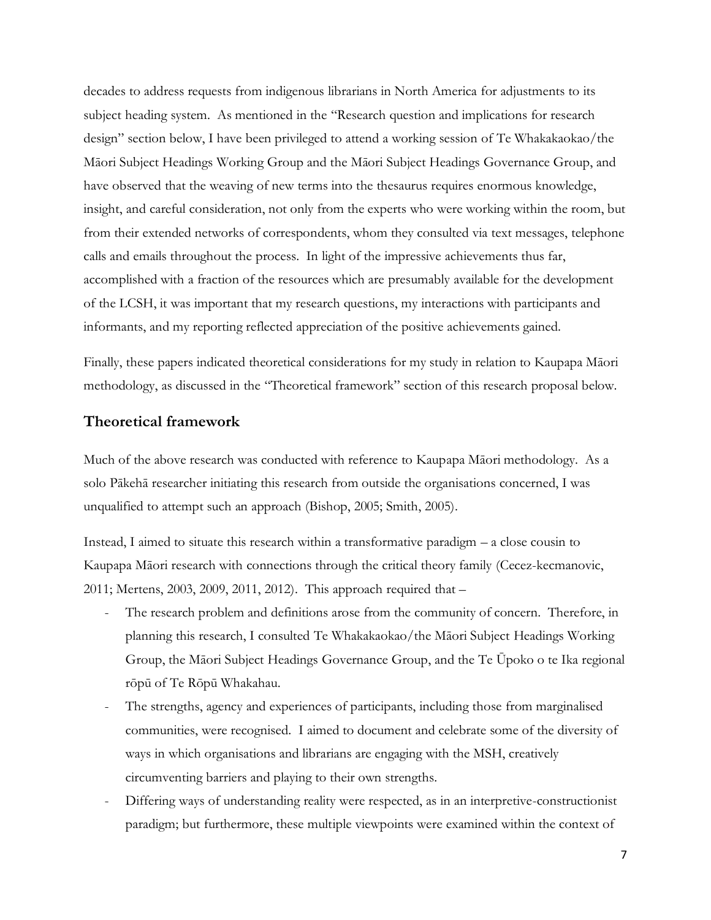decades to address requests from indigenous librarians in North America for adjustments to its subject heading system. As mentioned in the "Research question and implications for research design" section below, I have been privileged to attend a working session of Te Whakakaokao/the Māori Subject Headings Working Group and the Māori Subject Headings Governance Group, and have observed that the weaving of new terms into the thesaurus requires enormous knowledge, insight, and careful consideration, not only from the experts who were working within the room, but from their extended networks of correspondents, whom they consulted via text messages, telephone calls and emails throughout the process. In light of the impressive achievements thus far, accomplished with a fraction of the resources which are presumably available for the development of the LCSH, it was important that my research questions, my interactions with participants and informants, and my reporting reflected appreciation of the positive achievements gained.

Finally, these papers indicated theoretical considerations for my study in relation to Kaupapa Māori methodology, as discussed in the "Theoretical framework" section of this research proposal below.

## **Theoretical framework**

Much of the above research was conducted with reference to Kaupapa Māori methodology. As a solo Pākehā researcher initiating this research from outside the organisations concerned, I was unqualified to attempt such an approach (Bishop, 2005; Smith, 2005).

Instead, I aimed to situate this research within a transformative paradigm – a close cousin to Kaupapa Māori research with connections through the critical theory family (Cecez-kecmanovic, 2011; Mertens, 2003, 2009, 2011, 2012). This approach required that –

- The research problem and definitions arose from the community of concern. Therefore, in planning this research, I consulted Te Whakakaokao/the Māori Subject Headings Working Group, the Māori Subject Headings Governance Group, and the Te Ūpoko o te Ika regional rōpū of Te Rōpū Whakahau.
- The strengths, agency and experiences of participants, including those from marginalised communities, were recognised. I aimed to document and celebrate some of the diversity of ways in which organisations and librarians are engaging with the MSH, creatively circumventing barriers and playing to their own strengths.
- Differing ways of understanding reality were respected, as in an interpretive-constructionist paradigm; but furthermore, these multiple viewpoints were examined within the context of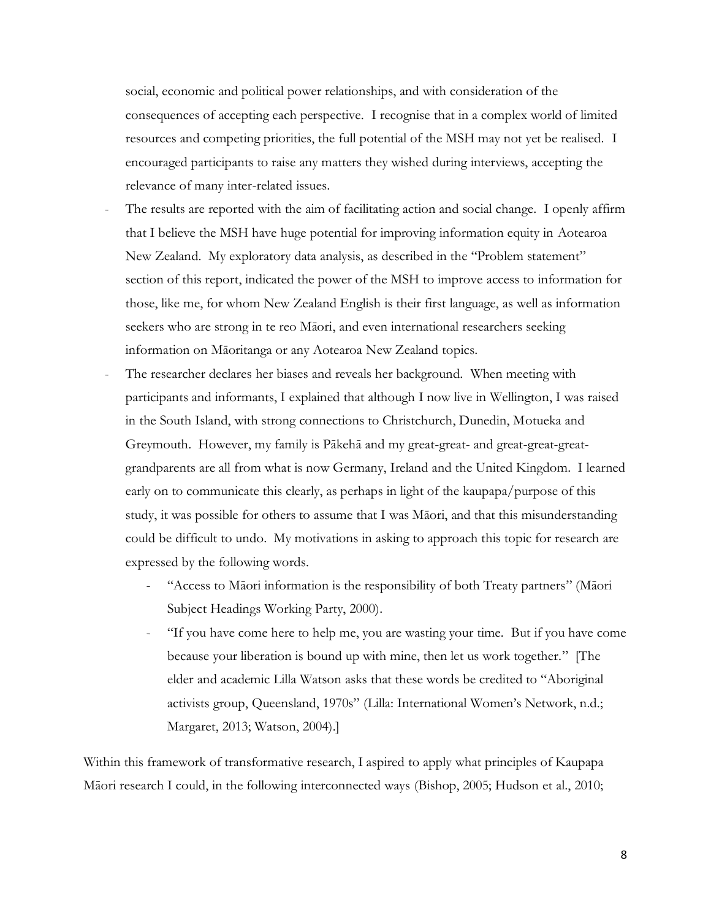social, economic and political power relationships, and with consideration of the consequences of accepting each perspective. I recognise that in a complex world of limited resources and competing priorities, the full potential of the MSH may not yet be realised. I encouraged participants to raise any matters they wished during interviews, accepting the relevance of many inter-related issues.

- The results are reported with the aim of facilitating action and social change. I openly affirm that I believe the MSH have huge potential for improving information equity in Aotearoa New Zealand. My exploratory data analysis, as described in the "Problem statement" section of this report, indicated the power of the MSH to improve access to information for those, like me, for whom New Zealand English is their first language, as well as information seekers who are strong in te reo Māori, and even international researchers seeking information on Māoritanga or any Aotearoa New Zealand topics.
- The researcher declares her biases and reveals her background. When meeting with participants and informants, I explained that although I now live in Wellington, I was raised in the South Island, with strong connections to Christchurch, Dunedin, Motueka and Greymouth. However, my family is Pākehā and my great-great- and great-great-greatgrandparents are all from what is now Germany, Ireland and the United Kingdom. I learned early on to communicate this clearly, as perhaps in light of the kaupapa/purpose of this study, it was possible for others to assume that I was Māori, and that this misunderstanding could be difficult to undo. My motivations in asking to approach this topic for research are expressed by the following words.
	- "Access to Māori information is the responsibility of both Treaty partners" (Māori Subject Headings Working Party, 2000).
	- "If you have come here to help me, you are wasting your time. But if you have come because your liberation is bound up with mine, then let us work together."[The elder and academic Lilla Watson asks that these words be credited to "Aboriginal activists group, Queensland, 1970s" (Lilla: International Women's Network, n.d.; Margaret, 2013; Watson, 2004).]

Within this framework of transformative research, I aspired to apply what principles of Kaupapa Māori research I could, in the following interconnected ways (Bishop, 2005; Hudson et al., 2010;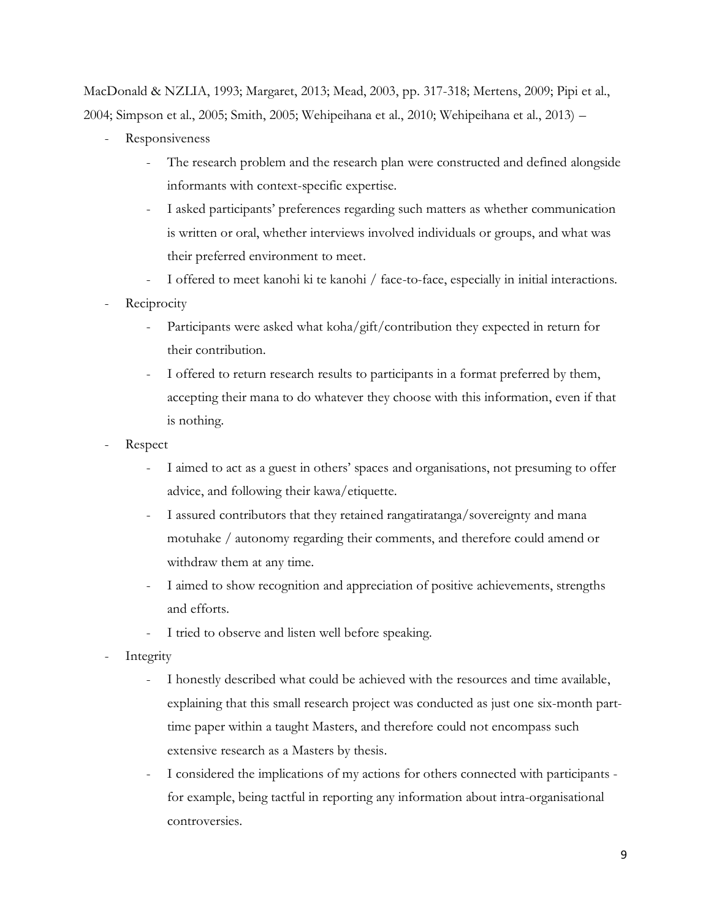MacDonald & NZLIA, 1993; Margaret, 2013; Mead, 2003, pp. 317-318; Mertens, 2009; Pipi et al., 2004; Simpson et al., 2005; Smith, 2005; Wehipeihana et al., 2010; Wehipeihana et al., 2013) –

- Responsiveness
	- The research problem and the research plan were constructed and defined alongside informants with context-specific expertise.
	- I asked participants' preferences regarding such matters as whether communication is written or oral, whether interviews involved individuals or groups, and what was their preferred environment to meet.
	- I offered to meet kanohi ki te kanohi / face-to-face, especially in initial interactions.
- **Reciprocity** 
	- Participants were asked what koha/gift/contribution they expected in return for their contribution.
	- I offered to return research results to participants in a format preferred by them, accepting their mana to do whatever they choose with this information, even if that is nothing.
- Respect
	- I aimed to act as a guest in others' spaces and organisations, not presuming to offer advice, and following their kawa/etiquette.
	- I assured contributors that they retained rangatiratanga/sovereignty and mana motuhake / autonomy regarding their comments, and therefore could amend or withdraw them at any time.
	- I aimed to show recognition and appreciation of positive achievements, strengths and efforts.
	- I tried to observe and listen well before speaking.
- **Integrity** 
	- I honestly described what could be achieved with the resources and time available, explaining that this small research project was conducted as just one six-month parttime paper within a taught Masters, and therefore could not encompass such extensive research as a Masters by thesis.
	- I considered the implications of my actions for others connected with participants for example, being tactful in reporting any information about intra-organisational controversies.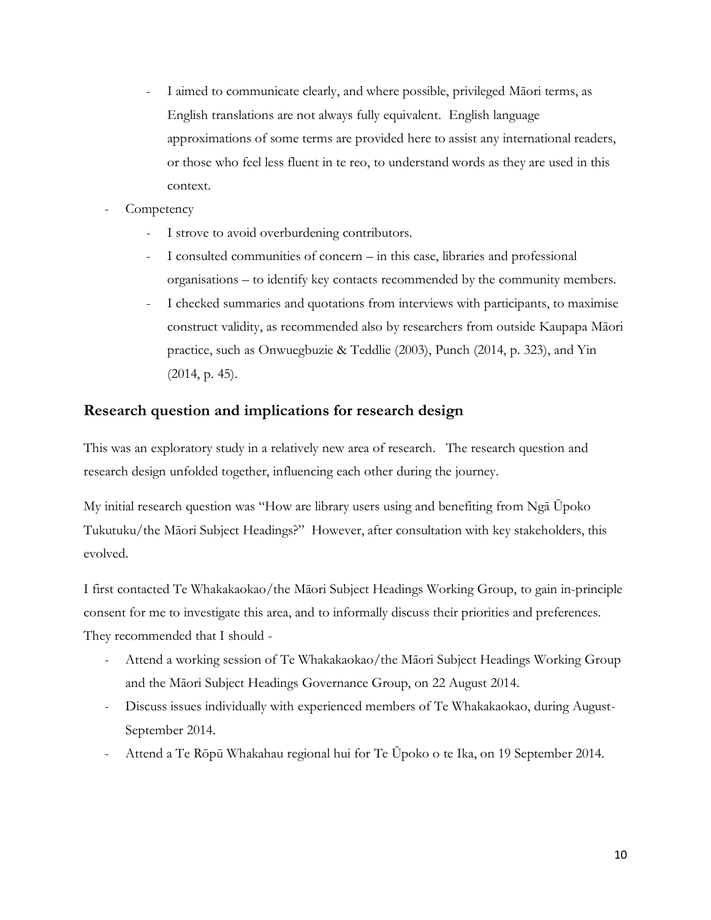- I aimed to communicate clearly, and where possible, privileged Māori terms, as English translations are not always fully equivalent. English language approximations of some terms are provided here to assist any international readers, or those who feel less fluent in te reo, to understand words as they are used in this context.
- **Competency** 
	- I strove to avoid overburdening contributors.
	- I consulted communities of concern in this case, libraries and professional organisations – to identify key contacts recommended by the community members.
	- I checked summaries and quotations from interviews with participants, to maximise construct validity, as recommended also by researchers from outside Kaupapa Māori practice, such as Onwuegbuzie & Teddlie (2003), Punch (2014, p. 323), and Yin (2014, p. 45).

## **Research question and implications for research design**

This was an exploratory study in a relatively new area of research. The research question and research design unfolded together, influencing each other during the journey.

My initial research question was "How are library users using and benefiting from Ngā Ūpoko Tukutuku/the Māori Subject Headings?" However, after consultation with key stakeholders, this evolved.

I first contacted Te Whakakaokao/the Māori Subject Headings Working Group, to gain in-principle consent for me to investigate this area, and to informally discuss their priorities and preferences. They recommended that I should -

- Attend a working session of Te Whakakaokao/the Māori Subject Headings Working Group and the Māori Subject Headings Governance Group, on 22 August 2014.
- Discuss issues individually with experienced members of Te Whakakaokao, during August-September 2014.
- Attend a Te Rōpū Whakahau regional hui for Te Ūpoko o te Ika, on 19 September 2014.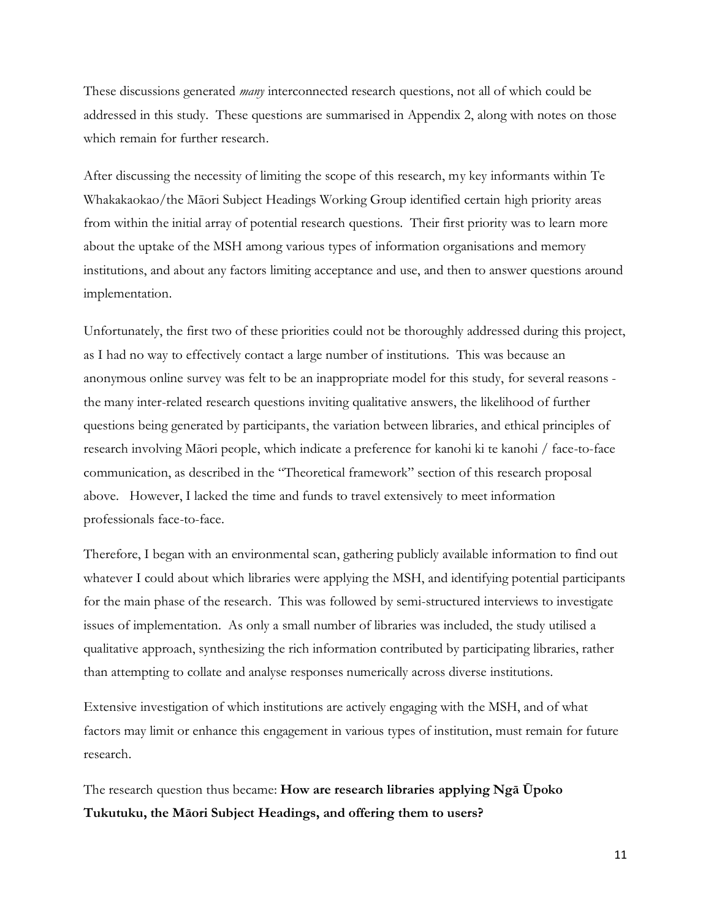These discussions generated *many* interconnected research questions, not all of which could be addressed in this study. These questions are summarised in Appendix 2, along with notes on those which remain for further research.

After discussing the necessity of limiting the scope of this research, my key informants within Te Whakakaokao/the Māori Subject Headings Working Group identified certain high priority areas from within the initial array of potential research questions. Their first priority was to learn more about the uptake of the MSH among various types of information organisations and memory institutions, and about any factors limiting acceptance and use, and then to answer questions around implementation.

Unfortunately, the first two of these priorities could not be thoroughly addressed during this project, as I had no way to effectively contact a large number of institutions. This was because an anonymous online survey was felt to be an inappropriate model for this study, for several reasons the many inter-related research questions inviting qualitative answers, the likelihood of further questions being generated by participants, the variation between libraries, and ethical principles of research involving Māori people, which indicate a preference for kanohi ki te kanohi / face-to-face communication, as described in the "Theoretical framework" section of this research proposal above. However, I lacked the time and funds to travel extensively to meet information professionals face-to-face.

Therefore, I began with an environmental scan, gathering publicly available information to find out whatever I could about which libraries were applying the MSH, and identifying potential participants for the main phase of the research. This was followed by semi-structured interviews to investigate issues of implementation. As only a small number of libraries was included, the study utilised a qualitative approach, synthesizing the rich information contributed by participating libraries, rather than attempting to collate and analyse responses numerically across diverse institutions.

Extensive investigation of which institutions are actively engaging with the MSH, and of what factors may limit or enhance this engagement in various types of institution, must remain for future research.

The research question thus became: **How are research libraries applying Ngā Ūpoko Tukutuku, the Māori Subject Headings, and offering them to users?**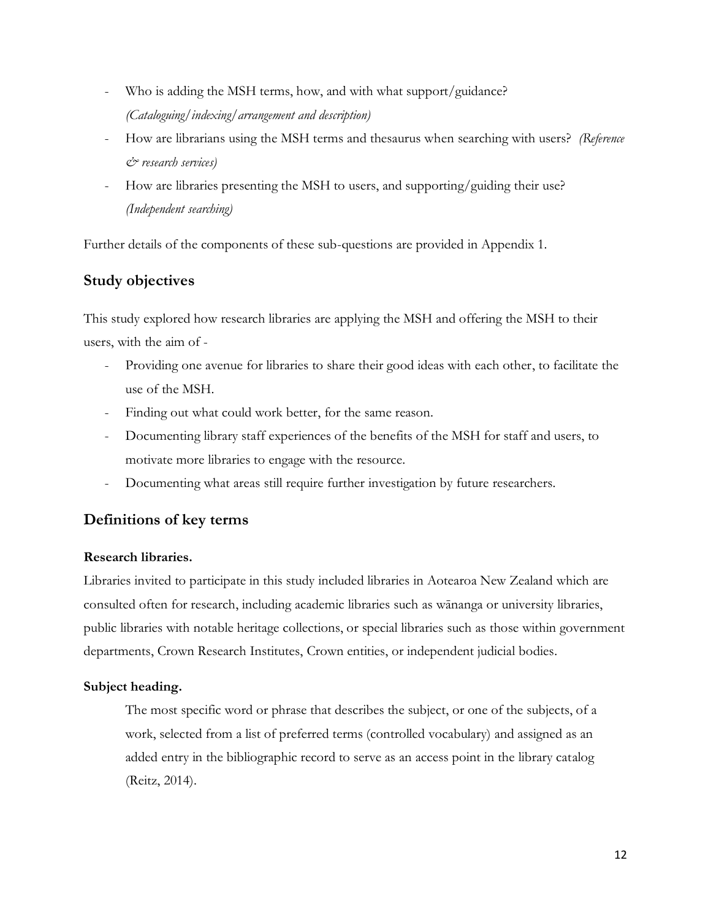- Who is adding the MSH terms, how, and with what support/guidance? *(Cataloguing/indexing/arrangement and description)*
- How are librarians using the MSH terms and thesaurus when searching with users? *(Reference & research services)*
- How are libraries presenting the MSH to users, and supporting/guiding their use? *(Independent searching)*

Further details of the components of these sub-questions are provided in Appendix 1.

## **Study objectives**

This study explored how research libraries are applying the MSH and offering the MSH to their users, with the aim of -

- Providing one avenue for libraries to share their good ideas with each other, to facilitate the use of the MSH.
- Finding out what could work better, for the same reason.
- Documenting library staff experiences of the benefits of the MSH for staff and users, to motivate more libraries to engage with the resource.
- Documenting what areas still require further investigation by future researchers.

## **Definitions of key terms**

## **Research libraries.**

Libraries invited to participate in this study included libraries in Aotearoa New Zealand which are consulted often for research, including academic libraries such as wānanga or university libraries, public libraries with notable heritage collections, or special libraries such as those within government departments, Crown Research Institutes, Crown entities, or independent judicial bodies.

## **Subject heading.**

The most specific word or phrase that describes the subject, or one of the subjects, of a work, selected from a list of preferred terms (controlled vocabulary) and assigned as an added entry in the bibliographic record to serve as an access point in the library catalog (Reitz, 2014).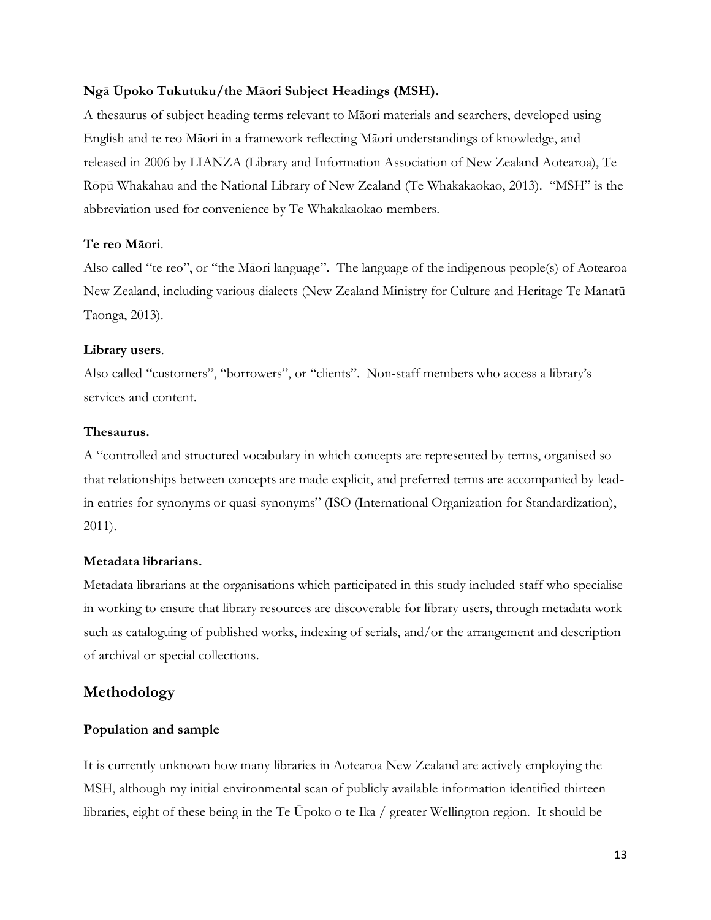### **Ngā Ūpoko Tukutuku/the Māori Subject Headings (MSH).**

A thesaurus of subject heading terms relevant to Māori materials and searchers, developed using English and te reo Māori in a framework reflecting Māori understandings of knowledge, and released in 2006 by LIANZA (Library and Information Association of New Zealand Aotearoa), Te Rōpū Whakahau and the National Library of New Zealand (Te Whakakaokao, 2013). "MSH" is the abbreviation used for convenience by Te Whakakaokao members.

### **Te reo Māori**.

Also called "te reo", or "the Māori language". The language of the indigenous people(s) of Aotearoa New Zealand, including various dialects (New Zealand Ministry for Culture and Heritage Te Manatū Taonga, 2013).

### **Library users**.

Also called "customers", "borrowers", or "clients". Non-staff members who access a library's services and content.

### **Thesaurus.**

A "controlled and structured vocabulary in which concepts are represented by terms, organised so that relationships between concepts are made explicit, and preferred terms are accompanied by leadin entries for synonyms or quasi-synonyms" (ISO (International Organization for Standardization), 2011).

## **Metadata librarians.**

Metadata librarians at the organisations which participated in this study included staff who specialise in working to ensure that library resources are discoverable for library users, through metadata work such as cataloguing of published works, indexing of serials, and/or the arrangement and description of archival or special collections.

## **Methodology**

## **Population and sample**

It is currently unknown how many libraries in Aotearoa New Zealand are actively employing the MSH, although my initial environmental scan of publicly available information identified thirteen libraries, eight of these being in the Te Ūpoko o te Ika / greater Wellington region. It should be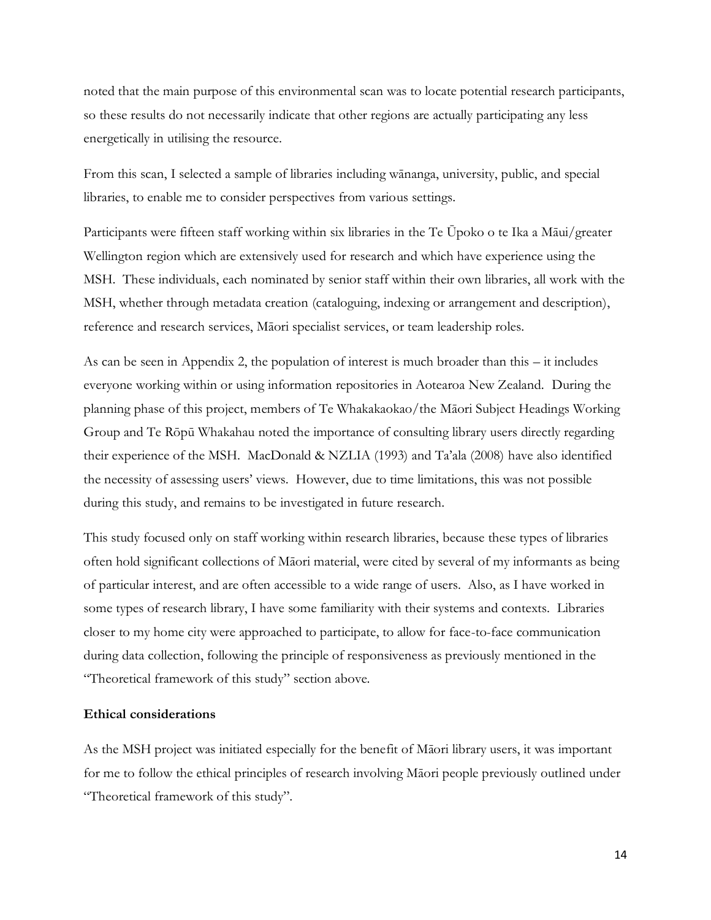noted that the main purpose of this environmental scan was to locate potential research participants, so these results do not necessarily indicate that other regions are actually participating any less energetically in utilising the resource.

From this scan, I selected a sample of libraries including wānanga, university, public, and special libraries, to enable me to consider perspectives from various settings.

Participants were fifteen staff working within six libraries in the Te Ūpoko o te Ika a Māui/greater Wellington region which are extensively used for research and which have experience using the MSH. These individuals, each nominated by senior staff within their own libraries, all work with the MSH, whether through metadata creation (cataloguing, indexing or arrangement and description), reference and research services, Māori specialist services, or team leadership roles.

As can be seen in Appendix 2, the population of interest is much broader than this – it includes everyone working within or using information repositories in Aotearoa New Zealand. During the planning phase of this project, members of Te Whakakaokao/the Māori Subject Headings Working Group and Te Rōpū Whakahau noted the importance of consulting library users directly regarding their experience of the MSH. MacDonald & NZLIA (1993) and Ta'ala (2008) have also identified the necessity of assessing users' views. However, due to time limitations, this was not possible during this study, and remains to be investigated in future research.

This study focused only on staff working within research libraries, because these types of libraries often hold significant collections of Māori material, were cited by several of my informants as being of particular interest, and are often accessible to a wide range of users. Also, as I have worked in some types of research library, I have some familiarity with their systems and contexts. Libraries closer to my home city were approached to participate, to allow for face-to-face communication during data collection, following the principle of responsiveness as previously mentioned in the "Theoretical framework of this study" section above.

### **Ethical considerations**

As the MSH project was initiated especially for the benefit of Māori library users, it was important for me to follow the ethical principles of research involving Māori people previously outlined under "Theoretical framework of this study".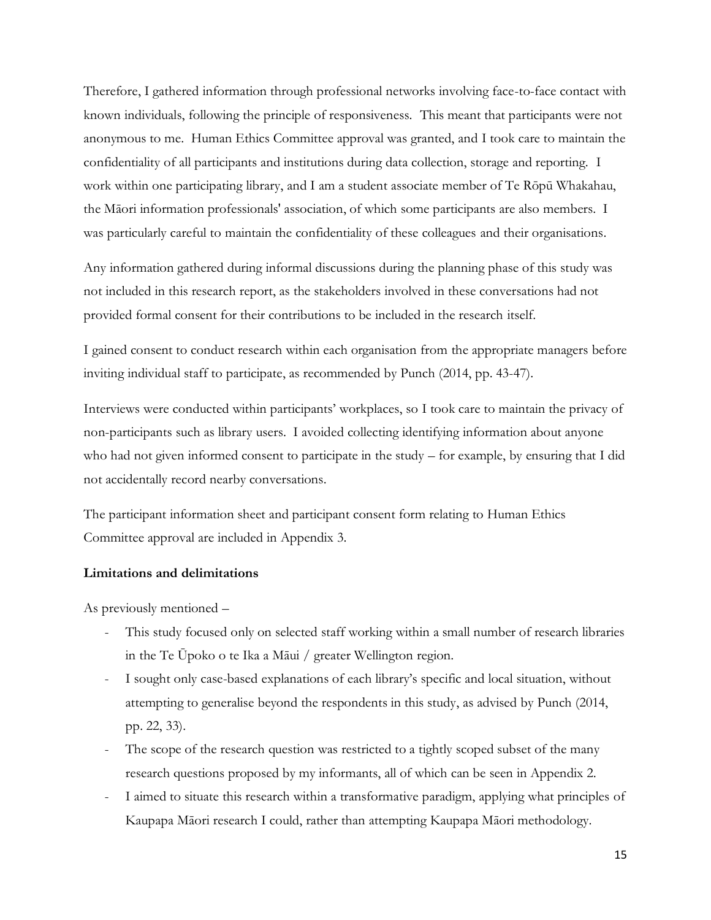Therefore, I gathered information through professional networks involving face-to-face contact with known individuals, following the principle of responsiveness. This meant that participants were not anonymous to me. Human Ethics Committee approval was granted, and I took care to maintain the confidentiality of all participants and institutions during data collection, storage and reporting. I work within one participating library, and I am a student associate member of Te Rōpū Whakahau, the Māori information professionals' association, of which some participants are also members. I was particularly careful to maintain the confidentiality of these colleagues and their organisations.

Any information gathered during informal discussions during the planning phase of this study was not included in this research report, as the stakeholders involved in these conversations had not provided formal consent for their contributions to be included in the research itself.

I gained consent to conduct research within each organisation from the appropriate managers before inviting individual staff to participate, as recommended by Punch (2014, pp. 43-47).

Interviews were conducted within participants' workplaces, so I took care to maintain the privacy of non-participants such as library users. I avoided collecting identifying information about anyone who had not given informed consent to participate in the study – for example, by ensuring that I did not accidentally record nearby conversations.

The participant information sheet and participant consent form relating to Human Ethics Committee approval are included in Appendix 3.

### **Limitations and delimitations**

As previously mentioned –

- This study focused only on selected staff working within a small number of research libraries in the Te Ūpoko o te Ika a Māui / greater Wellington region.
- I sought only case-based explanations of each library's specific and local situation, without attempting to generalise beyond the respondents in this study, as advised by Punch (2014, pp. 22, 33).
- The scope of the research question was restricted to a tightly scoped subset of the many research questions proposed by my informants, all of which can be seen in Appendix 2.
- I aimed to situate this research within a transformative paradigm, applying what principles of Kaupapa Māori research I could, rather than attempting Kaupapa Māori methodology.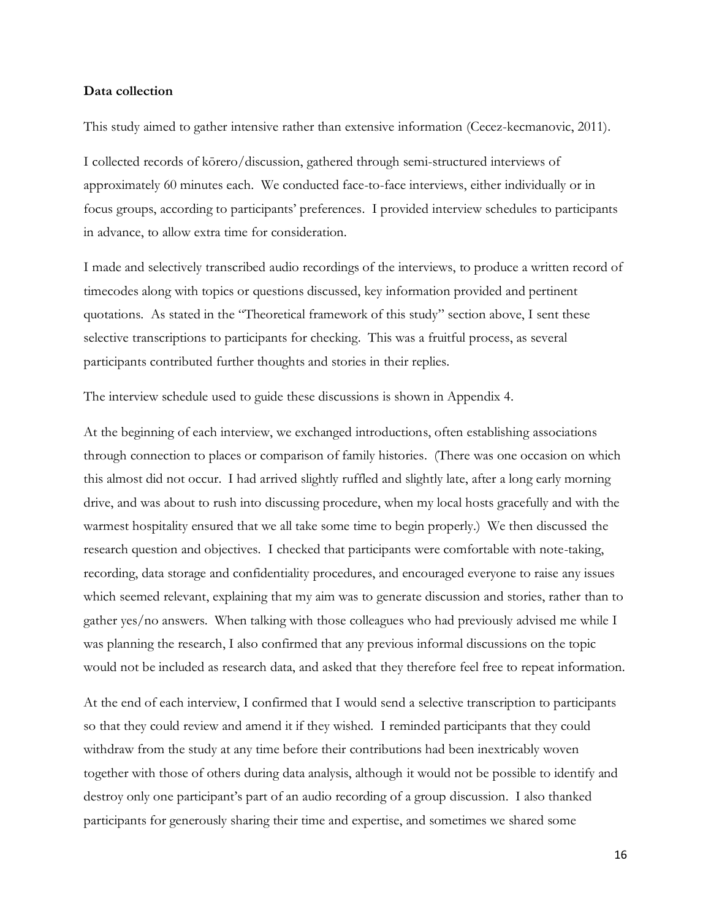#### **Data collection**

This study aimed to gather intensive rather than extensive information (Cecez-kecmanovic, 2011).

I collected records of kōrero/discussion, gathered through semi-structured interviews of approximately 60 minutes each. We conducted face-to-face interviews, either individually or in focus groups, according to participants' preferences. I provided interview schedules to participants in advance, to allow extra time for consideration.

I made and selectively transcribed audio recordings of the interviews, to produce a written record of timecodes along with topics or questions discussed, key information provided and pertinent quotations. As stated in the "Theoretical framework of this study" section above, I sent these selective transcriptions to participants for checking. This was a fruitful process, as several participants contributed further thoughts and stories in their replies.

The interview schedule used to guide these discussions is shown in Appendix 4.

At the beginning of each interview, we exchanged introductions, often establishing associations through connection to places or comparison of family histories. (There was one occasion on which this almost did not occur. I had arrived slightly ruffled and slightly late, after a long early morning drive, and was about to rush into discussing procedure, when my local hosts gracefully and with the warmest hospitality ensured that we all take some time to begin properly.) We then discussed the research question and objectives. I checked that participants were comfortable with note-taking, recording, data storage and confidentiality procedures, and encouraged everyone to raise any issues which seemed relevant, explaining that my aim was to generate discussion and stories, rather than to gather yes/no answers. When talking with those colleagues who had previously advised me while I was planning the research, I also confirmed that any previous informal discussions on the topic would not be included as research data, and asked that they therefore feel free to repeat information.

At the end of each interview, I confirmed that I would send a selective transcription to participants so that they could review and amend it if they wished. I reminded participants that they could withdraw from the study at any time before their contributions had been inextricably woven together with those of others during data analysis, although it would not be possible to identify and destroy only one participant's part of an audio recording of a group discussion. I also thanked participants for generously sharing their time and expertise, and sometimes we shared some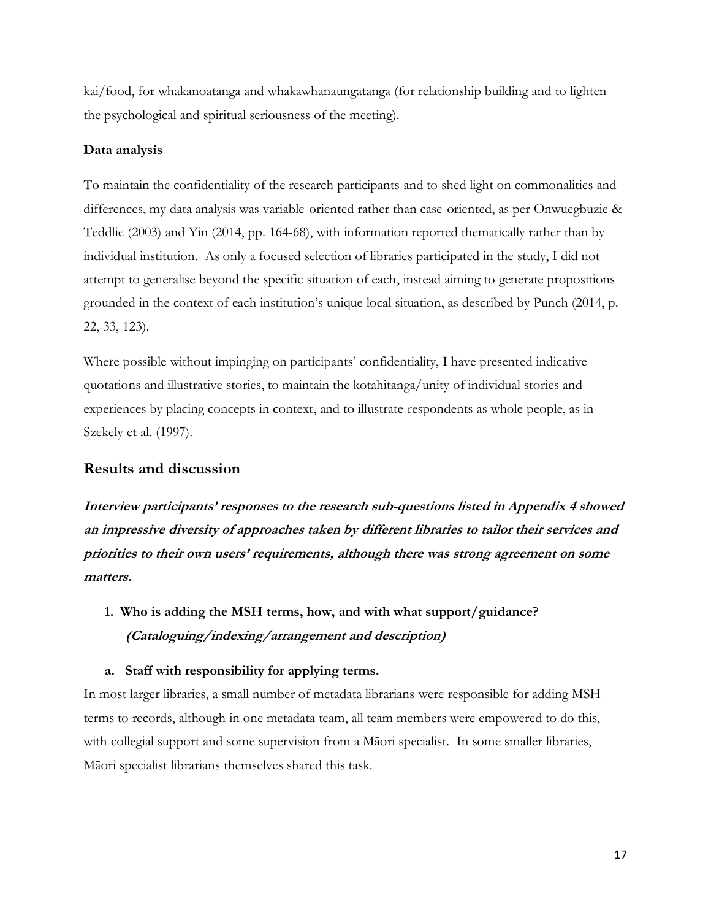kai/food, for whakanoatanga and whakawhanaungatanga (for relationship building and to lighten the psychological and spiritual seriousness of the meeting).

### **Data analysis**

To maintain the confidentiality of the research participants and to shed light on commonalities and differences, my data analysis was variable-oriented rather than case-oriented, as per Onwuegbuzie & Teddlie (2003) and Yin (2014, pp. 164-68), with information reported thematically rather than by individual institution. As only a focused selection of libraries participated in the study, I did not attempt to generalise beyond the specific situation of each, instead aiming to generate propositions grounded in the context of each institution's unique local situation, as described by Punch (2014, p. 22, 33, 123).

Where possible without impinging on participants' confidentiality, I have presented indicative quotations and illustrative stories, to maintain the kotahitanga/unity of individual stories and experiences by placing concepts in context, and to illustrate respondents as whole people, as in Szekely et al. (1997).

## **Results and discussion**

**Interview participants' responses to the research sub-questions listed in Appendix 4 showed an impressive diversity of approaches taken by different libraries to tailor their services and priorities to their own users' requirements, although there was strong agreement on some matters.**

**1. Who is adding the MSH terms, how, and with what support/guidance? (Cataloguing/indexing/arrangement and description)**

### **a. Staff with responsibility for applying terms.**

In most larger libraries, a small number of metadata librarians were responsible for adding MSH terms to records, although in one metadata team, all team members were empowered to do this, with collegial support and some supervision from a Māori specialist. In some smaller libraries, Māori specialist librarians themselves shared this task.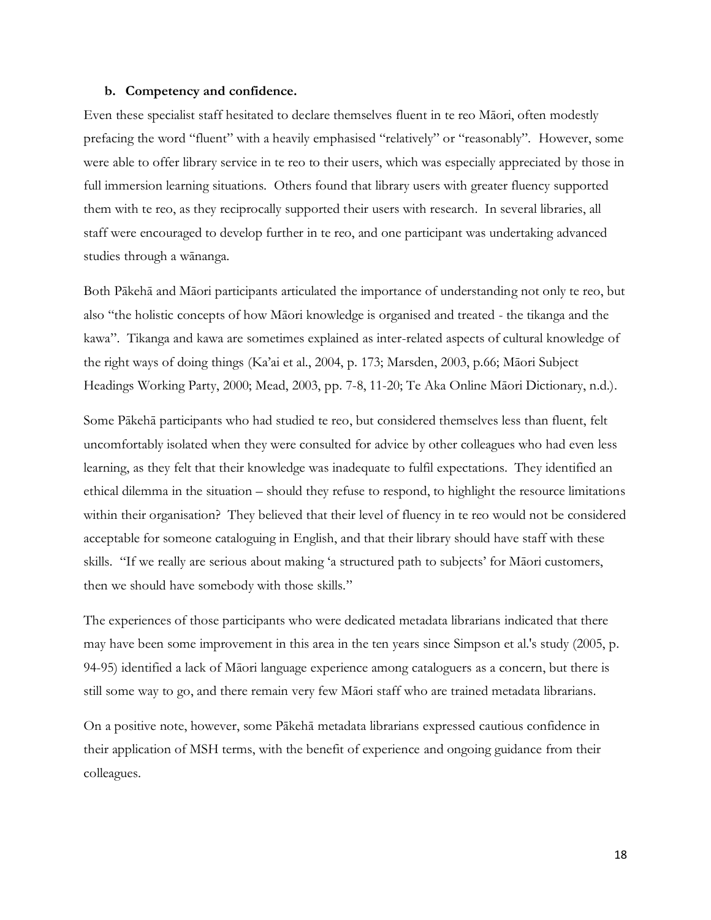#### **b. Competency and confidence.**

Even these specialist staff hesitated to declare themselves fluent in te reo Māori, often modestly prefacing the word "fluent" with a heavily emphasised "relatively" or "reasonably". However, some were able to offer library service in te reo to their users, which was especially appreciated by those in full immersion learning situations. Others found that library users with greater fluency supported them with te reo, as they reciprocally supported their users with research. In several libraries, all staff were encouraged to develop further in te reo, and one participant was undertaking advanced studies through a wānanga.

Both Pākehā and Māori participants articulated the importance of understanding not only te reo, but also "the holistic concepts of how Māori knowledge is organised and treated - the tikanga and the kawa". Tikanga and kawa are sometimes explained as inter-related aspects of cultural knowledge of the right ways of doing things (Ka'ai et al., 2004, p. 173; Marsden, 2003, p.66; Māori Subject Headings Working Party, 2000; Mead, 2003, pp. 7-8, 11-20; Te Aka Online Māori Dictionary, n.d.).

Some Pākehā participants who had studied te reo, but considered themselves less than fluent, felt uncomfortably isolated when they were consulted for advice by other colleagues who had even less learning, as they felt that their knowledge was inadequate to fulfil expectations. They identified an ethical dilemma in the situation – should they refuse to respond, to highlight the resource limitations within their organisation? They believed that their level of fluency in te reo would not be considered acceptable for someone cataloguing in English, and that their library should have staff with these skills. "If we really are serious about making 'a structured path to subjects' for Māori customers, then we should have somebody with those skills."

The experiences of those participants who were dedicated metadata librarians indicated that there may have been some improvement in this area in the ten years since Simpson et al.'s study (2005, p. 94-95) identified a lack of Māori language experience among cataloguers as a concern, but there is still some way to go, and there remain very few Māori staff who are trained metadata librarians.

On a positive note, however, some Pākehā metadata librarians expressed cautious confidence in their application of MSH terms, with the benefit of experience and ongoing guidance from their colleagues.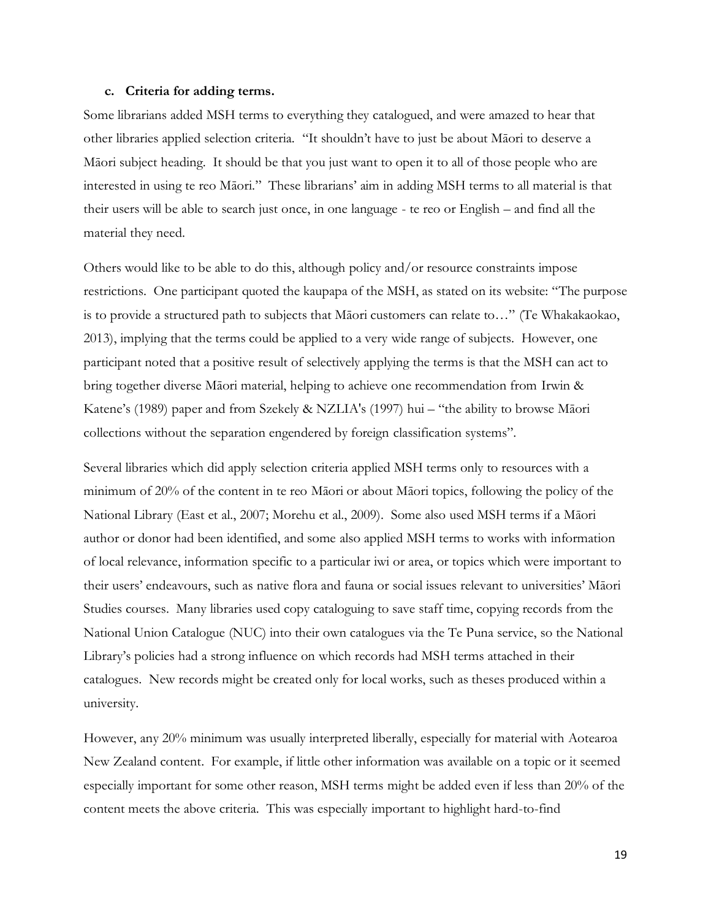#### **c. Criteria for adding terms.**

Some librarians added MSH terms to everything they catalogued, and were amazed to hear that other libraries applied selection criteria. "It shouldn't have to just be about Māori to deserve a Māori subject heading. It should be that you just want to open it to all of those people who are interested in using te reo Māori." These librarians' aim in adding MSH terms to all material is that their users will be able to search just once, in one language - te reo or English – and find all the material they need.

Others would like to be able to do this, although policy and/or resource constraints impose restrictions. One participant quoted the kaupapa of the MSH, as stated on its website: "The purpose is to provide a structured path to subjects that Māori customers can relate to…" (Te Whakakaokao, 2013), implying that the terms could be applied to a very wide range of subjects. However, one participant noted that a positive result of selectively applying the terms is that the MSH can act to bring together diverse Māori material, helping to achieve one recommendation from Irwin & Katene's (1989) paper and from Szekely & NZLIA's (1997) hui – "the ability to browse Māori collections without the separation engendered by foreign classification systems".

Several libraries which did apply selection criteria applied MSH terms only to resources with a minimum of 20% of the content in te reo Māori or about Māori topics, following the policy of the National Library (East et al., 2007; Morehu et al., 2009). Some also used MSH terms if a Māori author or donor had been identified, and some also applied MSH terms to works with information of local relevance, information specific to a particular iwi or area, or topics which were important to their users' endeavours, such as native flora and fauna or social issues relevant to universities' Māori Studies courses. Many libraries used copy cataloguing to save staff time, copying records from the National Union Catalogue (NUC) into their own catalogues via the Te Puna service, so the National Library's policies had a strong influence on which records had MSH terms attached in their catalogues. New records might be created only for local works, such as theses produced within a university.

However, any 20% minimum was usually interpreted liberally, especially for material with Aotearoa New Zealand content. For example, if little other information was available on a topic or it seemed especially important for some other reason, MSH terms might be added even if less than 20% of the content meets the above criteria. This was especially important to highlight hard-to-find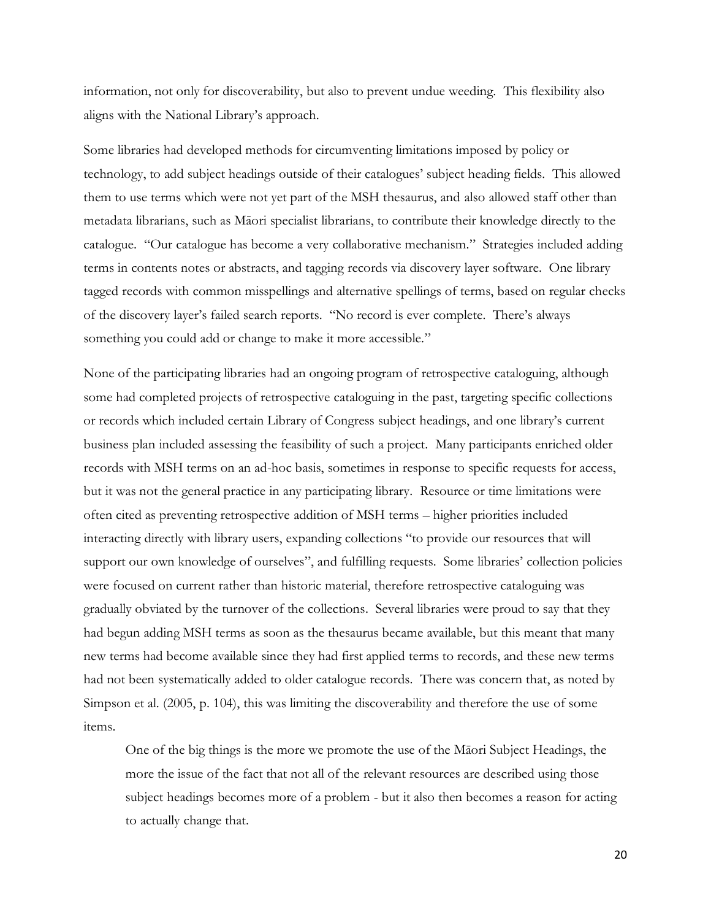information, not only for discoverability, but also to prevent undue weeding. This flexibility also aligns with the National Library's approach.

Some libraries had developed methods for circumventing limitations imposed by policy or technology, to add subject headings outside of their catalogues' subject heading fields. This allowed them to use terms which were not yet part of the MSH thesaurus, and also allowed staff other than metadata librarians, such as Māori specialist librarians, to contribute their knowledge directly to the catalogue. "Our catalogue has become a very collaborative mechanism."Strategies included adding terms in contents notes or abstracts, and tagging records via discovery layer software. One library tagged records with common misspellings and alternative spellings of terms, based on regular checks of the discovery layer's failed search reports. "No record is ever complete. There's always something you could add or change to make it more accessible."

None of the participating libraries had an ongoing program of retrospective cataloguing, although some had completed projects of retrospective cataloguing in the past, targeting specific collections or records which included certain Library of Congress subject headings, and one library's current business plan included assessing the feasibility of such a project. Many participants enriched older records with MSH terms on an ad-hoc basis, sometimes in response to specific requests for access, but it was not the general practice in any participating library. Resource or time limitations were often cited as preventing retrospective addition of MSH terms – higher priorities included interacting directly with library users, expanding collections "to provide our resources that will support our own knowledge of ourselves", and fulfilling requests. Some libraries' collection policies were focused on current rather than historic material, therefore retrospective cataloguing was gradually obviated by the turnover of the collections. Several libraries were proud to say that they had begun adding MSH terms as soon as the thesaurus became available, but this meant that many new terms had become available since they had first applied terms to records, and these new terms had not been systematically added to older catalogue records. There was concern that, as noted by Simpson et al. (2005, p. 104), this was limiting the discoverability and therefore the use of some items.

One of the big things is the more we promote the use of the Māori Subject Headings, the more the issue of the fact that not all of the relevant resources are described using those subject headings becomes more of a problem - but it also then becomes a reason for acting to actually change that.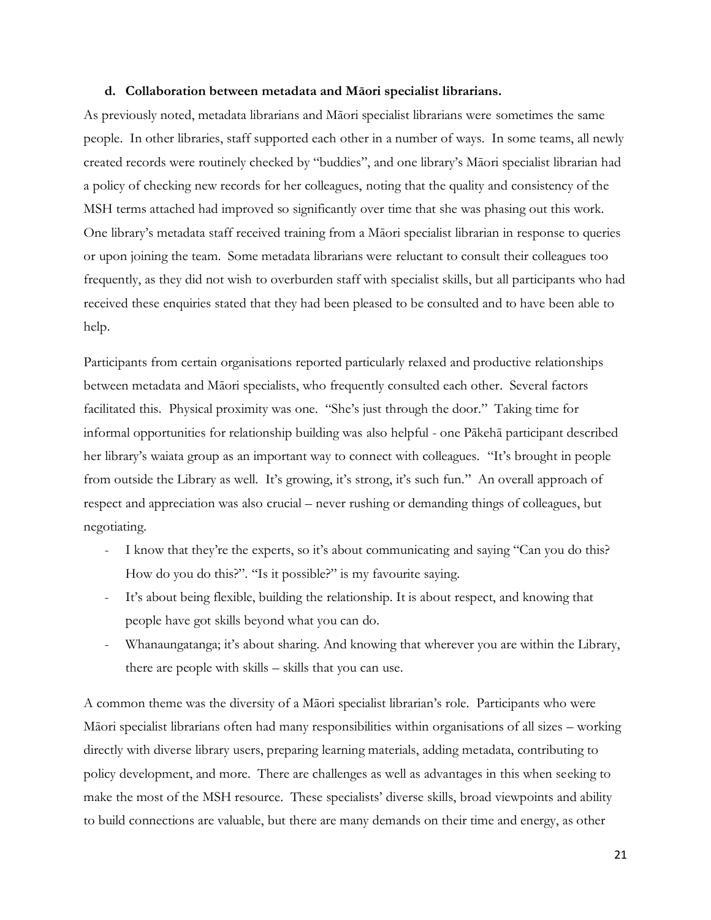#### **d. Collaboration between metadata and Māori specialist librarians.**

As previously noted, metadata librarians and Māori specialist librarians were sometimes the same people. In other libraries, staff supported each other in a number of ways. In some teams, all newly created records were routinely checked by "buddies", and one library's Māori specialist librarian had a policy of checking new records for her colleagues, noting that the quality and consistency of the MSH terms attached had improved so significantly over time that she was phasing out this work. One library's metadata staff received training from a Māori specialist librarian in response to queries or upon joining the team. Some metadata librarians were reluctant to consult their colleagues too frequently, as they did not wish to overburden staff with specialist skills, but all participants who had received these enquiries stated that they had been pleased to be consulted and to have been able to help.

Participants from certain organisations reported particularly relaxed and productive relationships between metadata and Māori specialists, who frequently consulted each other. Several factors facilitated this. Physical proximity was one. "She's just through the door."Taking time for informal opportunities for relationship building was also helpful - one Pākehā participant described her library's waiata group as an important way to connect with colleagues. "It's brought in people from outside the Library as well. It's growing, it's strong, it's such fun." An overall approach of respect and appreciation was also crucial – never rushing or demanding things of colleagues, but negotiating.

- I know that they're the experts, so it's about communicating and saying "Can you do this? How do you do this?". "Is it possible?" is my favourite saying.
- It's about being flexible, building the relationship. It is about respect, and knowing that people have got skills beyond what you can do.
- Whanaungatanga; it's about sharing. And knowing that wherever you are within the Library, there are people with skills – skills that you can use.

A common theme was the diversity of a Māori specialist librarian's role. Participants who were Māori specialist librarians often had many responsibilities within organisations of all sizes – working directly with diverse library users, preparing learning materials, adding metadata, contributing to policy development, and more. There are challenges as well as advantages in this when seeking to make the most of the MSH resource. These specialists' diverse skills, broad viewpoints and ability to build connections are valuable, but there are many demands on their time and energy, as other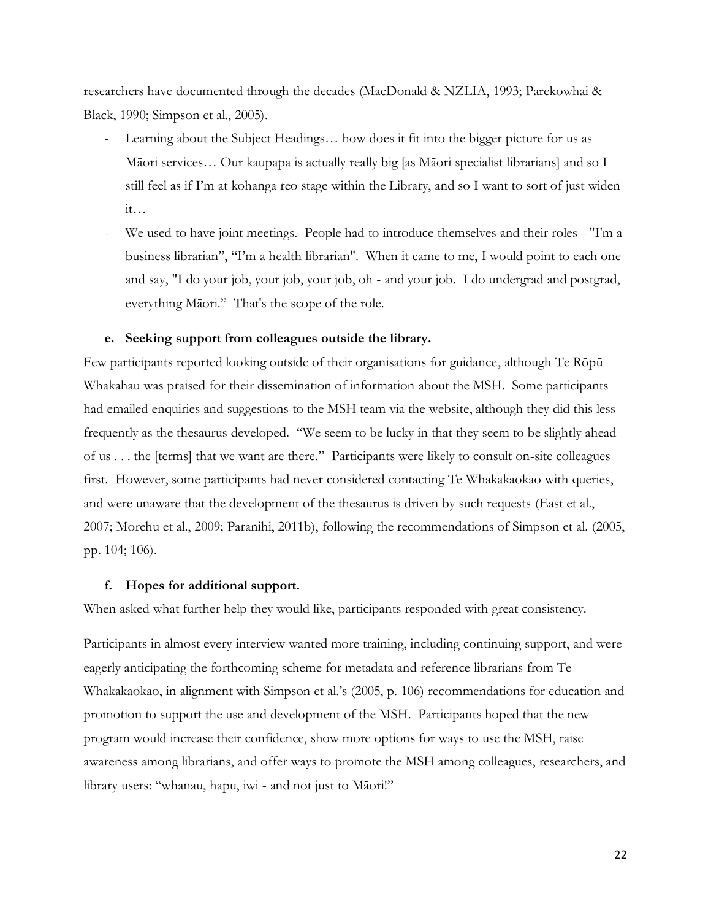researchers have documented through the decades (MacDonald & NZLIA, 1993; Parekowhai & Black, 1990; Simpson et al., 2005).

- Learning about the Subject Headings... how does it fit into the bigger picture for us as Māori services… Our kaupapa is actually really big [as Māori specialist librarians] and so I still feel as if I'm at kohanga reo stage within the Library, and so I want to sort of just widen  $it...$
- We used to have joint meetings. People had to introduce themselves and their roles "I'm a business librarian", "I'm a health librarian". When it came to me, I would point to each one and say, "I do your job, your job, your job, oh - and your job. I do undergrad and postgrad, everything Māori." That's the scope of the role.

### **e. Seeking support from colleagues outside the library.**

Few participants reported looking outside of their organisations for guidance, although Te Rōpū Whakahau was praised for their dissemination of information about the MSH. Some participants had emailed enquiries and suggestions to the MSH team via the website, although they did this less frequently as the thesaurus developed. "We seem to be lucky in that they seem to be slightly ahead of us . . . the [terms] that we want are there."Participants were likely to consult on-site colleagues first. However, some participants had never considered contacting Te Whakakaokao with queries, and were unaware that the development of the thesaurus is driven by such requests (East et al., 2007; Morehu et al., 2009; Paranihi, 2011b), following the recommendations of Simpson et al. (2005, pp. 104; 106).

#### **f. Hopes for additional support.**

When asked what further help they would like, participants responded with great consistency.

Participants in almost every interview wanted more training, including continuing support, and were eagerly anticipating the forthcoming scheme for metadata and reference librarians from Te Whakakaokao, in alignment with Simpson et al.'s (2005, p. 106) recommendations for education and promotion to support the use and development of the MSH. Participants hoped that the new program would increase their confidence, show more options for ways to use the MSH, raise awareness among librarians, and offer ways to promote the MSH among colleagues, researchers, and library users: "whanau, hapu, iwi - and not just to Māori!"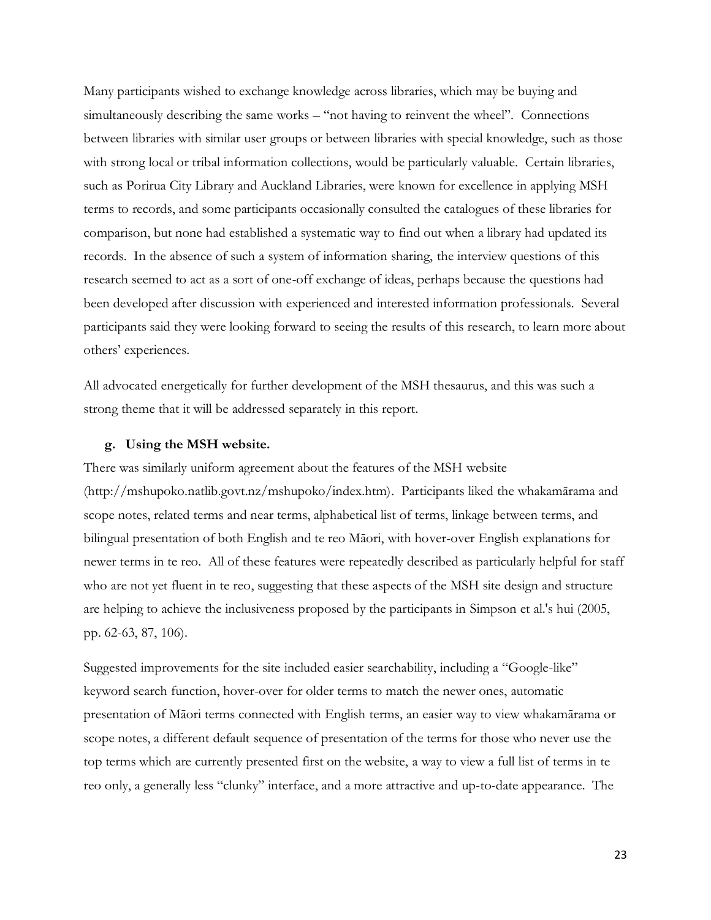Many participants wished to exchange knowledge across libraries, which may be buying and simultaneously describing the same works – "not having to reinvent the wheel".Connections between libraries with similar user groups or between libraries with special knowledge, such as those with strong local or tribal information collections, would be particularly valuable. Certain libraries, such as Porirua City Library and Auckland Libraries, were known for excellence in applying MSH terms to records, and some participants occasionally consulted the catalogues of these libraries for comparison, but none had established a systematic way to find out when a library had updated its records. In the absence of such a system of information sharing, the interview questions of this research seemed to act as a sort of one-off exchange of ideas, perhaps because the questions had been developed after discussion with experienced and interested information professionals. Several participants said they were looking forward to seeing the results of this research, to learn more about others' experiences.

All advocated energetically for further development of the MSH thesaurus, and this was such a strong theme that it will be addressed separately in this report.

#### **g. Using the MSH website.**

There was similarly uniform agreement about the features of the MSH website (http://mshupoko.natlib.govt.nz/mshupoko/index.htm). Participants liked the whakamārama and scope notes, related terms and near terms, alphabetical list of terms, linkage between terms, and bilingual presentation of both English and te reo Māori, with hover-over English explanations for newer terms in te reo. All of these features were repeatedly described as particularly helpful for staff who are not yet fluent in te reo, suggesting that these aspects of the MSH site design and structure are helping to achieve the inclusiveness proposed by the participants in Simpson et al.'s hui (2005, pp. 62-63, 87, 106).

Suggested improvements for the site included easier searchability, including a "Google-like" keyword search function, hover-over for older terms to match the newer ones, automatic presentation of Māori terms connected with English terms, an easier way to view whakamārama or scope notes, a different default sequence of presentation of the terms for those who never use the top terms which are currently presented first on the website, a way to view a full list of terms in te reo only, a generally less "clunky" interface, and a more attractive and up-to-date appearance. The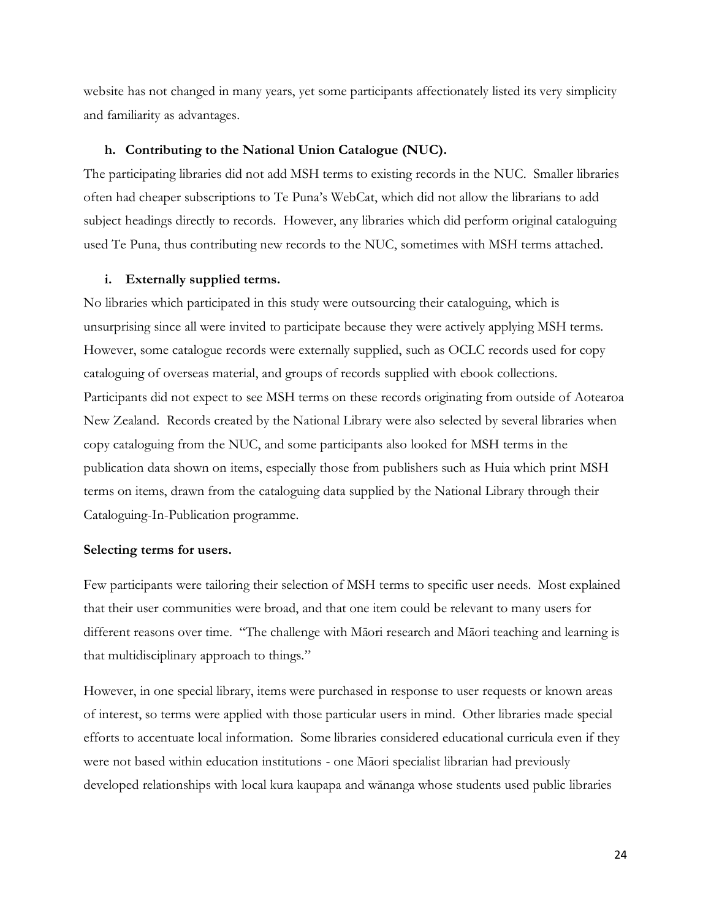website has not changed in many years, yet some participants affectionately listed its very simplicity and familiarity as advantages.

#### **h. Contributing to the National Union Catalogue (NUC).**

The participating libraries did not add MSH terms to existing records in the NUC. Smaller libraries often had cheaper subscriptions to Te Puna's WebCat, which did not allow the librarians to add subject headings directly to records. However, any libraries which did perform original cataloguing used Te Puna, thus contributing new records to the NUC, sometimes with MSH terms attached.

### **i. Externally supplied terms.**

No libraries which participated in this study were outsourcing their cataloguing, which is unsurprising since all were invited to participate because they were actively applying MSH terms. However, some catalogue records were externally supplied, such as OCLC records used for copy cataloguing of overseas material, and groups of records supplied with ebook collections. Participants did not expect to see MSH terms on these records originating from outside of Aotearoa New Zealand. Records created by the National Library were also selected by several libraries when copy cataloguing from the NUC, and some participants also looked for MSH terms in the publication data shown on items, especially those from publishers such as Huia which print MSH terms on items, drawn from the cataloguing data supplied by the National Library through their Cataloguing-In-Publication programme.

#### **Selecting terms for users.**

Few participants were tailoring their selection of MSH terms to specific user needs. Most explained that their user communities were broad, and that one item could be relevant to many users for different reasons over time. "The challenge with Māori research and Māori teaching and learning is that multidisciplinary approach to things."

However, in one special library, items were purchased in response to user requests or known areas of interest, so terms were applied with those particular users in mind. Other libraries made special efforts to accentuate local information. Some libraries considered educational curricula even if they were not based within education institutions - one Māori specialist librarian had previously developed relationships with local kura kaupapa and wānanga whose students used public libraries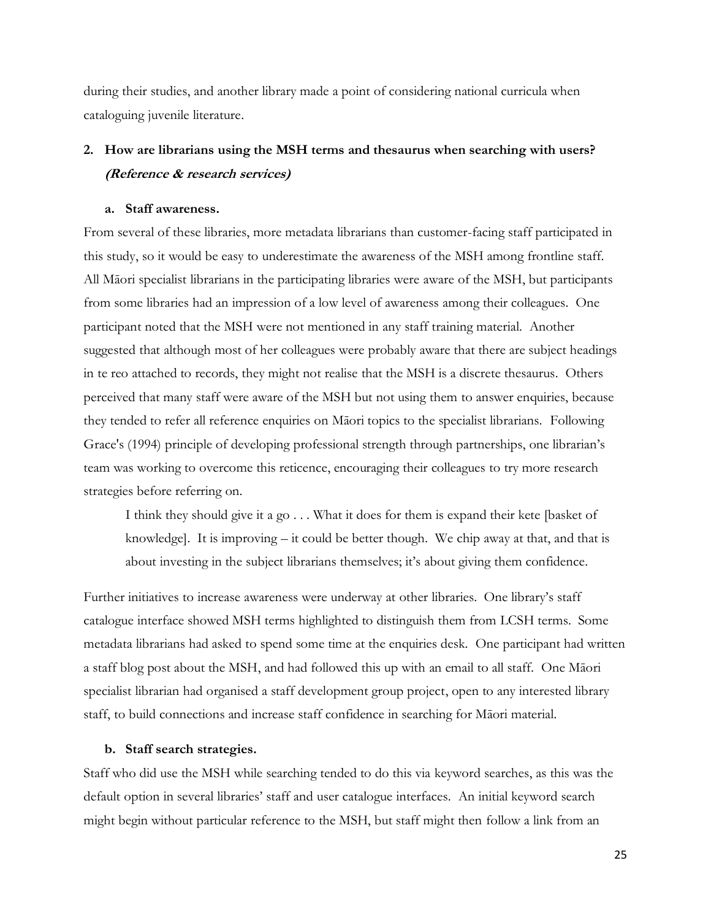during their studies, and another library made a point of considering national curricula when cataloguing juvenile literature.

## **2. How are librarians using the MSH terms and thesaurus when searching with users? (Reference & research services)**

### **a. Staff awareness.**

From several of these libraries, more metadata librarians than customer-facing staff participated in this study, so it would be easy to underestimate the awareness of the MSH among frontline staff. All Māori specialist librarians in the participating libraries were aware of the MSH, but participants from some libraries had an impression of a low level of awareness among their colleagues. One participant noted that the MSH were not mentioned in any staff training material. Another suggested that although most of her colleagues were probably aware that there are subject headings in te reo attached to records, they might not realise that the MSH is a discrete thesaurus. Others perceived that many staff were aware of the MSH but not using them to answer enquiries, because they tended to refer all reference enquiries on Māori topics to the specialist librarians. Following Grace's (1994) principle of developing professional strength through partnerships, one librarian's team was working to overcome this reticence, encouraging their colleagues to try more research strategies before referring on.

I think they should give it a go . . . What it does for them is expand their kete [basket of knowledge]. It is improving – it could be better though. We chip away at that, and that is about investing in the subject librarians themselves; it's about giving them confidence.

Further initiatives to increase awareness were underway at other libraries. One library's staff catalogue interface showed MSH terms highlighted to distinguish them from LCSH terms. Some metadata librarians had asked to spend some time at the enquiries desk. One participant had written a staff blog post about the MSH, and had followed this up with an email to all staff. One Māori specialist librarian had organised a staff development group project, open to any interested library staff, to build connections and increase staff confidence in searching for Māori material.

#### **b. Staff search strategies.**

Staff who did use the MSH while searching tended to do this via keyword searches, as this was the default option in several libraries' staff and user catalogue interfaces. An initial keyword search might begin without particular reference to the MSH, but staff might then follow a link from an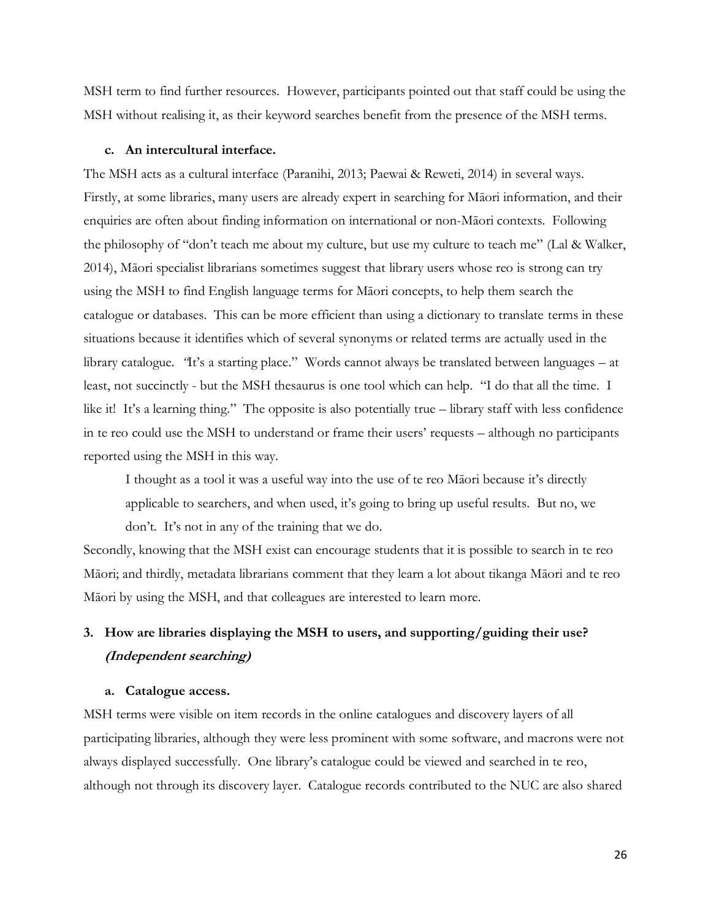MSH term to find further resources. However, participants pointed out that staff could be using the MSH without realising it, as their keyword searches benefit from the presence of the MSH terms.

### **c. An intercultural interface.**

The MSH acts as a cultural interface (Paranihi, 2013; Paewai & Reweti, 2014) in several ways. Firstly, at some libraries, many users are already expert in searching for Māori information, and their enquiries are often about finding information on international or non-Māori contexts. Following the philosophy of "don't teach me about my culture, but use my culture to teach me" (Lal & Walker, 2014), Māori specialist librarians sometimes suggest that library users whose reo is strong can try using the MSH to find English language terms for Māori concepts, to help them search the catalogue or databases. This can be more efficient than using a dictionary to translate terms in these situations because it identifies which of several synonyms or related terms are actually used in the library catalogue*. "*It's a starting place."Words cannot always be translated between languages – at least, not succinctly - but the MSH thesaurus is one tool which can help. "I do that all the time. I like it! It's a learning thing." The opposite is also potentially true – library staff with less confidence in te reo could use the MSH to understand or frame their users' requests – although no participants reported using the MSH in this way.

I thought as a tool it was a useful way into the use of te reo Māori because it's directly applicable to searchers, and when used, it's going to bring up useful results. But no, we don't. It's not in any of the training that we do.

Secondly, knowing that the MSH exist can encourage students that it is possible to search in te reo Māori; and thirdly, metadata librarians comment that they learn a lot about tikanga Māori and te reo Māori by using the MSH, and that colleagues are interested to learn more.

## **3. How are libraries displaying the MSH to users, and supporting/guiding their use? (Independent searching)**

### **a. Catalogue access.**

MSH terms were visible on item records in the online catalogues and discovery layers of all participating libraries, although they were less prominent with some software, and macrons were not always displayed successfully. One library's catalogue could be viewed and searched in te reo, although not through its discovery layer. Catalogue records contributed to the NUC are also shared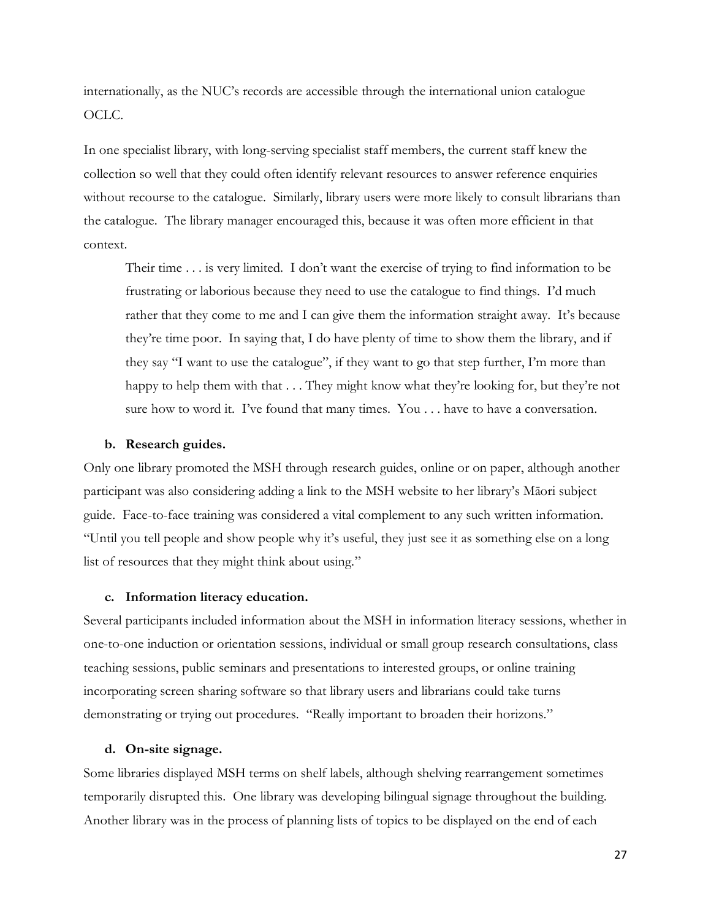internationally, as the NUC's records are accessible through the international union catalogue OCLC.

In one specialist library, with long-serving specialist staff members, the current staff knew the collection so well that they could often identify relevant resources to answer reference enquiries without recourse to the catalogue. Similarly, library users were more likely to consult librarians than the catalogue. The library manager encouraged this, because it was often more efficient in that context.

Their time . . . is very limited. I don't want the exercise of trying to find information to be frustrating or laborious because they need to use the catalogue to find things. I'd much rather that they come to me and I can give them the information straight away. It's because they're time poor. In saying that, I do have plenty of time to show them the library, and if they say "I want to use the catalogue", if they want to go that step further, I'm more than happy to help them with that . . . They might know what they're looking for, but they're not sure how to word it. I've found that many times. You . . . have to have a conversation.

#### **b. Research guides.**

Only one library promoted the MSH through research guides, online or on paper, although another participant was also considering adding a link to the MSH website to her library's Māori subject guide. Face-to-face training was considered a vital complement to any such written information. "Until you tell people and show people why it's useful, they just see it as something else on a long list of resources that they might think about using."

### **c. Information literacy education.**

Several participants included information about the MSH in information literacy sessions, whether in one-to-one induction or orientation sessions, individual or small group research consultations, class teaching sessions, public seminars and presentations to interested groups, or online training incorporating screen sharing software so that library users and librarians could take turns demonstrating or trying out procedures. "Really important to broaden their horizons."

### **d. On-site signage.**

Some libraries displayed MSH terms on shelf labels, although shelving rearrangement sometimes temporarily disrupted this. One library was developing bilingual signage throughout the building. Another library was in the process of planning lists of topics to be displayed on the end of each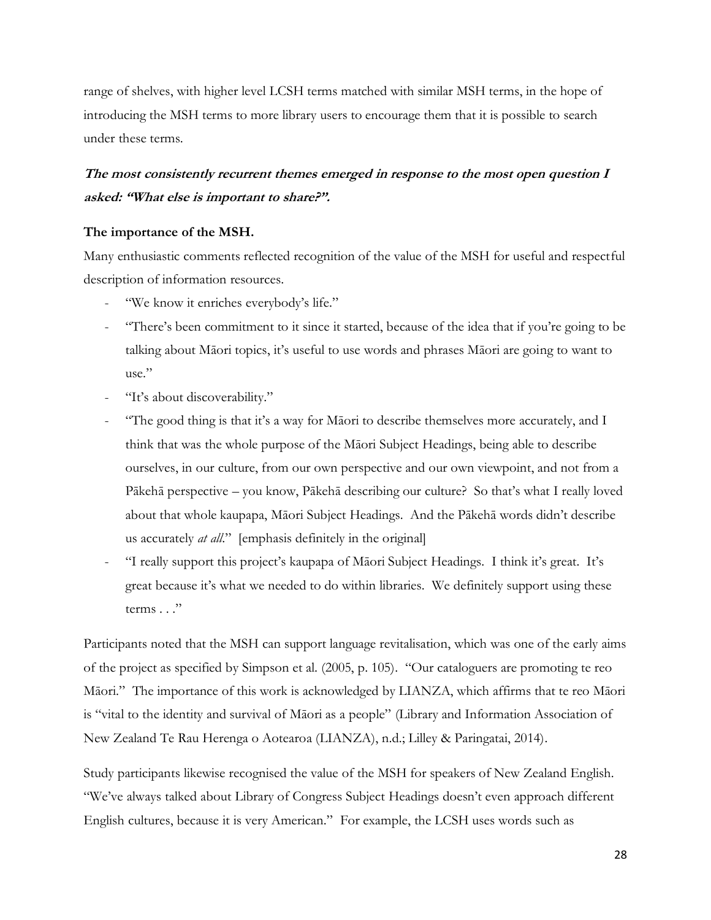range of shelves, with higher level LCSH terms matched with similar MSH terms, in the hope of introducing the MSH terms to more library users to encourage them that it is possible to search under these terms.

## **The most consistently recurrent themes emerged in response to the most open question I asked: "What else is important to share?".**

### **The importance of the MSH.**

Many enthusiastic comments reflected recognition of the value of the MSH for useful and respectful description of information resources.

- "We know it enriches everybody's life."
- "There's been commitment to it since it started, because of the idea that if you're going to be talking about Māori topics, it's useful to use words and phrases Māori are going to want to use."
- "It's about discoverability."
- "The good thing is that it's a way for Māori to describe themselves more accurately, and I think that was the whole purpose of the Māori Subject Headings, being able to describe ourselves, in our culture, from our own perspective and our own viewpoint, and not from a Pākehā perspective – you know, Pākehā describing our culture? So that's what I really loved about that whole kaupapa, Māori Subject Headings. And the Pākehā words didn't describe us accurately *at all*." [emphasis definitely in the original]
- "I really support this project's kaupapa of Māori Subject Headings. I think it's great. It's great because it's what we needed to do within libraries. We definitely support using these terms . . ."

Participants noted that the MSH can support language revitalisation, which was one of the early aims of the project as specified by Simpson et al. (2005, p. 105). "Our cataloguers are promoting te reo Māori."The importance of this work is acknowledged by LIANZA, which affirms that te reo Māori is "vital to the identity and survival of Māori as a people" (Library and Information Association of New Zealand Te Rau Herenga o Aotearoa (LIANZA), n.d.; Lilley & Paringatai, 2014).

Study participants likewise recognised the value of the MSH for speakers of New Zealand English. "We've always talked about Library of Congress Subject Headings doesn't even approach different English cultures, because it is very American."For example, the LCSH uses words such as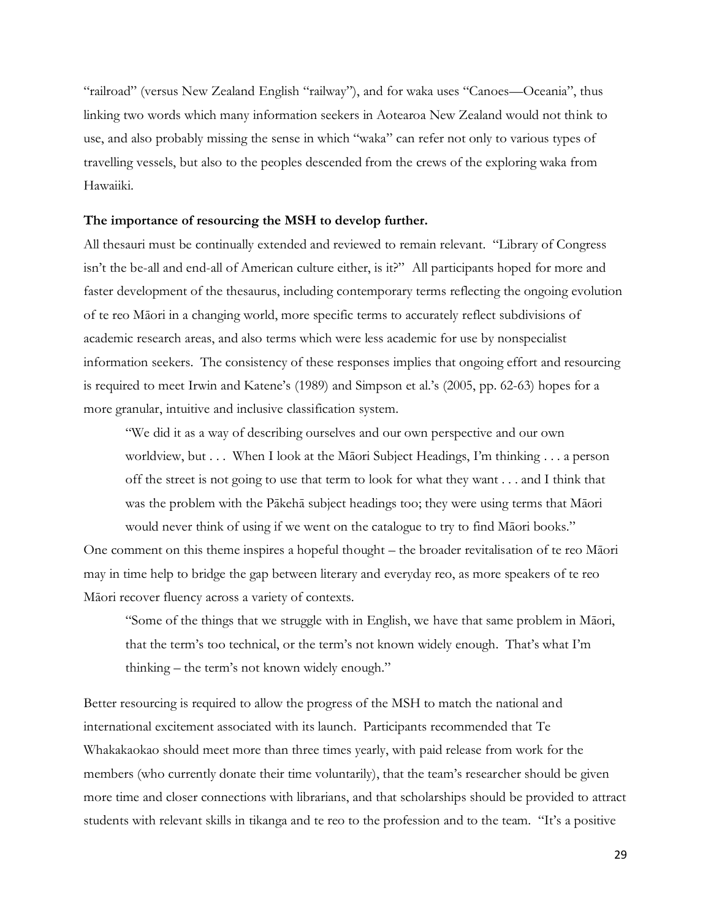"railroad" (versus New Zealand English "railway"), and for waka uses "Canoes—Oceania", thus linking two words which many information seekers in Aotearoa New Zealand would not think to use, and also probably missing the sense in which "waka" can refer not only to various types of travelling vessels, but also to the peoples descended from the crews of the exploring waka from Hawaiiki.

#### **The importance of resourcing the MSH to develop further.**

All thesauri must be continually extended and reviewed to remain relevant. "Library of Congress isn't the be-all and end-all of American culture either, is it?"All participants hoped for more and faster development of the thesaurus, including contemporary terms reflecting the ongoing evolution of te reo Māori in a changing world, more specific terms to accurately reflect subdivisions of academic research areas, and also terms which were less academic for use by nonspecialist information seekers. The consistency of these responses implies that ongoing effort and resourcing is required to meet Irwin and Katene's (1989) and Simpson et al.'s (2005, pp. 62-63) hopes for a more granular, intuitive and inclusive classification system.

"We did it as a way of describing ourselves and our own perspective and our own worldview, but . . . When I look at the Māori Subject Headings, I'm thinking . . . a person off the street is not going to use that term to look for what they want . . . and I think that was the problem with the Pākehā subject headings too; they were using terms that Māori would never think of using if we went on the catalogue to try to find Māori books."

One comment on this theme inspires a hopeful thought – the broader revitalisation of te reo Māori may in time help to bridge the gap between literary and everyday reo, as more speakers of te reo Māori recover fluency across a variety of contexts.

"Some of the things that we struggle with in English, we have that same problem in Māori, that the term's too technical, or the term's not known widely enough. That's what I'm thinking – the term's not known widely enough."

Better resourcing is required to allow the progress of the MSH to match the national and international excitement associated with its launch. Participants recommended that Te Whakakaokao should meet more than three times yearly, with paid release from work for the members (who currently donate their time voluntarily), that the team's researcher should be given more time and closer connections with librarians, and that scholarships should be provided to attract students with relevant skills in tikanga and te reo to the profession and to the team. "It's a positive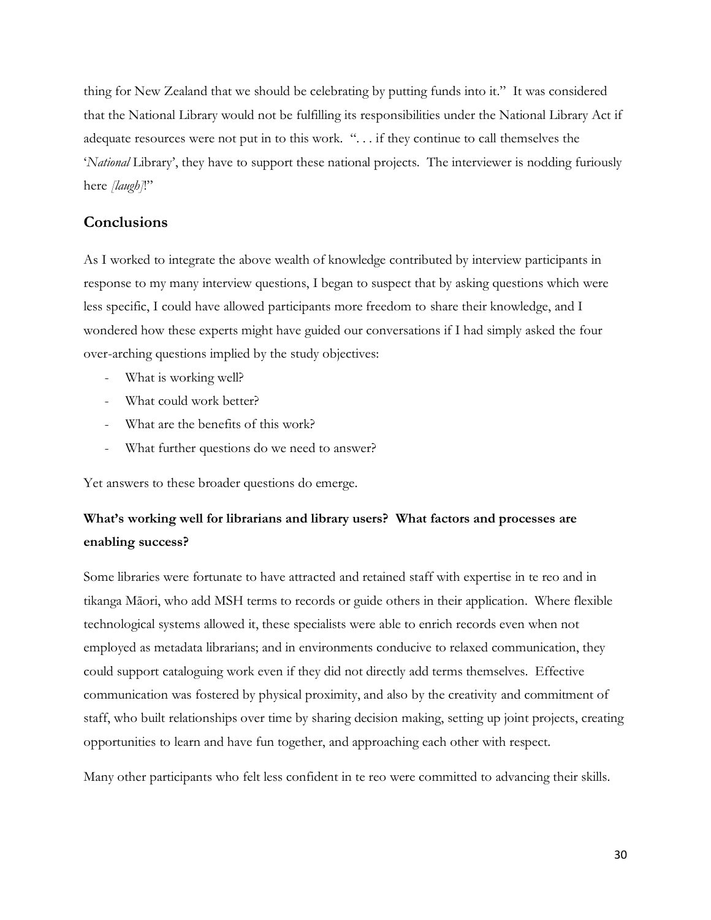thing for New Zealand that we should be celebrating by putting funds into it." It was considered that the National Library would not be fulfilling its responsibilities under the National Library Act if adequate resources were not put in to this work. ". . . if they continue to call themselves the '*National* Library', they have to support these national projects. The interviewer is nodding furiously here *[laugh]*!"

## **Conclusions**

As I worked to integrate the above wealth of knowledge contributed by interview participants in response to my many interview questions, I began to suspect that by asking questions which were less specific, I could have allowed participants more freedom to share their knowledge, and I wondered how these experts might have guided our conversations if I had simply asked the four over-arching questions implied by the study objectives:

- What is working well?
- What could work better?
- What are the benefits of this work?
- What further questions do we need to answer?

Yet answers to these broader questions do emerge.

## **What's working well for librarians and library users? What factors and processes are enabling success?**

Some libraries were fortunate to have attracted and retained staff with expertise in te reo and in tikanga Māori, who add MSH terms to records or guide others in their application. Where flexible technological systems allowed it, these specialists were able to enrich records even when not employed as metadata librarians; and in environments conducive to relaxed communication, they could support cataloguing work even if they did not directly add terms themselves. Effective communication was fostered by physical proximity, and also by the creativity and commitment of staff, who built relationships over time by sharing decision making, setting up joint projects, creating opportunities to learn and have fun together, and approaching each other with respect.

Many other participants who felt less confident in te reo were committed to advancing their skills.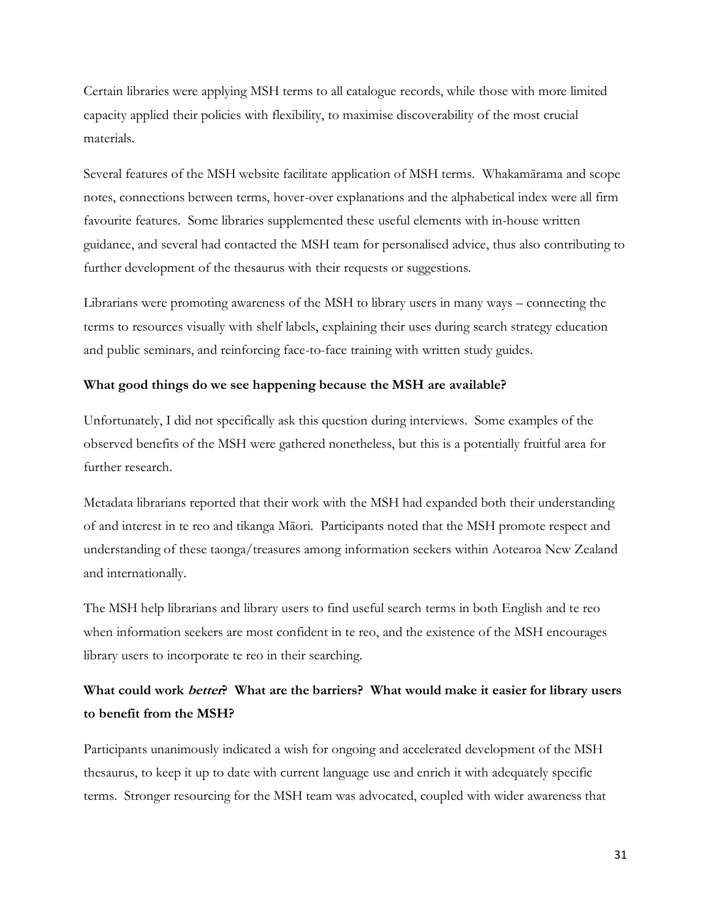Certain libraries were applying MSH terms to all catalogue records, while those with more limited capacity applied their policies with flexibility, to maximise discoverability of the most crucial materials.

Several features of the MSH website facilitate application of MSH terms. Whakamārama and scope notes, connections between terms, hover-over explanations and the alphabetical index were all firm favourite features. Some libraries supplemented these useful elements with in-house written guidance, and several had contacted the MSH team for personalised advice, thus also contributing to further development of the thesaurus with their requests or suggestions.

Librarians were promoting awareness of the MSH to library users in many ways – connecting the terms to resources visually with shelf labels, explaining their uses during search strategy education and public seminars, and reinforcing face-to-face training with written study guides.

### **What good things do we see happening because the MSH are available?**

Unfortunately, I did not specifically ask this question during interviews. Some examples of the observed benefits of the MSH were gathered nonetheless, but this is a potentially fruitful area for further research.

Metadata librarians reported that their work with the MSH had expanded both their understanding of and interest in te reo and tikanga Māori. Participants noted that the MSH promote respect and understanding of these taonga/treasures among information seekers within Aotearoa New Zealand and internationally.

The MSH help librarians and library users to find useful search terms in both English and te reo when information seekers are most confident in te reo, and the existence of the MSH encourages library users to incorporate te reo in their searching.

## **What could work better? What are the barriers? What would make it easier for library users to benefit from the MSH?**

Participants unanimously indicated a wish for ongoing and accelerated development of the MSH thesaurus, to keep it up to date with current language use and enrich it with adequately specific terms. Stronger resourcing for the MSH team was advocated, coupled with wider awareness that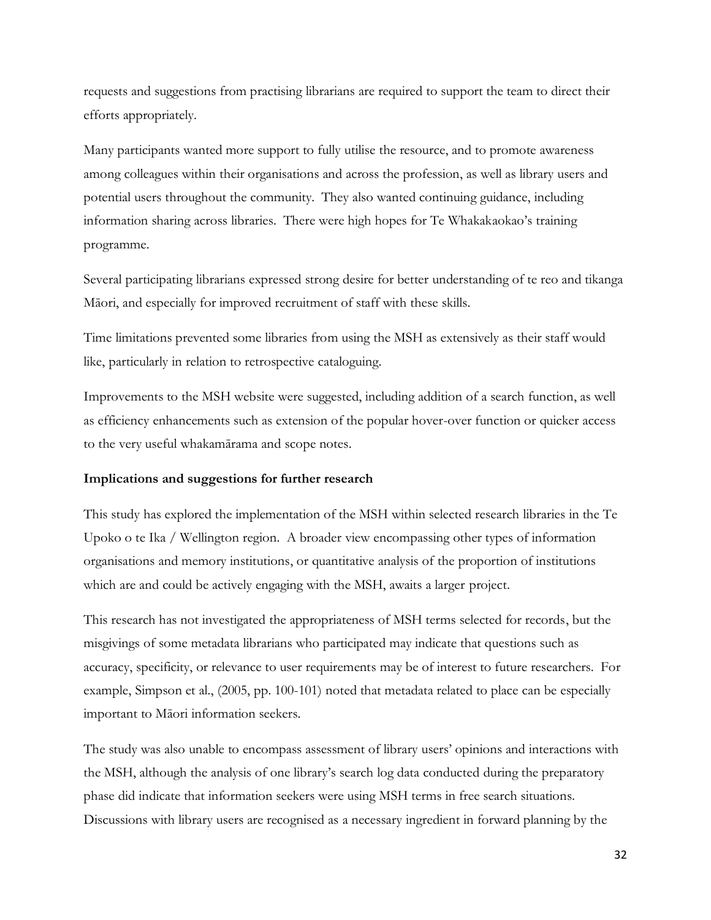requests and suggestions from practising librarians are required to support the team to direct their efforts appropriately.

Many participants wanted more support to fully utilise the resource, and to promote awareness among colleagues within their organisations and across the profession, as well as library users and potential users throughout the community. They also wanted continuing guidance, including information sharing across libraries. There were high hopes for Te Whakakaokao's training programme.

Several participating librarians expressed strong desire for better understanding of te reo and tikanga Māori, and especially for improved recruitment of staff with these skills.

Time limitations prevented some libraries from using the MSH as extensively as their staff would like, particularly in relation to retrospective cataloguing.

Improvements to the MSH website were suggested, including addition of a search function, as well as efficiency enhancements such as extension of the popular hover-over function or quicker access to the very useful whakamārama and scope notes.

### **Implications and suggestions for further research**

This study has explored the implementation of the MSH within selected research libraries in the Te Upoko o te Ika / Wellington region. A broader view encompassing other types of information organisations and memory institutions, or quantitative analysis of the proportion of institutions which are and could be actively engaging with the MSH, awaits a larger project.

This research has not investigated the appropriateness of MSH terms selected for records, but the misgivings of some metadata librarians who participated may indicate that questions such as accuracy, specificity, or relevance to user requirements may be of interest to future researchers. For example, Simpson et al., (2005, pp. 100-101) noted that metadata related to place can be especially important to Māori information seekers.

The study was also unable to encompass assessment of library users' opinions and interactions with the MSH, although the analysis of one library's search log data conducted during the preparatory phase did indicate that information seekers were using MSH terms in free search situations. Discussions with library users are recognised as a necessary ingredient in forward planning by the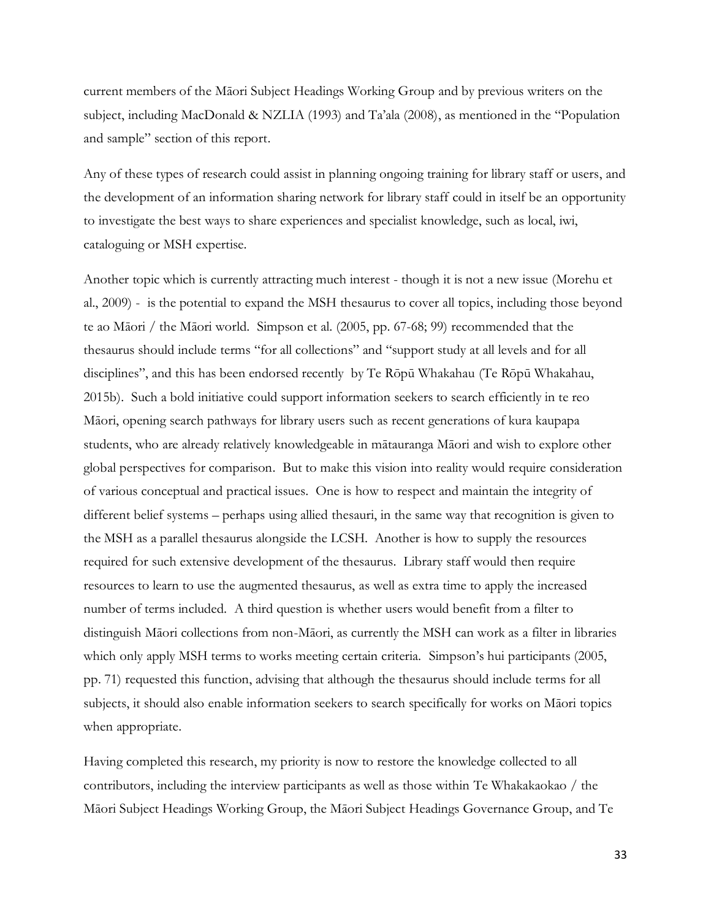current members of the Māori Subject Headings Working Group and by previous writers on the subject, including MacDonald & NZLIA (1993) and Ta'ala (2008), as mentioned in the "Population and sample" section of this report.

Any of these types of research could assist in planning ongoing training for library staff or users, and the development of an information sharing network for library staff could in itself be an opportunity to investigate the best ways to share experiences and specialist knowledge, such as local, iwi, cataloguing or MSH expertise.

Another topic which is currently attracting much interest - though it is not a new issue (Morehu et al., 2009) - is the potential to expand the MSH thesaurus to cover all topics, including those beyond te ao Māori / the Māori world. Simpson et al. (2005, pp. 67-68; 99) recommended that the thesaurus should include terms "for all collections" and "support study at all levels and for all disciplines", and this has been endorsed recently by Te Rōpū Whakahau (Te Rōpū Whakahau, 2015b). Such a bold initiative could support information seekers to search efficiently in te reo Māori, opening search pathways for library users such as recent generations of kura kaupapa students, who are already relatively knowledgeable in mātauranga Māori and wish to explore other global perspectives for comparison. But to make this vision into reality would require consideration of various conceptual and practical issues. One is how to respect and maintain the integrity of different belief systems – perhaps using allied thesauri, in the same way that recognition is given to the MSH as a parallel thesaurus alongside the LCSH. Another is how to supply the resources required for such extensive development of the thesaurus. Library staff would then require resources to learn to use the augmented thesaurus, as well as extra time to apply the increased number of terms included. A third question is whether users would benefit from a filter to distinguish Māori collections from non-Māori, as currently the MSH can work as a filter in libraries which only apply MSH terms to works meeting certain criteria. Simpson's hui participants (2005, pp. 71) requested this function, advising that although the thesaurus should include terms for all subjects, it should also enable information seekers to search specifically for works on Māori topics when appropriate.

Having completed this research, my priority is now to restore the knowledge collected to all contributors, including the interview participants as well as those within Te Whakakaokao / the Māori Subject Headings Working Group, the Māori Subject Headings Governance Group, and Te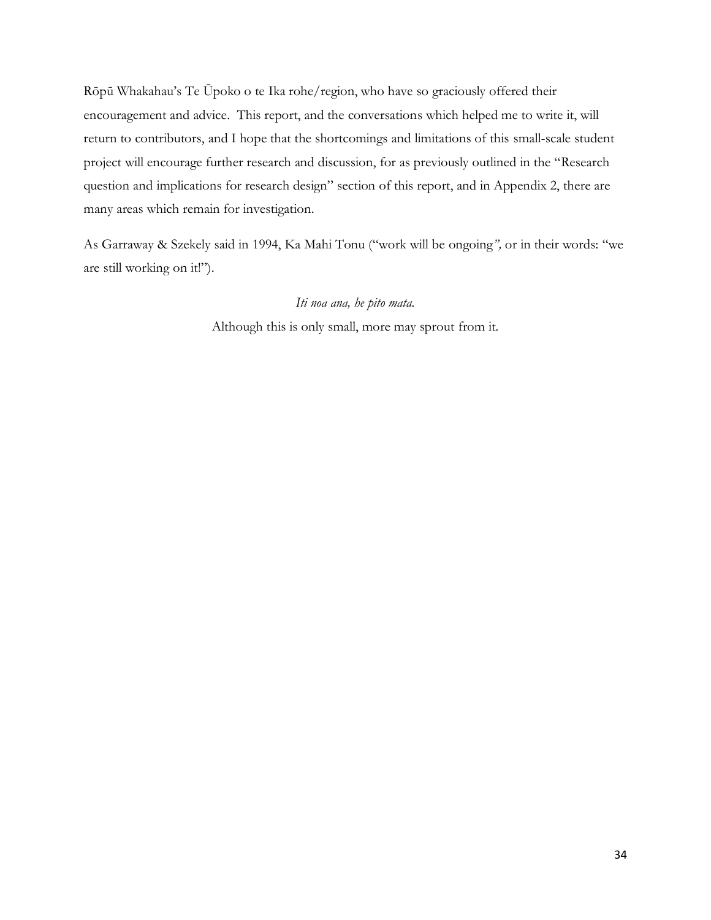Rōpū Whakahau's Te Ūpoko o te Ika rohe/region, who have so graciously offered their encouragement and advice. This report, and the conversations which helped me to write it, will return to contributors, and I hope that the shortcomings and limitations of this small-scale student project will encourage further research and discussion, for as previously outlined in the "Research question and implications for research design" section of this report, and in Appendix 2, there are many areas which remain for investigation.

As Garraway & Szekely said in 1994, Ka Mahi Tonu ("work will be ongoing*",* or in their words: "we are still working on it!").

### *Iti noa ana, he pito mata.*

Although this is only small, more may sprout from it.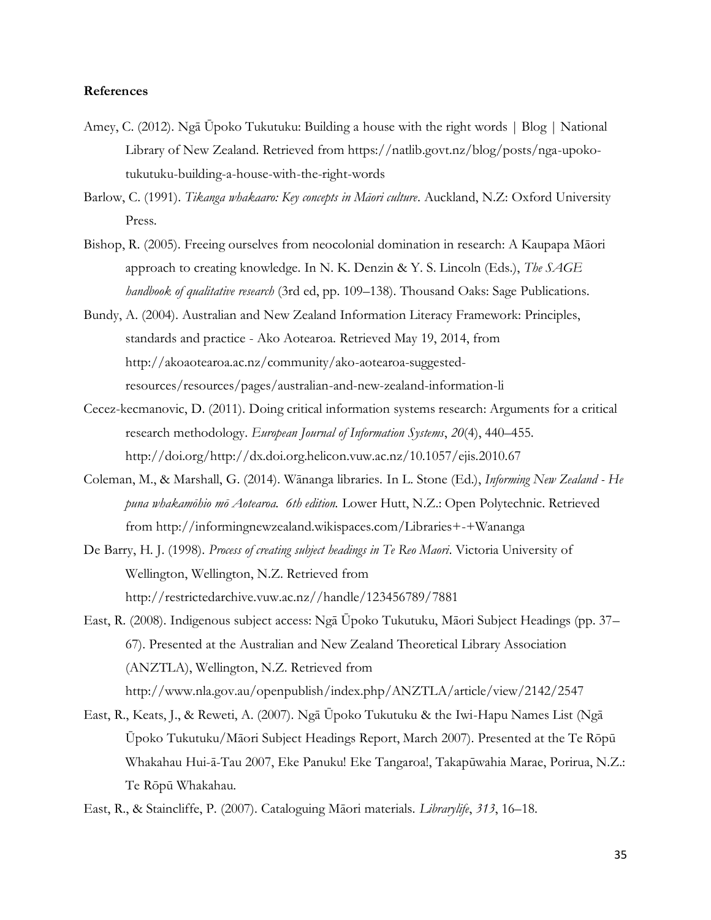#### **References**

- Amey, C. (2012). Ngā Ūpoko Tukutuku: Building a house with the right words | Blog | National Library of New Zealand. Retrieved from https://natlib.govt.nz/blog/posts/nga-upokotukutuku-building-a-house-with-the-right-words
- Barlow, C. (1991). *Tikanga whakaaro: Key concepts in Māori culture*. Auckland, N.Z: Oxford University Press.
- Bishop, R. (2005). Freeing ourselves from neocolonial domination in research: A Kaupapa Māori approach to creating knowledge. In N. K. Denzin & Y. S. Lincoln (Eds.), *The SAGE handbook of qualitative research* (3rd ed, pp. 109–138). Thousand Oaks: Sage Publications.
- Bundy, A. (2004). Australian and New Zealand Information Literacy Framework: Principles, standards and practice - Ako Aotearoa. Retrieved May 19, 2014, from http://akoaotearoa.ac.nz/community/ako-aotearoa-suggestedresources/resources/pages/australian-and-new-zealand-information-li
- Cecez-kecmanovic, D. (2011). Doing critical information systems research: Arguments for a critical research methodology. *European Journal of Information Systems*, *20*(4), 440–455. http://doi.org/http://dx.doi.org.helicon.vuw.ac.nz/10.1057/ejis.2010.67
- Coleman, M., & Marshall, G. (2014). Wānanga libraries. In L. Stone (Ed.), *Informing New Zealand - He puna whakamōhio mō Aotearoa. 6th edition.* Lower Hutt, N.Z.: Open Polytechnic. Retrieved from http://informingnewzealand.wikispaces.com/Libraries+-+Wananga
- De Barry, H. J. (1998). *Process of creating subject headings in Te Reo Maori*. Victoria University of Wellington, Wellington, N.Z. Retrieved from http://restrictedarchive.vuw.ac.nz//handle/123456789/7881
- East, R. (2008). Indigenous subject access: Ngā Ūpoko Tukutuku, Māori Subject Headings (pp. 37– 67). Presented at the Australian and New Zealand Theoretical Library Association (ANZTLA), Wellington, N.Z. Retrieved from http://www.nla.gov.au/openpublish/index.php/ANZTLA/article/view/2142/2547
- East, R., Keats, J., & Reweti, A. (2007). Ngā Ūpoko Tukutuku & the Iwi-Hapu Names List (Ngā Ūpoko Tukutuku/Māori Subject Headings Report, March 2007). Presented at the Te Rōpū Whakahau Hui-ā-Tau 2007, Eke Panuku! Eke Tangaroa!, Takapūwahia Marae, Porirua, N.Z.: Te Rōpū Whakahau.

East, R., & Staincliffe, P. (2007). Cataloguing Māori materials. *Librarylife*, *313*, 16–18.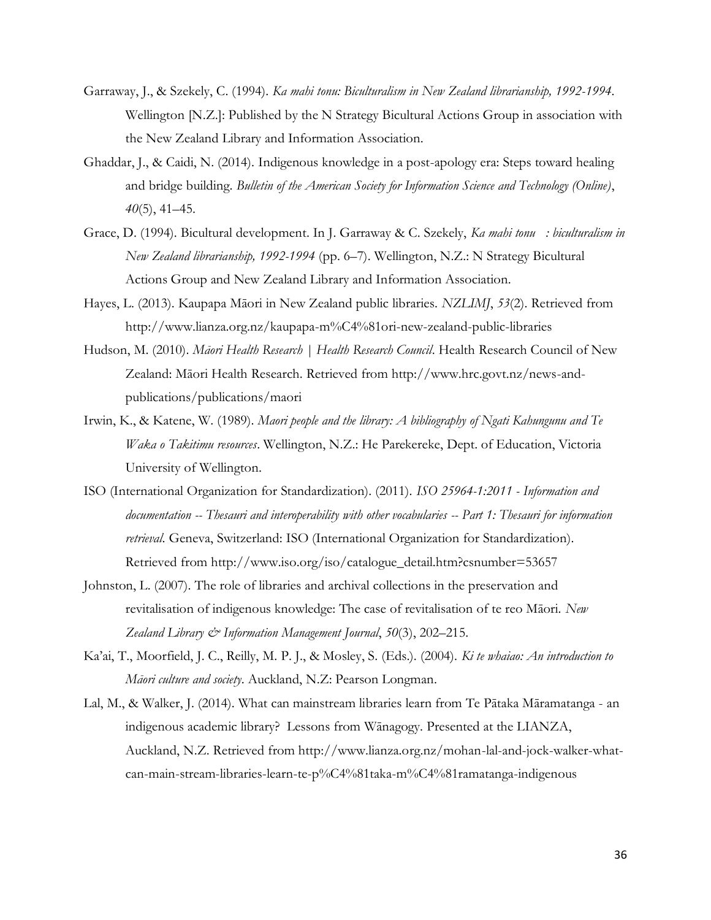- Garraway, J., & Szekely, C. (1994). *Ka mahi tonu: Biculturalism in New Zealand librarianship, 1992-1994*. Wellington [N.Z.]: Published by the N Strategy Bicultural Actions Group in association with the New Zealand Library and Information Association.
- Ghaddar, J., & Caidi, N. (2014). Indigenous knowledge in a post-apology era: Steps toward healing and bridge building. *Bulletin of the American Society for Information Science and Technology (Online)*, *40*(5), 41–45.
- Grace, D. (1994). Bicultural development. In J. Garraway & C. Szekely, *Ka mahi tonu : biculturalism in New Zealand librarianship, 1992-1994* (pp. 6–7). Wellington, N.Z.: N Strategy Bicultural Actions Group and New Zealand Library and Information Association.
- Hayes, L. (2013). Kaupapa Māori in New Zealand public libraries. *NZLIMJ*, *53*(2). Retrieved from http://www.lianza.org.nz/kaupapa-m%C4%81ori-new-zealand-public-libraries
- Hudson, M. (2010). *Māori Health Research | Health Research Council*. Health Research Council of New Zealand: Māori Health Research. Retrieved from http://www.hrc.govt.nz/news-andpublications/publications/maori
- Irwin, K., & Katene, W. (1989). *Maori people and the library: A bibliography of Ngati Kahungunu and Te Waka o Takitimu resources*. Wellington, N.Z.: He Parekereke, Dept. of Education, Victoria University of Wellington.
- ISO (International Organization for Standardization). (2011). *ISO 25964-1:2011 - Information and documentation -- Thesauri and interoperability with other vocabularies -- Part 1: Thesauri for information retrieval*. Geneva, Switzerland: ISO (International Organization for Standardization). Retrieved from http://www.iso.org/iso/catalogue\_detail.htm?csnumber=53657
- Johnston, L. (2007). The role of libraries and archival collections in the preservation and revitalisation of indigenous knowledge: The case of revitalisation of te reo Māori. *New Zealand Library & Information Management Journal*, *50*(3), 202–215.
- Ka'ai, T., Moorfield, J. C., Reilly, M. P. J., & Mosley, S. (Eds.). (2004). *Ki te whaiao: An introduction to Māori culture and society*. Auckland, N.Z: Pearson Longman.
- Lal, M., & Walker, J. (2014). What can mainstream libraries learn from Te Pātaka Māramatanga an indigenous academic library? Lessons from Wānagogy. Presented at the LIANZA, Auckland, N.Z. Retrieved from http://www.lianza.org.nz/mohan-lal-and-jock-walker-whatcan-main-stream-libraries-learn-te-p%C4%81taka-m%C4%81ramatanga-indigenous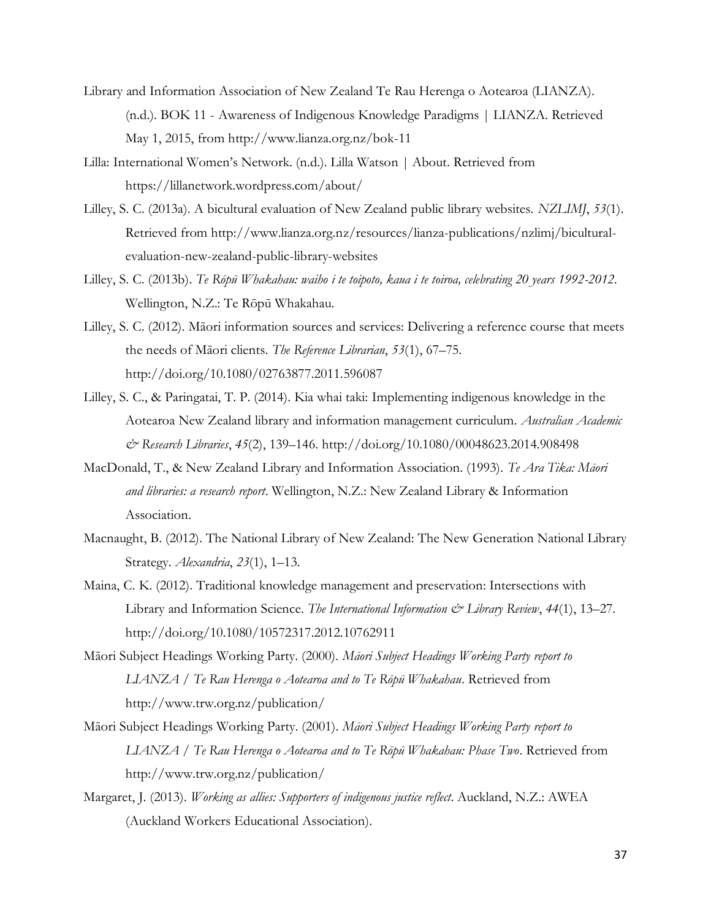- Library and Information Association of New Zealand Te Rau Herenga o Aotearoa (LIANZA). (n.d.). BOK 11 - Awareness of Indigenous Knowledge Paradigms | LIANZA. Retrieved May 1, 2015, from http://www.lianza.org.nz/bok-11
- Lilla: International Women's Network. (n.d.). Lilla Watson | About. Retrieved from https://lillanetwork.wordpress.com/about/
- Lilley, S. C. (2013a). A bicultural evaluation of New Zealand public library websites. *NZLIMJ*, *53*(1). Retrieved from http://www.lianza.org.nz/resources/lianza-publications/nzlimj/biculturalevaluation-new-zealand-public-library-websites
- Lilley, S. C. (2013b). *Te Rōpū Whakahau: waiho i te toipoto, kaua i te toiroa, celebrating 20 years 1992-2012*. Wellington, N.Z.: Te Rōpū Whakahau.
- Lilley, S. C. (2012). Māori information sources and services: Delivering a reference course that meets the needs of Māori clients. *The Reference Librarian*, *53*(1), 67–75. http://doi.org/10.1080/02763877.2011.596087
- Lilley, S. C., & Paringatai, T. P. (2014). Kia whai taki: Implementing indigenous knowledge in the Aotearoa New Zealand library and information management curriculum. *Australian Academic & Research Libraries*, *45*(2), 139–146. http://doi.org/10.1080/00048623.2014.908498
- MacDonald, T., & New Zealand Library and Information Association. (1993). *Te Ara Tika: Māori and libraries: a research report*. Wellington, N.Z.: New Zealand Library & Information Association.
- Macnaught, B. (2012). The National Library of New Zealand: The New Generation National Library Strategy. *Alexandria*, *23*(1), 1–13.
- Maina, C. K. (2012). Traditional knowledge management and preservation: Intersections with Library and Information Science. *The International Information & Library Review*, *44*(1), 13–27. http://doi.org/10.1080/10572317.2012.10762911
- Māori Subject Headings Working Party. (2000). *Māori Subject Headings Working Party report to LIANZA / Te Rau Herenga o Aotearoa and to Te Rōpū Whakahau*. Retrieved from http://www.trw.org.nz/publication/
- Māori Subject Headings Working Party. (2001). *Māori Subject Headings Working Party report to LIANZA / Te Rau Herenga o Aotearoa and to Te Rōpū Whakahau: Phase Two*. Retrieved from http://www.trw.org.nz/publication/
- Margaret, J. (2013). *Working as allies: Supporters of indigenous justice reflect*. Auckland, N.Z.: AWEA (Auckland Workers Educational Association).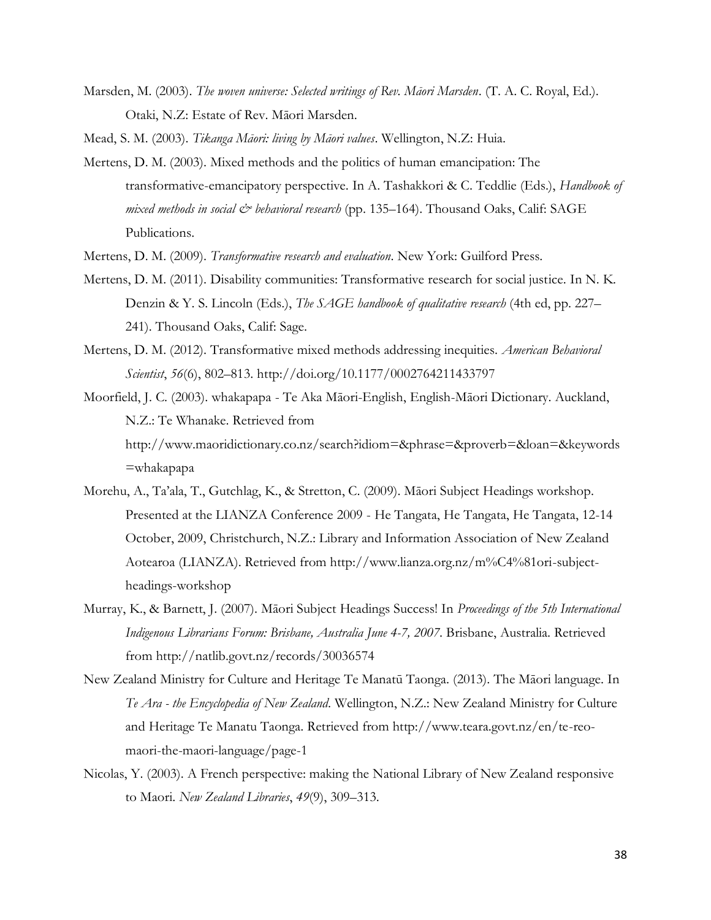Marsden, M. (2003). *The woven universe: Selected writings of Rev. Māori Marsden*. (T. A. C. Royal, Ed.). Otaki, N.Z: Estate of Rev. Māori Marsden.

Mead, S. M. (2003). *Tikanga Māori: living by Māori values*. Wellington, N.Z: Huia.

- Mertens, D. M. (2003). Mixed methods and the politics of human emancipation: The transformative-emancipatory perspective. In A. Tashakkori & C. Teddlie (Eds.), *Handbook of mixed methods in social*  $\mathcal{Q}^*$  *behavioral research* (pp. 135–164). Thousand Oaks, Calif: SAGE Publications.
- Mertens, D. M. (2009). *Transformative research and evaluation*. New York: Guilford Press.
- Mertens, D. M. (2011). Disability communities: Transformative research for social justice. In N. K. Denzin & Y. S. Lincoln (Eds.), *The SAGE handbook of qualitative research* (4th ed, pp. 227– 241). Thousand Oaks, Calif: Sage.
- Mertens, D. M. (2012). Transformative mixed methods addressing inequities. *American Behavioral Scientist*, *56*(6), 802–813. http://doi.org/10.1177/0002764211433797
- Moorfield, J. C. (2003). whakapapa Te Aka Māori-English, English-Māori Dictionary. Auckland, N.Z.: Te Whanake. Retrieved from http://www.maoridictionary.co.nz/search?idiom=&phrase=&proverb=&loan=&keywords =whakapapa
- Morehu, A., Ta'ala, T., Gutchlag, K., & Stretton, C. (2009). Māori Subject Headings workshop. Presented at the LIANZA Conference 2009 - He Tangata, He Tangata, He Tangata, 12-14 October, 2009, Christchurch, N.Z.: Library and Information Association of New Zealand Aotearoa (LIANZA). Retrieved from http://www.lianza.org.nz/m%C4%81ori-subjectheadings-workshop
- Murray, K., & Barnett, J. (2007). Māori Subject Headings Success! In *Proceedings of the 5th International Indigenous Librarians Forum: Brisbane, Australia June 4-7, 2007*. Brisbane, Australia. Retrieved from http://natlib.govt.nz/records/30036574
- New Zealand Ministry for Culture and Heritage Te Manatū Taonga. (2013). The Māori language. In *Te Ara - the Encyclopedia of New Zealand*. Wellington, N.Z.: New Zealand Ministry for Culture and Heritage Te Manatu Taonga. Retrieved from http://www.teara.govt.nz/en/te-reomaori-the-maori-language/page-1
- Nicolas, Y. (2003). A French perspective: making the National Library of New Zealand responsive to Maori. *New Zealand Libraries*, *49*(9), 309–313.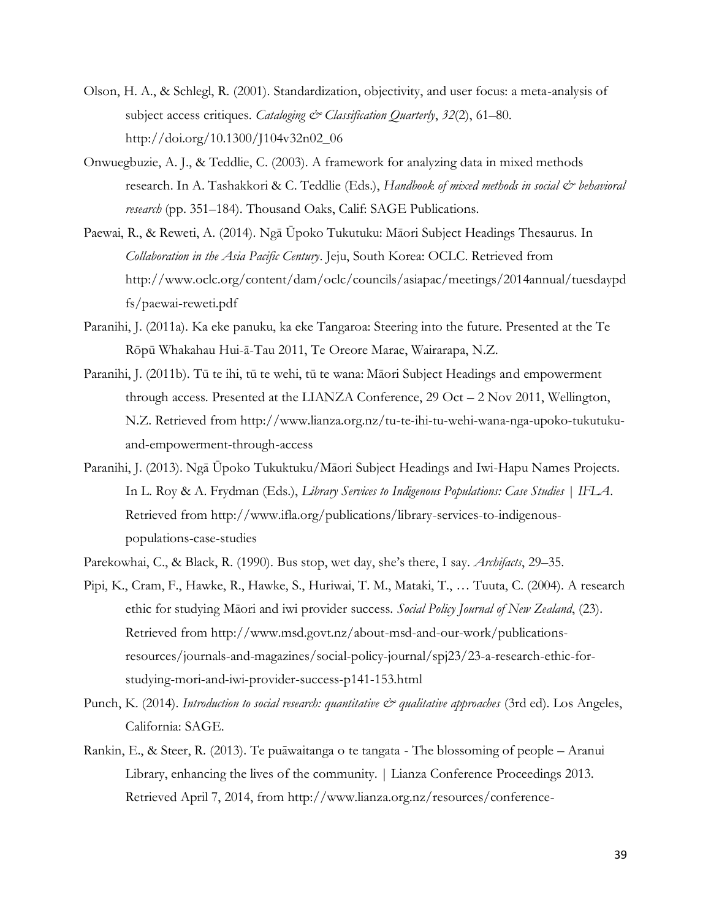- Olson, H. A., & Schlegl, R. (2001). Standardization, objectivity, and user focus: a meta-analysis of subject access critiques. *Cataloging & Classification Quarterly*, *32*(2), 61–80. http://doi.org/10.1300/J104v32n02\_06
- Onwuegbuzie, A. J., & Teddlie, C. (2003). A framework for analyzing data in mixed methods research. In A. Tashakkori & C. Teddlie (Eds.), *Handbook of mixed methods in social & behavioral research* (pp. 351–184). Thousand Oaks, Calif: SAGE Publications.
- Paewai, R., & Reweti, A. (2014). Ngā Ūpoko Tukutuku: Māori Subject Headings Thesaurus. In *Collaboration in the Asia Pacific Century*. Jeju, South Korea: OCLC. Retrieved from http://www.oclc.org/content/dam/oclc/councils/asiapac/meetings/2014annual/tuesdaypd fs/paewai-reweti.pdf
- Paranihi, J. (2011a). Ka eke panuku, ka eke Tangaroa: Steering into the future. Presented at the Te Rōpū Whakahau Hui-ā-Tau 2011, Te Oreore Marae, Wairarapa, N.Z.
- Paranihi, J. (2011b). Tū te ihi, tū te wehi, tū te wana: Māori Subject Headings and empowerment through access. Presented at the LIANZA Conference, 29 Oct – 2 Nov 2011, Wellington, N.Z. Retrieved from http://www.lianza.org.nz/tu-te-ihi-tu-wehi-wana-nga-upoko-tukutukuand-empowerment-through-access
- Paranihi, J. (2013). Ngā Ūpoko Tukuktuku/Māori Subject Headings and Iwi-Hapu Names Projects. In L. Roy & A. Frydman (Eds.), *Library Services to Indigenous Populations: Case Studies | IFLA*. Retrieved from http://www.ifla.org/publications/library-services-to-indigenouspopulations-case-studies
- Parekowhai, C., & Black, R. (1990). Bus stop, wet day, she's there, I say. *Archifacts*, 29–35.
- Pipi, K., Cram, F., Hawke, R., Hawke, S., Huriwai, T. M., Mataki, T., … Tuuta, C. (2004). A research ethic for studying Māori and iwi provider success. *Social Policy Journal of New Zealand*, (23). Retrieved from http://www.msd.govt.nz/about-msd-and-our-work/publicationsresources/journals-and-magazines/social-policy-journal/spj23/23-a-research-ethic-forstudying-mori-and-iwi-provider-success-p141-153.html
- Punch, K. (2014). *Introduction to social research: quantitative & qualitative approaches* (3rd ed). Los Angeles, California: SAGE.
- Rankin, E., & Steer, R. (2013). Te puāwaitanga o te tangata The blossoming of people Aranui Library, enhancing the lives of the community. | Lianza Conference Proceedings 2013. Retrieved April 7, 2014, from http://www.lianza.org.nz/resources/conference-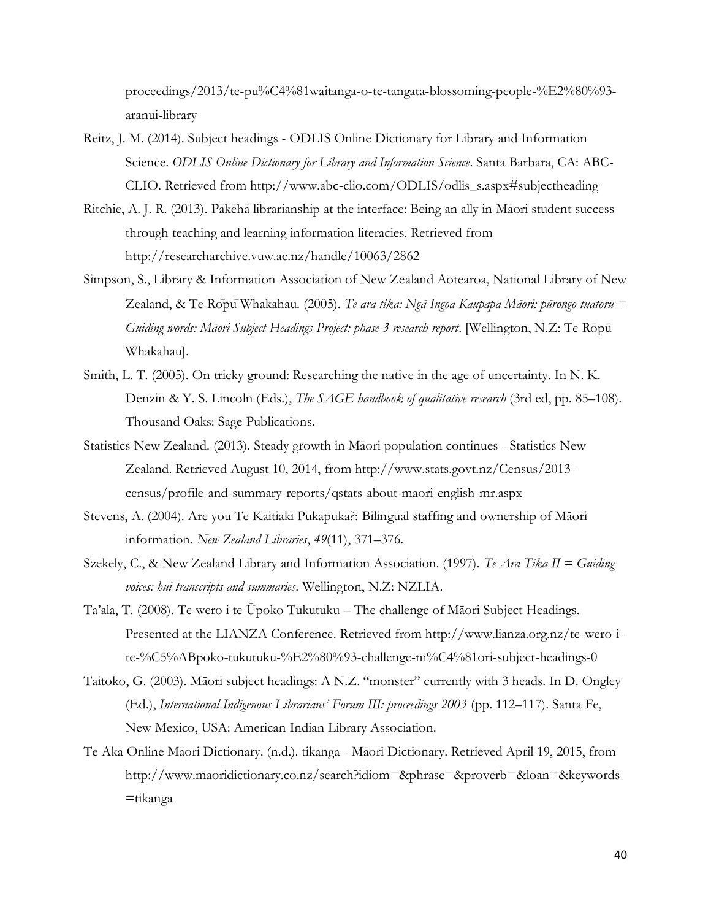proceedings/2013/te-pu%C4%81waitanga-o-te-tangata-blossoming-people-%E2%80%93 aranui-library

- Reitz, J. M. (2014). Subject headings ODLIS Online Dictionary for Library and Information Science. *ODLIS Online Dictionary for Library and Information Science*. Santa Barbara, CA: ABC-CLIO. Retrieved from http://www.abc-clio.com/ODLIS/odlis\_s.aspx#subjectheading
- Ritchie, A. J. R. (2013). Pākēhā librarianship at the interface: Being an ally in Māori student success through teaching and learning information literacies. Retrieved from http://researcharchive.vuw.ac.nz/handle/10063/2862
- Simpson, S., Library & Information Association of New Zealand Aotearoa, National Library of New Zealand, & Te RōpūWhakahau. (2005). *Te ara tika: Ngā Ingoa Kaupapa Māori: pūrongo tuatoru = Guiding words: Māori Subject Headings Project: phase 3 research report*. [Wellington, N.Z: Te Rōpū Whakahau].
- Smith, L. T. (2005). On tricky ground: Researching the native in the age of uncertainty. In N. K. Denzin & Y. S. Lincoln (Eds.), *The SAGE handbook of qualitative research* (3rd ed, pp. 85–108). Thousand Oaks: Sage Publications.
- Statistics New Zealand. (2013). Steady growth in Māori population continues Statistics New Zealand. Retrieved August 10, 2014, from http://www.stats.govt.nz/Census/2013 census/profile-and-summary-reports/qstats-about-maori-english-mr.aspx
- Stevens, A. (2004). Are you Te Kaitiaki Pukapuka?: Bilingual staffing and ownership of Māori information. *New Zealand Libraries*, *49*(11), 371–376.
- Szekely, C., & New Zealand Library and Information Association. (1997). *Te Ara Tika II = Guiding voices: hui transcripts and summaries*. Wellington, N.Z: NZLIA.
- Ta'ala, T. (2008). Te wero i te Ūpoko Tukutuku The challenge of Māori Subject Headings. Presented at the LIANZA Conference. Retrieved from http://www.lianza.org.nz/te-wero-ite-%C5%ABpoko-tukutuku-%E2%80%93-challenge-m%C4%81ori-subject-headings-0
- Taitoko, G. (2003). Māori subject headings: A N.Z. "monster" currently with 3 heads. In D. Ongley (Ed.), *International Indigenous Librarians' Forum III: proceedings 2003* (pp. 112–117). Santa Fe, New Mexico, USA: American Indian Library Association.
- Te Aka Online Māori Dictionary. (n.d.). tikanga Māori Dictionary. Retrieved April 19, 2015, from http://www.maoridictionary.co.nz/search?idiom=&phrase=&proverb=&loan=&keywords  $=$ tikanga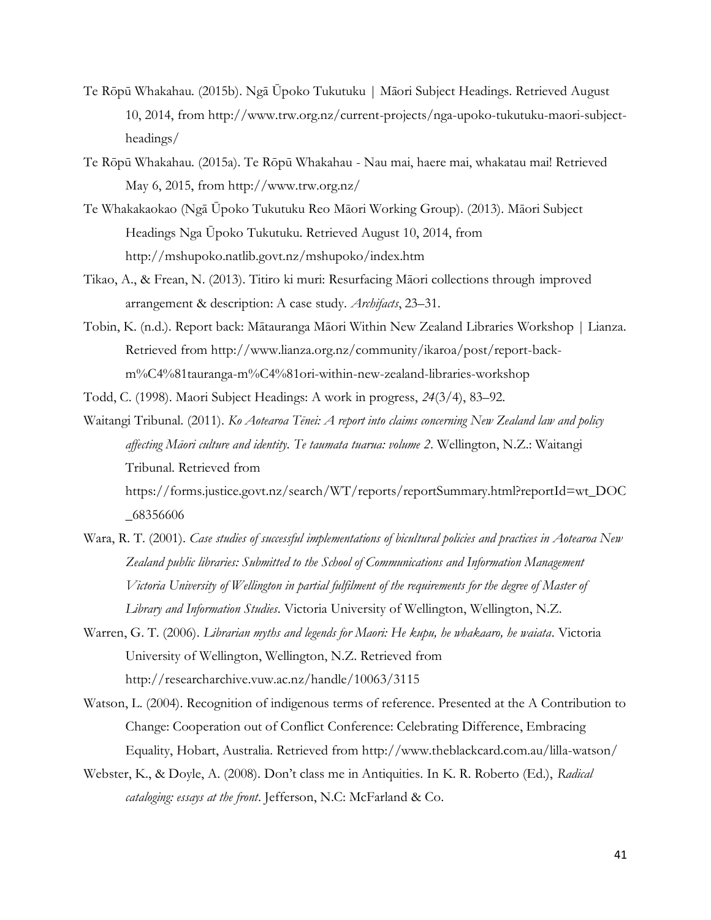- Te Rōpū Whakahau. (2015b). Ngā Ūpoko Tukutuku | Māori Subject Headings. Retrieved August 10, 2014, from http://www.trw.org.nz/current-projects/nga-upoko-tukutuku-maori-subjectheadings/
- Te Rōpū Whakahau. (2015a). Te Rōpū Whakahau Nau mai, haere mai, whakatau mai! Retrieved May 6, 2015, from http://www.trw.org.nz/
- Te Whakakaokao (Ngā Ūpoko Tukutuku Reo Māori Working Group). (2013). Māori Subject Headings Nga Ūpoko Tukutuku. Retrieved August 10, 2014, from http://mshupoko.natlib.govt.nz/mshupoko/index.htm
- Tikao, A., & Frean, N. (2013). Titiro ki muri: Resurfacing Māori collections through improved arrangement & description: A case study. *Archifacts*, 23–31.
- Tobin, K. (n.d.). Report back: Mātauranga Māori Within New Zealand Libraries Workshop | Lianza. Retrieved from http://www.lianza.org.nz/community/ikaroa/post/report-backm%C4%81tauranga-m%C4%81ori-within-new-zealand-libraries-workshop
- Todd, C. (1998). Maori Subject Headings: A work in progress, *24*(3/4), 83–92.
- Waitangi Tribunal. (2011). *Ko Aotearoa Tēnei: A report into claims concerning New Zealand law and policy affecting Māori culture and identity. Te taumata tuarua: volume 2*. Wellington, N.Z.: Waitangi Tribunal. Retrieved from https://forms.justice.govt.nz/search/WT/reports/reportSummary.html?reportId=wt\_DOC \_68356606
- Wara, R. T. (2001). *Case studies of successful implementations of bicultural policies and practices in Aotearoa New Zealand public libraries: Submitted to the School of Communications and Information Management Victoria University of Wellington in partial fulfilment of the requirements for the degree of Master of Library and Information Studies*. Victoria University of Wellington, Wellington, N.Z.
- Warren, G. T. (2006). *Librarian myths and legends for Maori: He kupu, he whakaaro, he waiata*. Victoria University of Wellington, Wellington, N.Z. Retrieved from http://researcharchive.vuw.ac.nz/handle/10063/3115
- Watson, L. (2004). Recognition of indigenous terms of reference. Presented at the A Contribution to Change: Cooperation out of Conflict Conference: Celebrating Difference, Embracing Equality, Hobart, Australia. Retrieved from http://www.theblackcard.com.au/lilla-watson/
- Webster, K., & Doyle, A. (2008). Don't class me in Antiquities. In K. R. Roberto (Ed.), *Radical cataloging: essays at the front*. Jefferson, N.C: McFarland & Co.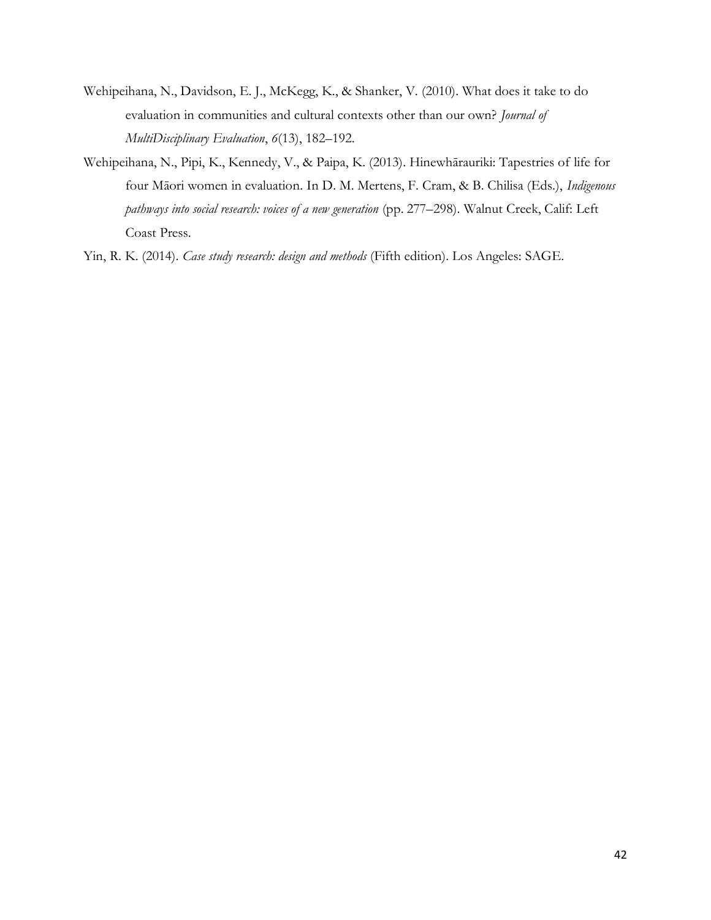- Wehipeihana, N., Davidson, E. J., McKegg, K., & Shanker, V. (2010). What does it take to do evaluation in communities and cultural contexts other than our own? *Journal of MultiDisciplinary Evaluation*, *6*(13), 182–192.
- Wehipeihana, N., Pipi, K., Kennedy, V., & Paipa, K. (2013). Hinewhārauriki: Tapestries of life for four Māori women in evaluation. In D. M. Mertens, F. Cram, & B. Chilisa (Eds.), *Indigenous pathways into social research: voices of a new generation* (pp. 277–298). Walnut Creek, Calif: Left Coast Press.
- Yin, R. K. (2014). *Case study research: design and methods* (Fifth edition). Los Angeles: SAGE.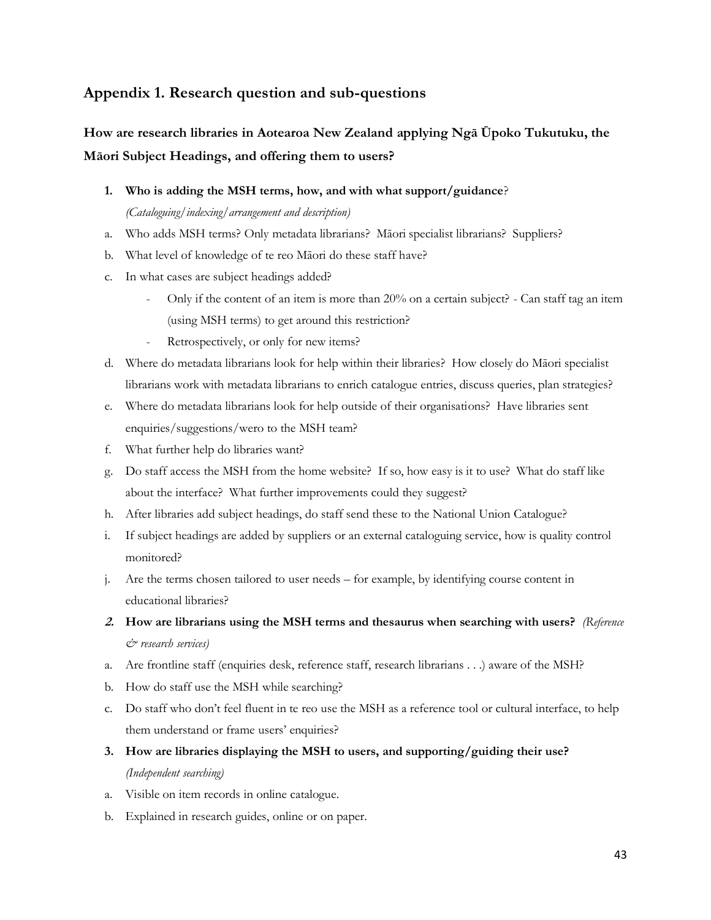## **Appendix 1. Research question and sub-questions**

## **How are research libraries in Aotearoa New Zealand applying Ngā Ūpoko Tukutuku, the Māori Subject Headings, and offering them to users?**

**1. Who is adding the MSH terms, how, and with what support/guidance**?

*(Cataloguing/indexing/arrangement and description)*

- a. Who adds MSH terms? Only metadata librarians? Māori specialist librarians? Suppliers?
- b. What level of knowledge of te reo Māori do these staff have?
- c. In what cases are subject headings added?
	- Only if the content of an item is more than 20% on a certain subject? Can staff tag an item (using MSH terms) to get around this restriction?
	- Retrospectively, or only for new items?
- d. Where do metadata librarians look for help within their libraries? How closely do Māori specialist librarians work with metadata librarians to enrich catalogue entries, discuss queries, plan strategies?
- e. Where do metadata librarians look for help outside of their organisations? Have libraries sent enquiries/suggestions/wero to the MSH team?
- f. What further help do libraries want?
- g. Do staff access the MSH from the home website? If so, how easy is it to use? What do staff like about the interface? What further improvements could they suggest?
- h. After libraries add subject headings, do staff send these to the National Union Catalogue?
- i. If subject headings are added by suppliers or an external cataloguing service, how is quality control monitored?
- j. Are the terms chosen tailored to user needs for example, by identifying course content in educational libraries?
- **2. How are librarians using the MSH terms and thesaurus when searching with users?** *(Reference & research services)*
- a. Are frontline staff (enquiries desk, reference staff, research librarians . . .) aware of the MSH?
- b. How do staff use the MSH while searching?
- c. Do staff who don't feel fluent in te reo use the MSH as a reference tool or cultural interface, to help them understand or frame users' enquiries?
- **3. How are libraries displaying the MSH to users, and supporting/guiding their use?** *(Independent searching)*
- a. Visible on item records in online catalogue.
- b. Explained in research guides, online or on paper.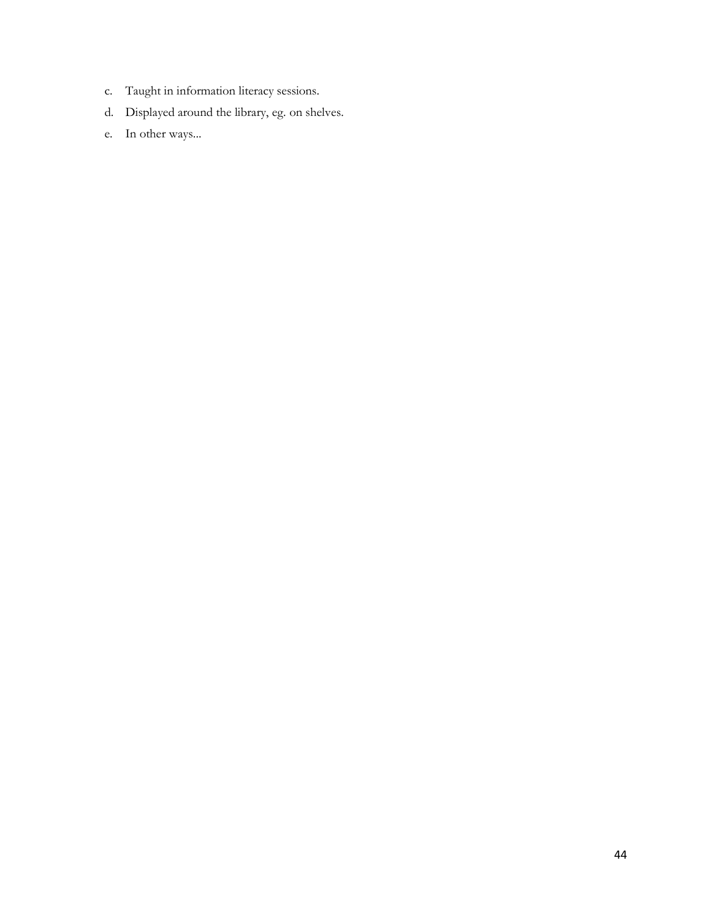- c. Taught in information literacy sessions.
- d. Displayed around the library, eg. on shelves.
- e. In other ways...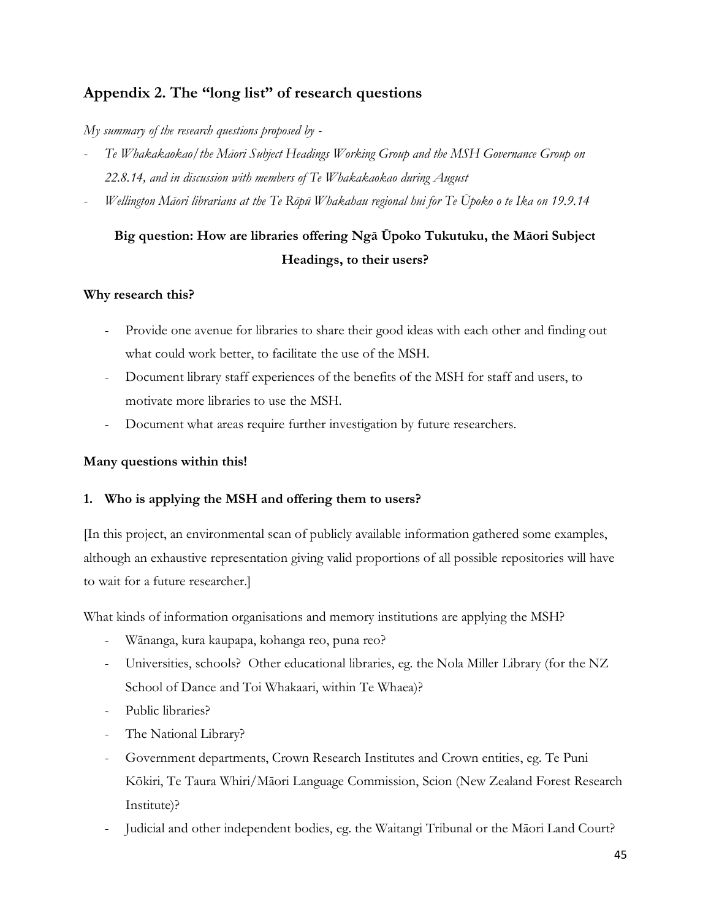## **Appendix 2. The "long list" of research questions**

*My summary of the research questions proposed by -*

- Te Whakakaokao/the Māori Subject Headings Working Group and the MSH Governance Group on *22.8.14, and in discussion with members of Te Whakakaokao during August*
- *Wellington Māori librarians at the Te Rōpū Whakahau regional hui for Te Ūpoko o te Ika on 19.9.14*

## **Big question: How are libraries offering Ngā Ūpoko Tukutuku, the Māori Subject Headings, to their users?**

## **Why research this?**

- Provide one avenue for libraries to share their good ideas with each other and finding out what could work better, to facilitate the use of the MSH.
- Document library staff experiences of the benefits of the MSH for staff and users, to motivate more libraries to use the MSH.
- Document what areas require further investigation by future researchers.

## **Many questions within this!**

## **1. Who is applying the MSH and offering them to users?**

[In this project, an environmental scan of publicly available information gathered some examples, although an exhaustive representation giving valid proportions of all possible repositories will have to wait for a future researcher.]

What kinds of information organisations and memory institutions are applying the MSH?

- Wānanga, kura kaupapa, kohanga reo, puna reo?
- Universities, schools? Other educational libraries, eg. the Nola Miller Library (for the NZ School of Dance and Toi Whakaari, within Te Whaea)?
- Public libraries?
- The National Library?
- Government departments, Crown Research Institutes and Crown entities, eg. Te Puni Kōkiri, Te Taura Whiri/Māori Language Commission, Scion (New Zealand Forest Research Institute)?
- Judicial and other independent bodies, eg. the Waitangi Tribunal or the Māori Land Court?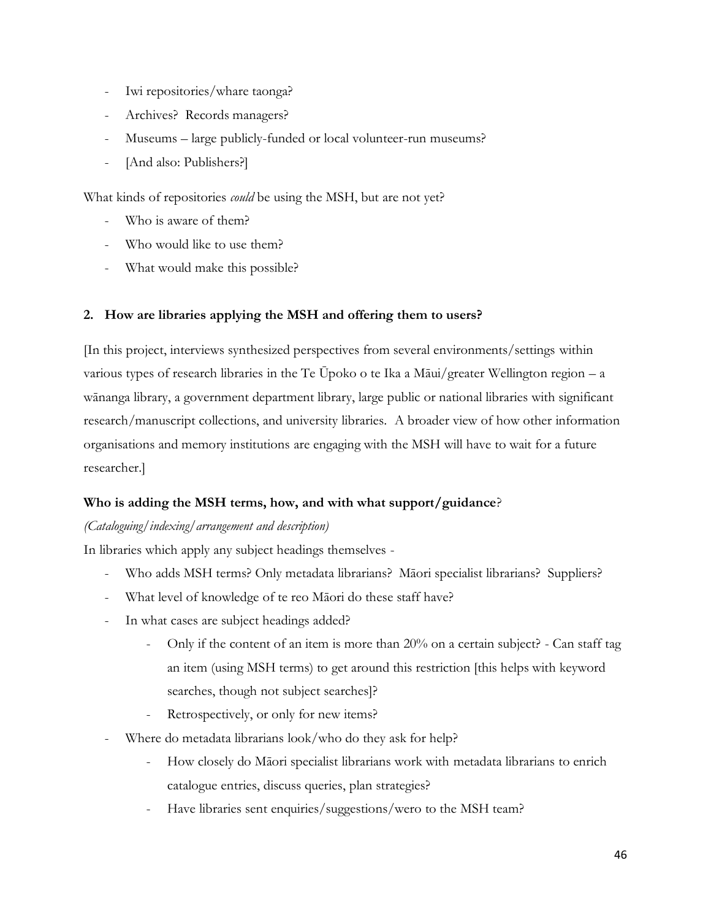- Iwi repositories/whare taonga?
- Archives? Records managers?
- Museums large publicly-funded or local volunteer-run museums?
- [And also: Publishers?]

What kinds of repositories *could* be using the MSH, but are not yet?

- Who is aware of them?
- Who would like to use them?
- What would make this possible?

## **2. How are libraries applying the MSH and offering them to users?**

[In this project, interviews synthesized perspectives from several environments/settings within various types of research libraries in the Te Ūpoko o te Ika a Māui/greater Wellington region – a wānanga library, a government department library, large public or national libraries with significant research/manuscript collections, and university libraries. A broader view of how other information organisations and memory institutions are engaging with the MSH will have to wait for a future researcher.]

## **Who is adding the MSH terms, how, and with what support/guidance**?

## *(Cataloguing/indexing/arrangement and description)*

In libraries which apply any subject headings themselves -

- Who adds MSH terms? Only metadata librarians? Māori specialist librarians? Suppliers?
- What level of knowledge of te reo Māori do these staff have?
- In what cases are subject headings added?
	- Only if the content of an item is more than 20% on a certain subject? Can staff tag an item (using MSH terms) to get around this restriction [this helps with keyword searches, though not subject searches]?
	- Retrospectively, or only for new items?
- Where do metadata librarians look/who do they ask for help?
	- How closely do Māori specialist librarians work with metadata librarians to enrich catalogue entries, discuss queries, plan strategies?
	- Have libraries sent enquiries/suggestions/wero to the MSH team?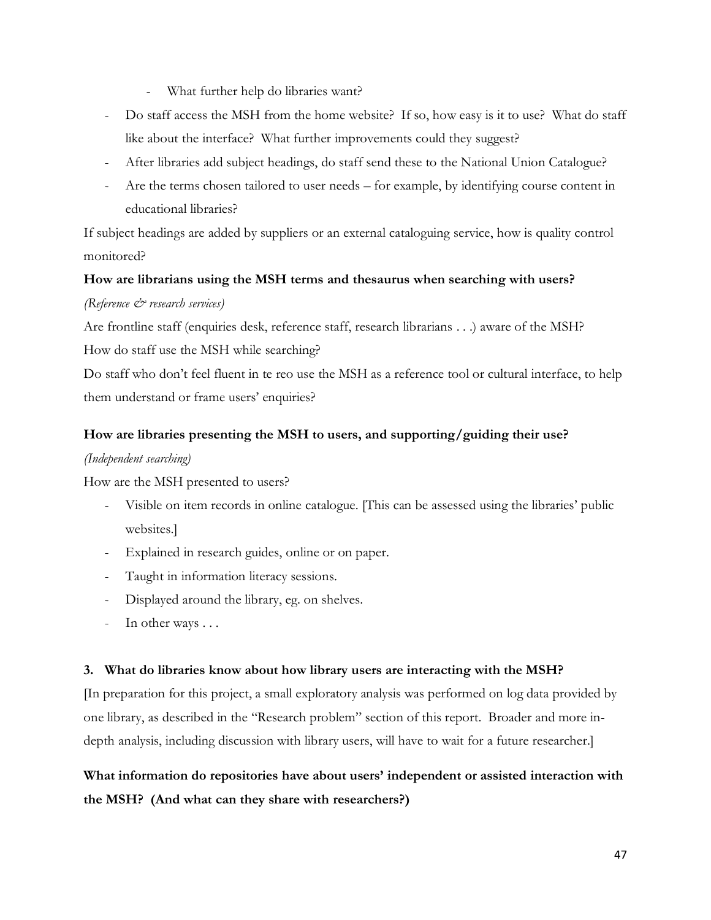- What further help do libraries want?
- Do staff access the MSH from the home website? If so, how easy is it to use? What do staff like about the interface? What further improvements could they suggest?
- After libraries add subject headings, do staff send these to the National Union Catalogue?
- Are the terms chosen tailored to user needs for example, by identifying course content in educational libraries?

If subject headings are added by suppliers or an external cataloguing service, how is quality control monitored?

## **How are librarians using the MSH terms and thesaurus when searching with users?**

## *(Reference & research services)*

Are frontline staff (enquiries desk, reference staff, research librarians . . .) aware of the MSH? How do staff use the MSH while searching?

Do staff who don't feel fluent in te reo use the MSH as a reference tool or cultural interface, to help them understand or frame users' enquiries?

## **How are libraries presenting the MSH to users, and supporting/guiding their use?**

## *(Independent searching)*

How are the MSH presented to users?

- Visible on item records in online catalogue. [This can be assessed using the libraries' public websites.]
- Explained in research guides, online or on paper.
- Taught in information literacy sessions.
- Displayed around the library, eg. on shelves.
- In other ways . . .

## **3. What do libraries know about how library users are interacting with the MSH?**

[In preparation for this project, a small exploratory analysis was performed on log data provided by one library, as described in the "Research problem" section of this report. Broader and more indepth analysis, including discussion with library users, will have to wait for a future researcher.]

**What information do repositories have about users' independent or assisted interaction with the MSH? (And what can they share with researchers?)**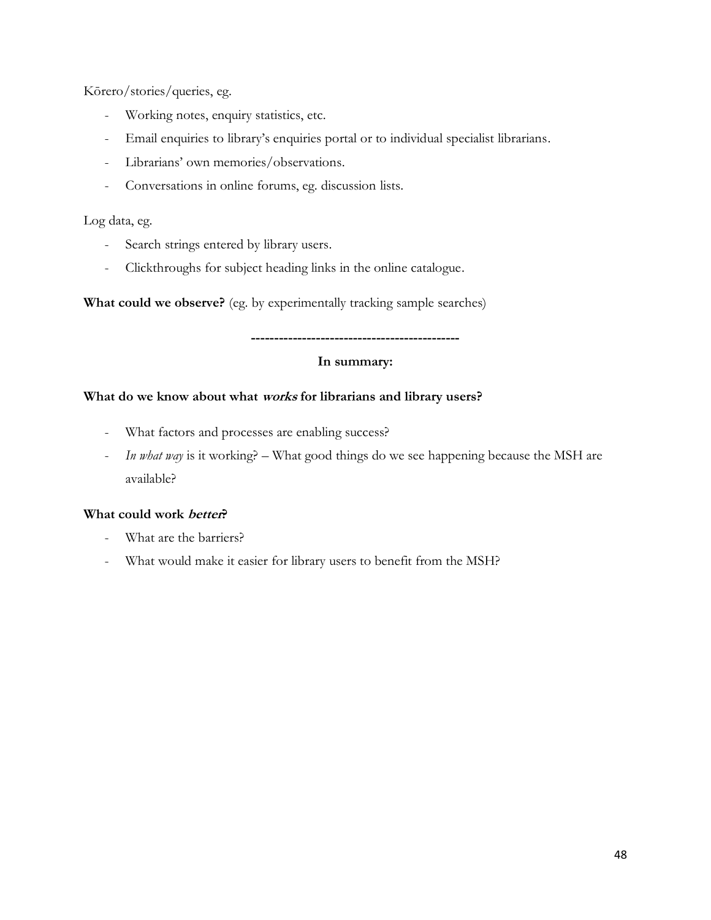Kōrero/stories/queries, eg.

- Working notes, enquiry statistics, etc.
- Email enquiries to library's enquiries portal or to individual specialist librarians.
- Librarians' own memories/observations.
- Conversations in online forums, eg. discussion lists.

## Log data, eg.

- Search strings entered by library users.
- Clickthroughs for subject heading links in the online catalogue.

**What could we observe?** (eg. by experimentally tracking sample searches)

## **In summary:**

**---------------------------------------------**

## **What do we know about what works for librarians and library users?**

- What factors and processes are enabling success?
- *In what way* is it working? What good things do we see happening because the MSH are available?

## **What could work better?**

- What are the barriers?
- What would make it easier for library users to benefit from the MSH?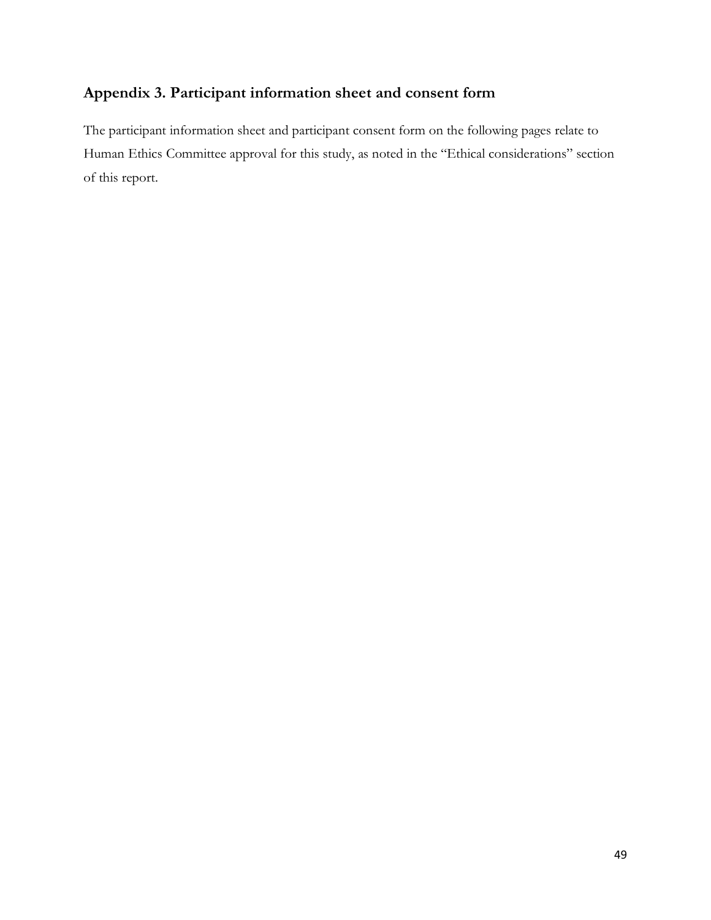## **Appendix 3. Participant information sheet and consent form**

The participant information sheet and participant consent form on the following pages relate to Human Ethics Committee approval for this study, as noted in the "Ethical considerations" section of this report.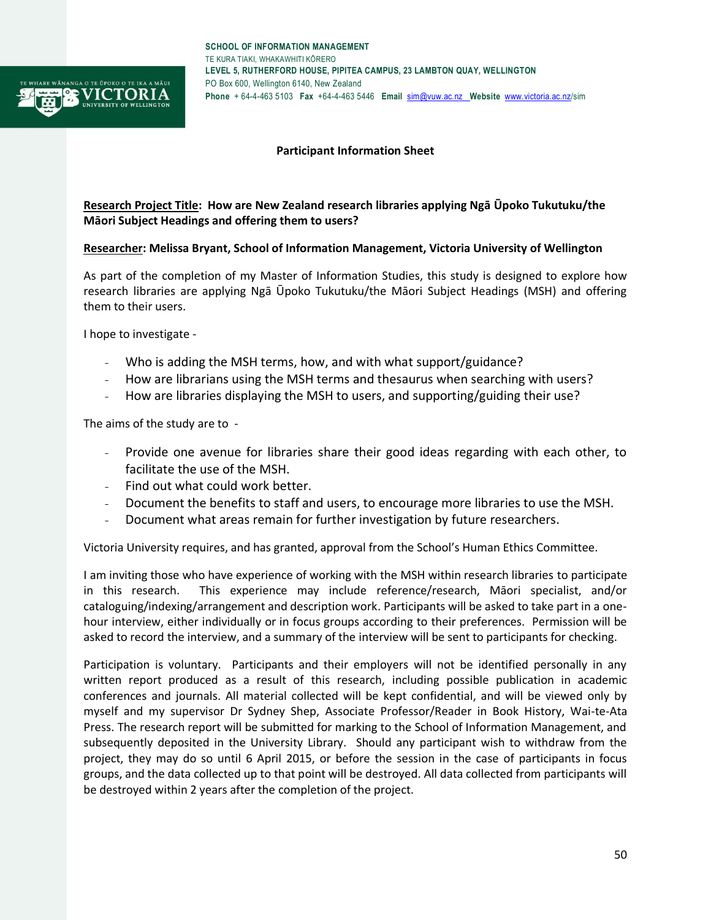

### **Participant Information Sheet**

### **Research Project Title: How are New Zealand research libraries applying Ngā Ūpoko Tukutuku/the Māori Subject Headings and offering them to users?**

### **Researcher: Melissa Bryant, School of Information Management, Victoria University of Wellington**

As part of the completion of my Master of Information Studies, this study is designed to explore how research libraries are applying Ngā Ūpoko Tukutuku/the Māori Subject Headings (MSH) and offering them to their users.

I hope to investigate -

- Who is adding the MSH terms, how, and with what support/guidance?
- How are librarians using the MSH terms and thesaurus when searching with users?
- How are libraries displaying the MSH to users, and supporting/guiding their use?

The aims of the study are to -

- Provide one avenue for libraries share their good ideas regarding with each other, to facilitate the use of the MSH.
- Find out what could work better.
- Document the benefits to staff and users, to encourage more libraries to use the MSH.
- Document what areas remain for further investigation by future researchers.

Victoria University requires, and has granted, approval from the School's Human Ethics Committee.

I am inviting those who have experience of working with the MSH within research libraries to participate in this research. This experience may include reference/research, Māori specialist, and/or cataloguing/indexing/arrangement and description work. Participants will be asked to take part in a onehour interview, either individually or in focus groups according to their preferences. Permission will be asked to record the interview, and a summary of the interview will be sent to participants for checking.

Participation is voluntary. Participants and their employers will not be identified personally in any written report produced as a result of this research, including possible publication in academic conferences and journals. All material collected will be kept confidential, and will be viewed only by myself and my supervisor Dr Sydney Shep, Associate Professor/Reader in Book History, Wai-te-Ata Press. The research report will be submitted for marking to the School of Information Management, and subsequently deposited in the University Library. Should any participant wish to withdraw from the project, they may do so until 6 April 2015, or before the session in the case of participants in focus groups, and the data collected up to that point will be destroyed. All data collected from participants will be destroyed within 2 years after the completion of the project.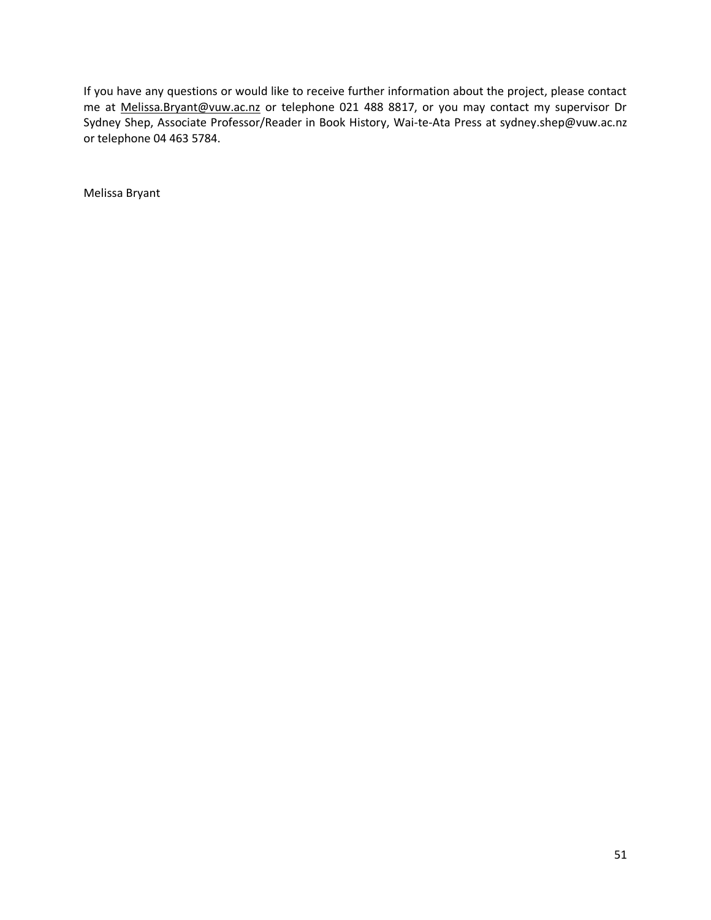If you have any questions or would like to receive further information about the project, please contact me at [Melissa.Bryant@vuw.ac.nz](mailto:Melissa.Bryant@vuw.ac.nz) or telephone 021 488 8817, or you may contact my supervisor Dr Sydney Shep, Associate Professor/Reader in Book History, Wai-te-Ata Press at sydney.shep@vuw.ac.nz or telephone 04 463 5784.

Melissa Bryant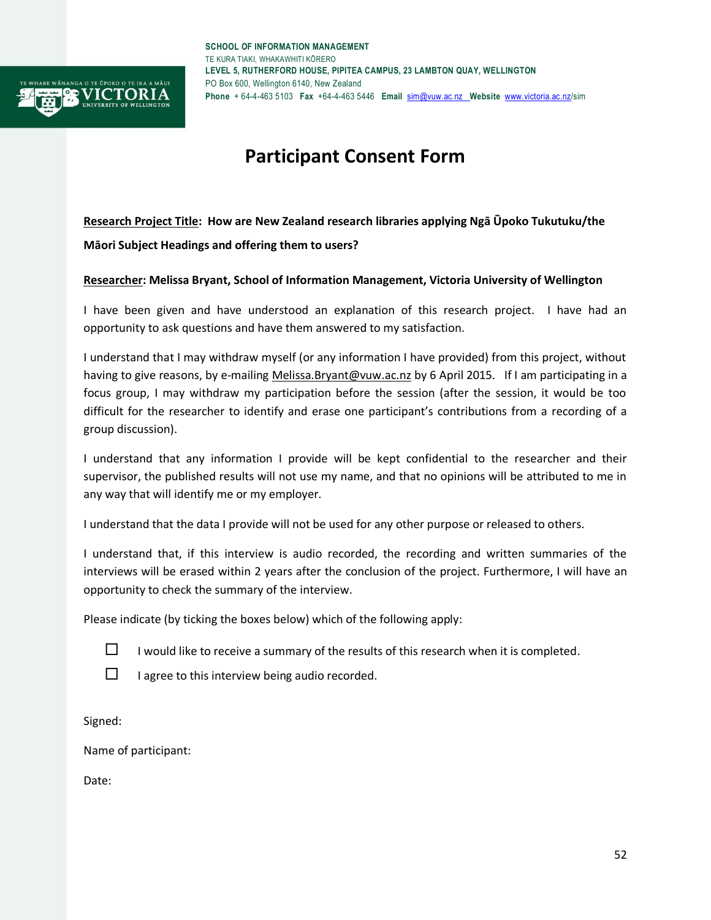

# **Participant Consent Form**

**Research Project Title: How are New Zealand research libraries applying Ngā Ūpoko Tukutuku/the Māori Subject Headings and offering them to users?**

### **Researcher: Melissa Bryant, School of Information Management, Victoria University of Wellington**

I have been given and have understood an explanation of this research project. I have had an opportunity to ask questions and have them answered to my satisfaction.

I understand that I may withdraw myself (or any information I have provided) from this project, without having to give reasons, by e-mailing [Melissa.Bryant@vuw.ac.nz](mailto:Melissa.Bryant@vuw.ac.nz) by 6 April 2015. If I am participating in a focus group, I may withdraw my participation before the session (after the session, it would be too difficult for the researcher to identify and erase one participant's contributions from a recording of a group discussion).

I understand that any information I provide will be kept confidential to the researcher and their supervisor, the published results will not use my name, and that no opinions will be attributed to me in any way that will identify me or my employer.

I understand that the data I provide will not be used for any other purpose or released to others.

I understand that, if this interview is audio recorded, the recording and written summaries of the interviews will be erased within 2 years after the conclusion of the project. Furthermore, I will have an opportunity to check the summary of the interview.

Please indicate (by ticking the boxes below) which of the following apply:



 $\Box$  I would like to receive a summary of the results of this research when it is completed.

 $\Box$  I agree to this interview being audio recorded.

Signed:

Name of participant:

Date: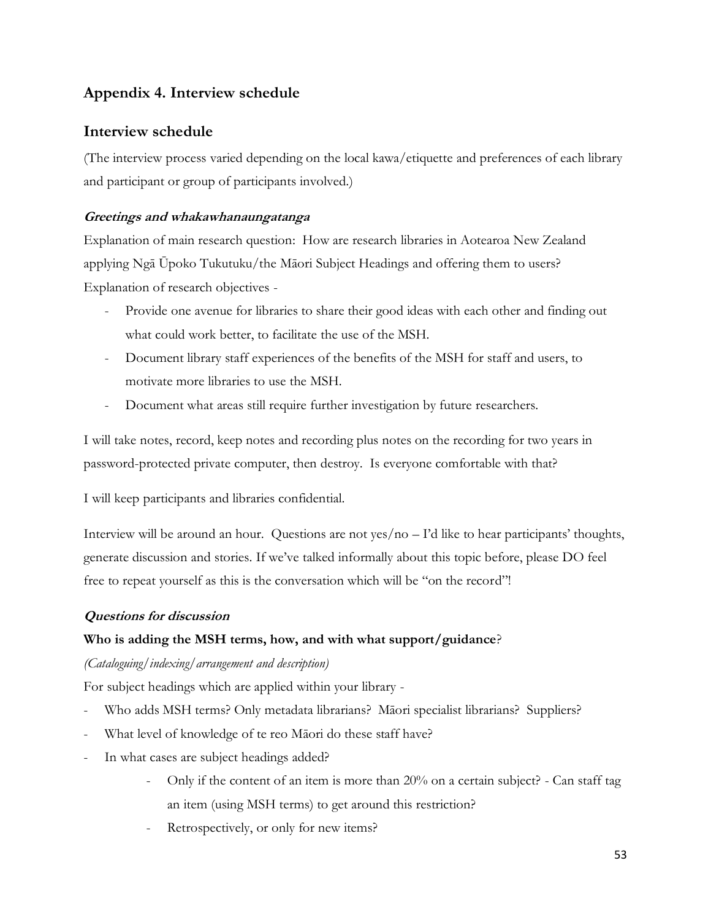## **Appendix 4. Interview schedule**

## **Interview schedule**

(The interview process varied depending on the local kawa/etiquette and preferences of each library and participant or group of participants involved.)

## **Greetings and whakawhanaungatanga**

Explanation of main research question: How are research libraries in Aotearoa New Zealand applying Ngā Ūpoko Tukutuku/the Māori Subject Headings and offering them to users? Explanation of research objectives -

- Provide one avenue for libraries to share their good ideas with each other and finding out what could work better, to facilitate the use of the MSH.
- Document library staff experiences of the benefits of the MSH for staff and users, to motivate more libraries to use the MSH.
- Document what areas still require further investigation by future researchers.

I will take notes, record, keep notes and recording plus notes on the recording for two years in password-protected private computer, then destroy. Is everyone comfortable with that?

I will keep participants and libraries confidential.

Interview will be around an hour. Questions are not yes/no – I'd like to hear participants' thoughts, generate discussion and stories. If we've talked informally about this topic before, please DO feel free to repeat yourself as this is the conversation which will be "on the record"!

## **Questions for discussion**

## **Who is adding the MSH terms, how, and with what support/guidance**?

## *(Cataloguing/indexing/arrangement and description)*

For subject headings which are applied within your library -

- Who adds MSH terms? Only metadata librarians? Māori specialist librarians? Suppliers?
- What level of knowledge of te reo Māori do these staff have?
- In what cases are subject headings added?
	- Only if the content of an item is more than 20% on a certain subject? Can staff tag an item (using MSH terms) to get around this restriction?
	- Retrospectively, or only for new items?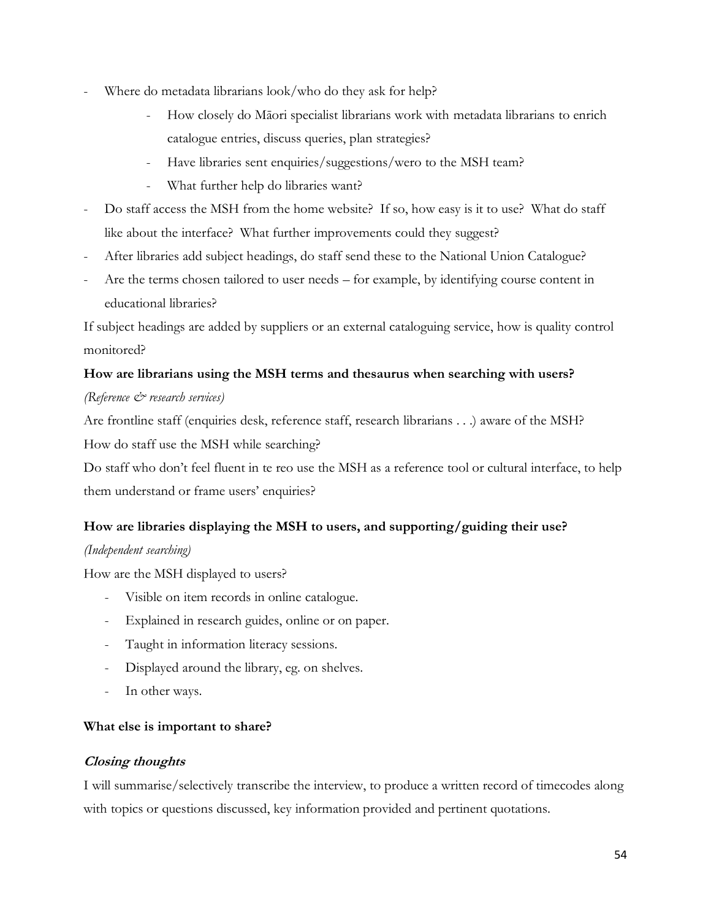- Where do metadata librarians look/who do they ask for help?
	- How closely do Māori specialist librarians work with metadata librarians to enrich catalogue entries, discuss queries, plan strategies?
	- Have libraries sent enquiries/suggestions/wero to the MSH team?
	- What further help do libraries want?
- Do staff access the MSH from the home website? If so, how easy is it to use? What do staff like about the interface? What further improvements could they suggest?
- After libraries add subject headings, do staff send these to the National Union Catalogue?
- Are the terms chosen tailored to user needs for example, by identifying course content in educational libraries?

If subject headings are added by suppliers or an external cataloguing service, how is quality control monitored?

## **How are librarians using the MSH terms and thesaurus when searching with users?**

## *(Reference & research services)*

Are frontline staff (enquiries desk, reference staff, research librarians . . .) aware of the MSH? How do staff use the MSH while searching?

Do staff who don't feel fluent in te reo use the MSH as a reference tool or cultural interface, to help them understand or frame users' enquiries?

## **How are libraries displaying the MSH to users, and supporting/guiding their use?**

## *(Independent searching)*

How are the MSH displayed to users?

- Visible on item records in online catalogue.
- Explained in research guides, online or on paper.
- Taught in information literacy sessions.
- Displayed around the library, eg. on shelves.
- In other ways.

## **What else is important to share?**

## **Closing thoughts**

I will summarise/selectively transcribe the interview, to produce a written record of timecodes along with topics or questions discussed, key information provided and pertinent quotations.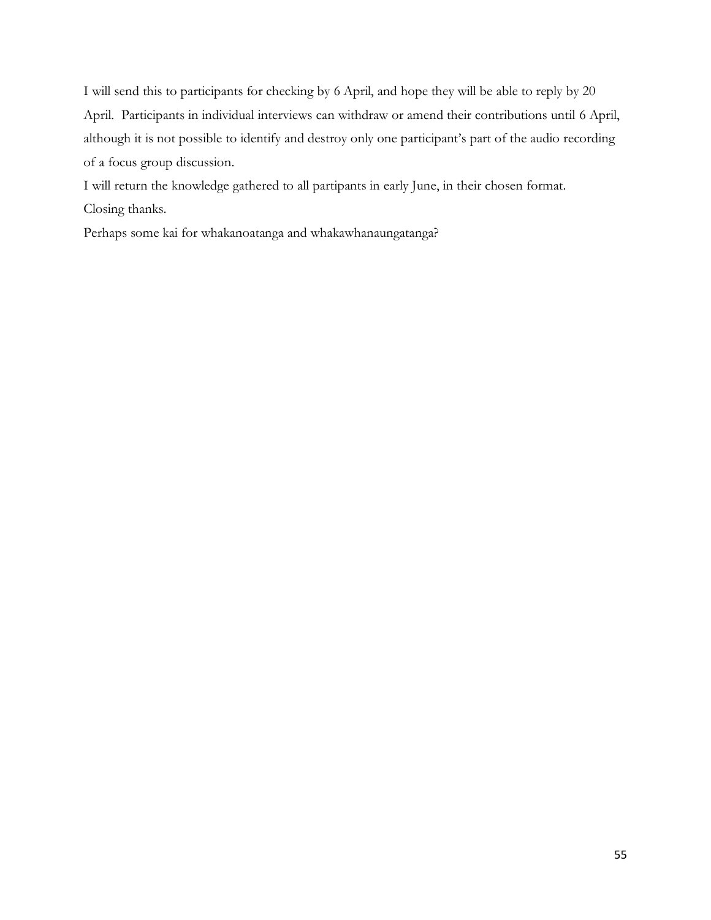I will send this to participants for checking by 6 April, and hope they will be able to reply by 20 April. Participants in individual interviews can withdraw or amend their contributions until 6 April, although it is not possible to identify and destroy only one participant's part of the audio recording of a focus group discussion.

I will return the knowledge gathered to all partipants in early June, in their chosen format. Closing thanks.

Perhaps some kai for whakanoatanga and whakawhanaungatanga?